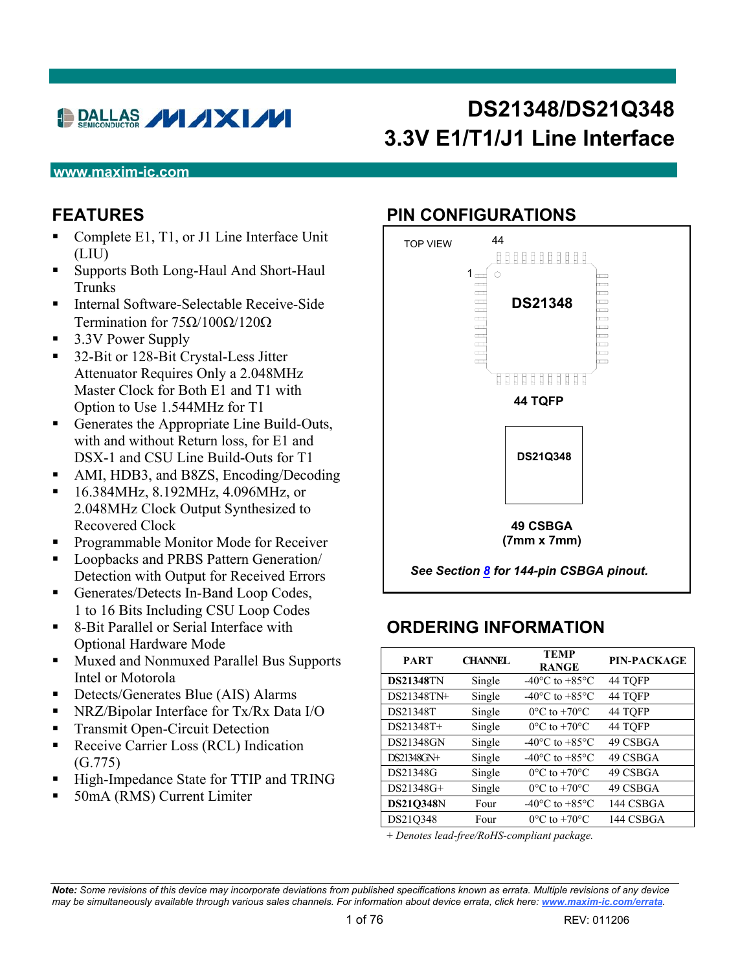# DALLAS I IXI IV

# **DS21348/DS21Q348 3.3V E1/T1/J1 Line Interface**

#### **www.maxim-ic.com**

#### **FEATURES**

- Complete E1, T1, or J1 Line Interface Unit (LIU)
- Supports Both Long-Haul And Short-Haul **Trunks**
- Internal Software-Selectable Receive-Side Termination for  $75\Omega/100\Omega/120\Omega$
- 3.3V Power Supply
- 32-Bit or 128-Bit Crystal-Less Jitter Attenuator Requires Only a 2.048MHz Master Clock for Both E1 and T1 with Option to Use 1.544MHz for T1
- Generates the Appropriate Line Build-Outs, with and without Return loss, for E1 and DSX-1 and CSU Line Build-Outs for T1
- AMI, HDB3, and B8ZS, Encoding/Decoding
- 16.384MHz, 8.192MHz, 4.096MHz, or 2.048MHz Clock Output Synthesized to Recovered Clock
- **Programmable Monitor Mode for Receiver**
- **Loopbacks and PRBS Pattern Generation**/ Detection with Output for Received Errors
- Generates/Detects In-Band Loop Codes, 1 to 16 Bits Including CSU Loop Codes
- 8-Bit Parallel or Serial Interface with Optional Hardware Mode
- **Muxed and Nonmuxed Parallel Bus Supports** Intel or Motorola
- Detects/Generates Blue (AIS) Alarms
- NRZ/Bipolar Interface for Tx/Rx Data I/O
- Transmit Open-Circuit Detection
- Receive Carrier Loss (RCL) Indication (G.775)
- High-Impedance State for TTIP and TRING
- 50mA (RMS) Current Limiter

#### **PIN CONFIGURATIONS**



### **ORDERING INFORMATION**

| <b>PART</b>      | <b>CHANNEL</b> | <b>TEMP</b><br><b>RANGE</b>                  | <b>PIN-PACKAGE</b> |
|------------------|----------------|----------------------------------------------|--------------------|
| <b>DS21348TN</b> | Single         | -40 $\rm{^{\circ}C}$ to +85 $\rm{^{\circ}C}$ | 44 TOFP            |
| DS21348TN+       | Single         | $-40^{\circ}$ C to $+85^{\circ}$ C           | 44 TQFP            |
| DS21348T         | Single         | $0^{\circ}$ C to $+70^{\circ}$ C             | 44 TOFP            |
| DS21348T+        | Single         | $0^{\circ}$ C to $+70^{\circ}$ C             | 44 TOFP            |
| <b>DS21348GN</b> | Single         | $-40^{\circ}$ C to $+85^{\circ}$ C           | 49 CSBGA           |
| DS21348GN+       | Single         | $-40^{\circ}$ C to $+85^{\circ}$ C           | 49 CSBGA           |
| DS21348G         | Single         | $0^{\circ}$ C to $+70^{\circ}$ C             | 49 CSBGA           |
| DS21348G+        | Single         | $0^{\circ}$ C to $+70^{\circ}$ C             | 49 CSBGA           |
| <b>DS21Q348N</b> | Four           | $-40^{\circ}$ C to $+85^{\circ}$ C           | 144 CSBGA          |
| DS21Q348         | Four           | $0^{\circ}$ C to +70 $^{\circ}$ C            | 144 CSBGA          |

+ *Denotes lead-free/RoHS-compliant package.*

*Note: Some revisions of this device may incorporate deviations from published specifications known as errata. Multiple revisions of any device may be simultaneously available through various sales channels. For information about device errata, click here: [www.maxim-ic.com/errata](http://www.maxim-ic.com/errata)*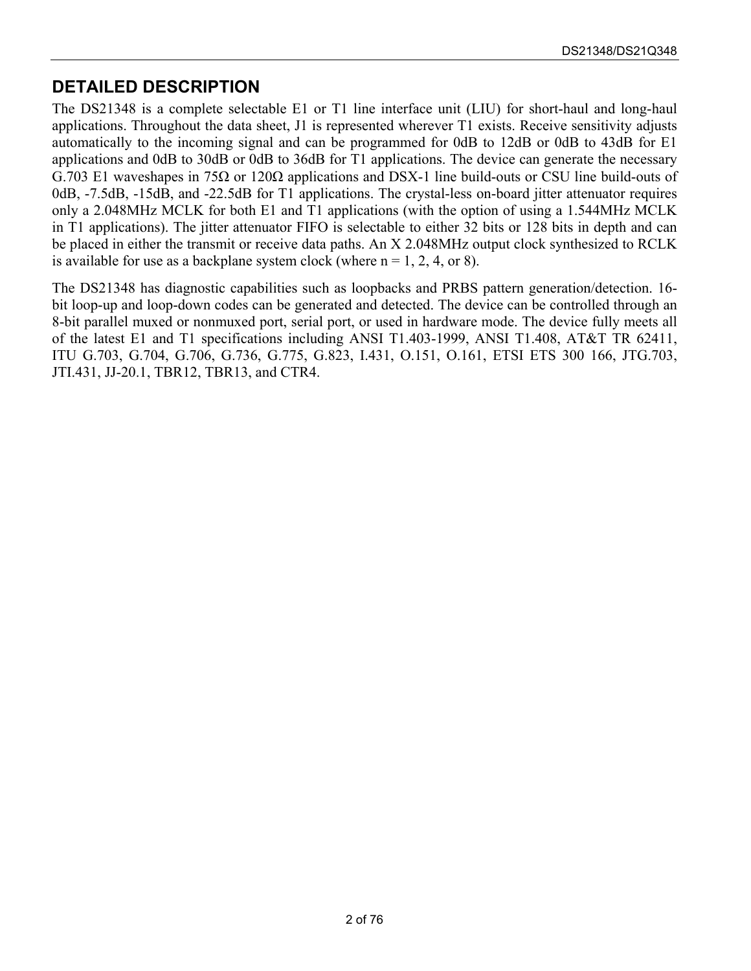### **DETAILED DESCRIPTION**

The DS21348 is a complete selectable E1 or T1 line interface unit (LIU) for short-haul and long-haul applications. Throughout the data sheet, J1 is represented wherever T1 exists. Receive sensitivity adjusts automatically to the incoming signal and can be programmed for 0dB to 12dB or 0dB to 43dB for E1 applications and 0dB to 30dB or 0dB to 36dB for T1 applications. The device can generate the necessary G.703 E1 waveshapes in 75Ω or 120Ω applications and DSX-1 line build-outs or CSU line build-outs of 0dB, -7.5dB, -15dB, and -22.5dB for T1 applications. The crystal-less on-board jitter attenuator requires only a 2.048MHz MCLK for both E1 and T1 applications (with the option of using a 1.544MHz MCLK in T1 applications). The jitter attenuator FIFO is selectable to either 32 bits or 128 bits in depth and can be placed in either the transmit or receive data paths. An X 2.048MHz output clock synthesized to RCLK is available for use as a backplane system clock (where  $n = 1, 2, 4, or 8$ ).

The DS21348 has diagnostic capabilities such as loopbacks and PRBS pattern generation/detection. 16 bit loop-up and loop-down codes can be generated and detected. The device can be controlled through an 8-bit parallel muxed or nonmuxed port, serial port, or used in hardware mode. The device fully meets all of the latest E1 and T1 specifications including ANSI T1.403-1999, ANSI T1.408, AT&T TR 62411, ITU G.703, G.704, G.706, G.736, G.775, G.823, I.431, O.151, O.161, ETSI ETS 300 166, JTG.703, JTI.431, JJ-20.1, TBR12, TBR13, and CTR4.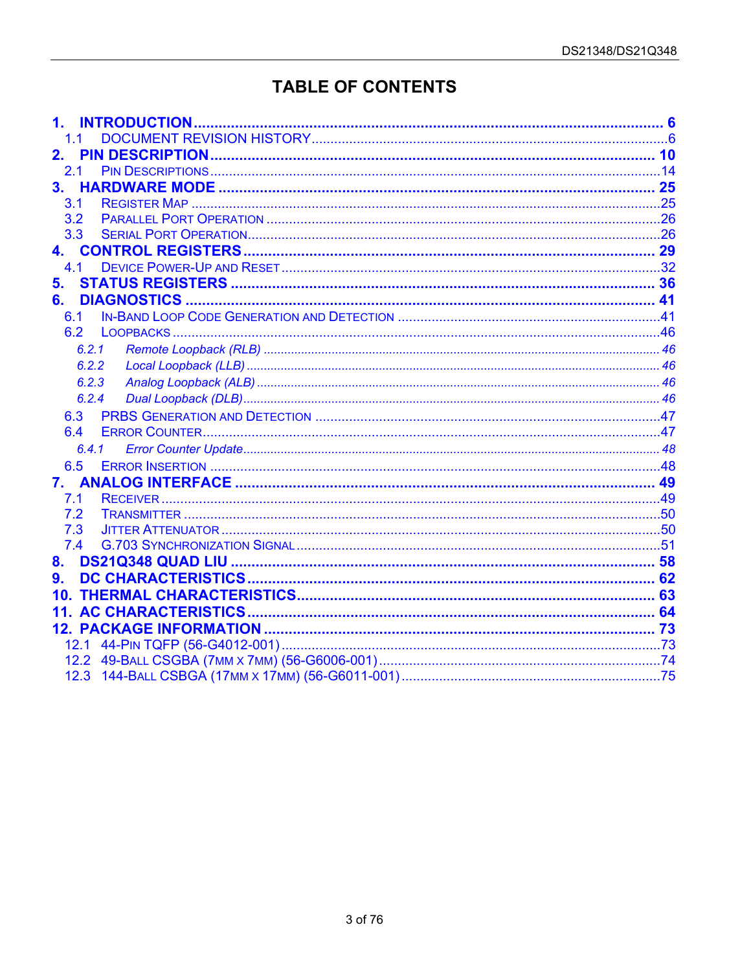# **TABLE OF CONTENTS**

|                | <b>INTRODUCTION</b> |  |
|----------------|---------------------|--|
|                |                     |  |
| 2.             |                     |  |
| 2.1            |                     |  |
| 3 <sub>1</sub> |                     |  |
| 3.1            |                     |  |
| 3.2            |                     |  |
| 3.3            |                     |  |
|                |                     |  |
| 4.1            |                     |  |
| 5.             |                     |  |
| 6.             |                     |  |
| 61             |                     |  |
| 6.2            |                     |  |
|                | 6.2.1               |  |
|                | 6.2.2               |  |
|                | 6.2.3               |  |
|                | 6.2.4               |  |
| 6.3            |                     |  |
| 6.4            |                     |  |
|                | 6.4.1               |  |
| 6.5            |                     |  |
| 7.             |                     |  |
| 7.1            |                     |  |
| 7.2            |                     |  |
| 7.3            |                     |  |
| 7.4            |                     |  |
| 8 <sub>1</sub> |                     |  |
| 9.             |                     |  |
|                |                     |  |
|                |                     |  |
|                |                     |  |
|                |                     |  |
|                |                     |  |
|                |                     |  |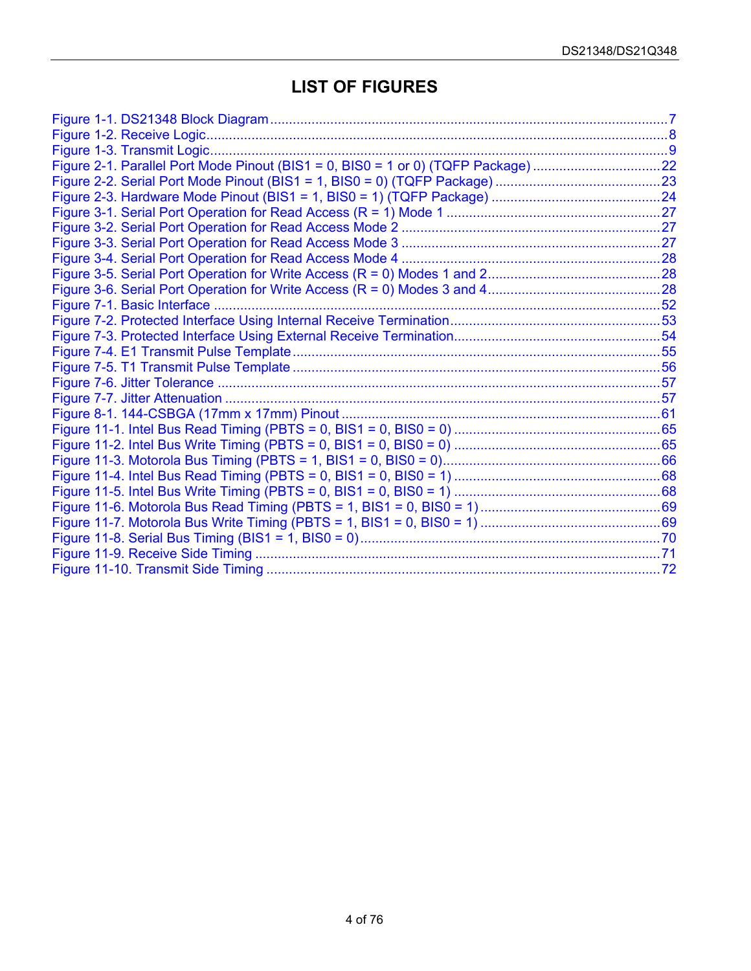### **LIST OF FIGURES**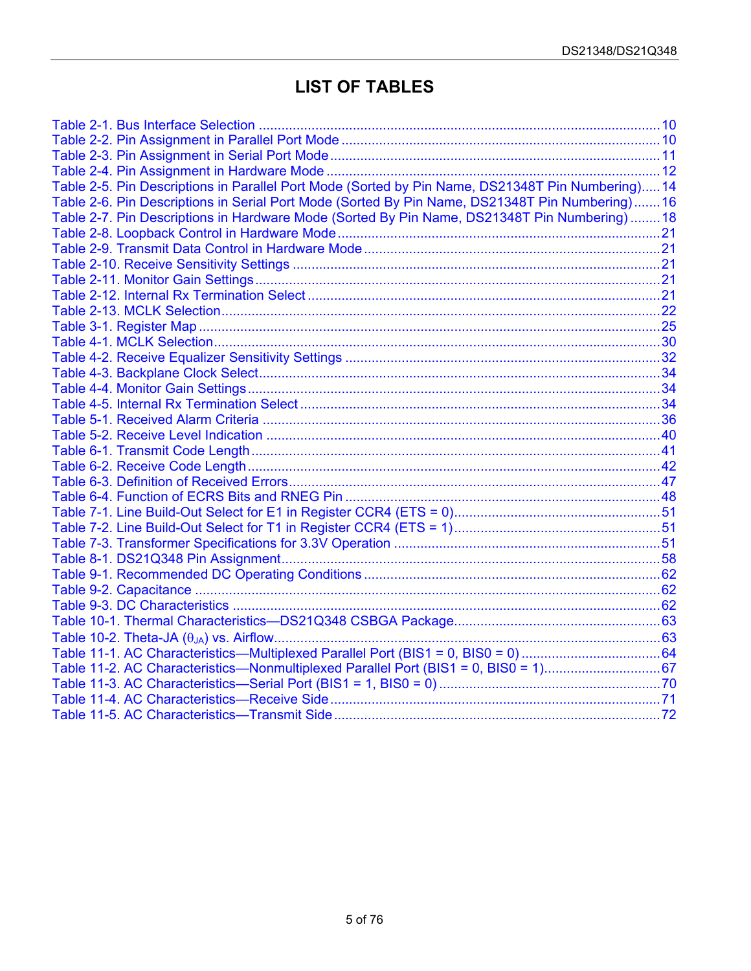### **LIST OF TABLES**

| Table 2-5. Pin Descriptions in Parallel Port Mode (Sorted by Pin Name, DS21348T Pin Numbering) 14 |  |
|---------------------------------------------------------------------------------------------------|--|
| Table 2-6. Pin Descriptions in Serial Port Mode (Sorted By Pin Name, DS21348T Pin Numbering) 16   |  |
| Table 2-7. Pin Descriptions in Hardware Mode (Sorted By Pin Name, DS21348T Pin Numbering)18       |  |
|                                                                                                   |  |
|                                                                                                   |  |
|                                                                                                   |  |
|                                                                                                   |  |
|                                                                                                   |  |
|                                                                                                   |  |
|                                                                                                   |  |
|                                                                                                   |  |
|                                                                                                   |  |
|                                                                                                   |  |
|                                                                                                   |  |
|                                                                                                   |  |
|                                                                                                   |  |
|                                                                                                   |  |
|                                                                                                   |  |
|                                                                                                   |  |
|                                                                                                   |  |
|                                                                                                   |  |
|                                                                                                   |  |
|                                                                                                   |  |
|                                                                                                   |  |
|                                                                                                   |  |
|                                                                                                   |  |
|                                                                                                   |  |
|                                                                                                   |  |
|                                                                                                   |  |
|                                                                                                   |  |
|                                                                                                   |  |
|                                                                                                   |  |
|                                                                                                   |  |
|                                                                                                   |  |
|                                                                                                   |  |
|                                                                                                   |  |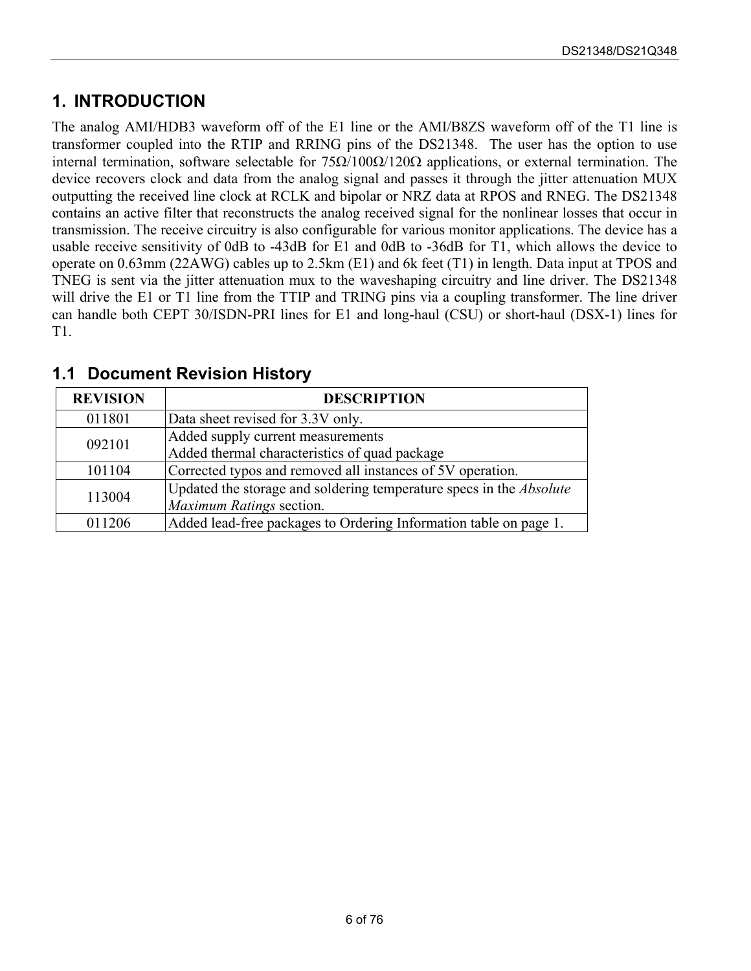### <span id="page-5-0"></span>**1. INTRODUCTION**

The analog AMI/HDB3 waveform off of the E1 line or the AMI/B8ZS waveform off of the T1 line is transformer coupled into the RTIP and RRING pins of the DS21348. The user has the option to use internal termination, software selectable for  $75Ω/100Ω/120Ω$  applications, or external termination. The device recovers clock and data from the analog signal and passes it through the jitter attenuation MUX outputting the received line clock at RCLK and bipolar or NRZ data at RPOS and RNEG. The DS21348 contains an active filter that reconstructs the analog received signal for the nonlinear losses that occur in transmission. The receive circuitry is also configurable for various monitor applications. The device has a usable receive sensitivity of 0dB to -43dB for E1 and 0dB to -36dB for T1, which allows the device to operate on 0.63mm (22AWG) cables up to 2.5km (E1) and 6k feet (T1) in length. Data input at TPOS and TNEG is sent via the jitter attenuation mux to the waveshaping circuitry and line driver. The DS21348 will drive the E1 or T1 line from the TTIP and TRING pins via a coupling transformer. The line driver can handle both CEPT 30/ISDN-PRI lines for E1 and long-haul (CSU) or short-haul (DSX-1) lines for T1.

| <b>REVISION</b> | <b>DESCRIPTION</b>                                                         |
|-----------------|----------------------------------------------------------------------------|
| 011801          | Data sheet revised for 3.3V only.                                          |
| 092101          | Added supply current measurements                                          |
|                 | Added thermal characteristics of quad package                              |
| 101104          | Corrected typos and removed all instances of 5V operation.                 |
| 113004          | Updated the storage and soldering temperature specs in the <i>Absolute</i> |
|                 | Maximum Ratings section.                                                   |
| 011206          | Added lead-free packages to Ordering Information table on page 1.          |

#### <span id="page-5-1"></span>**1.1 Document Revision History**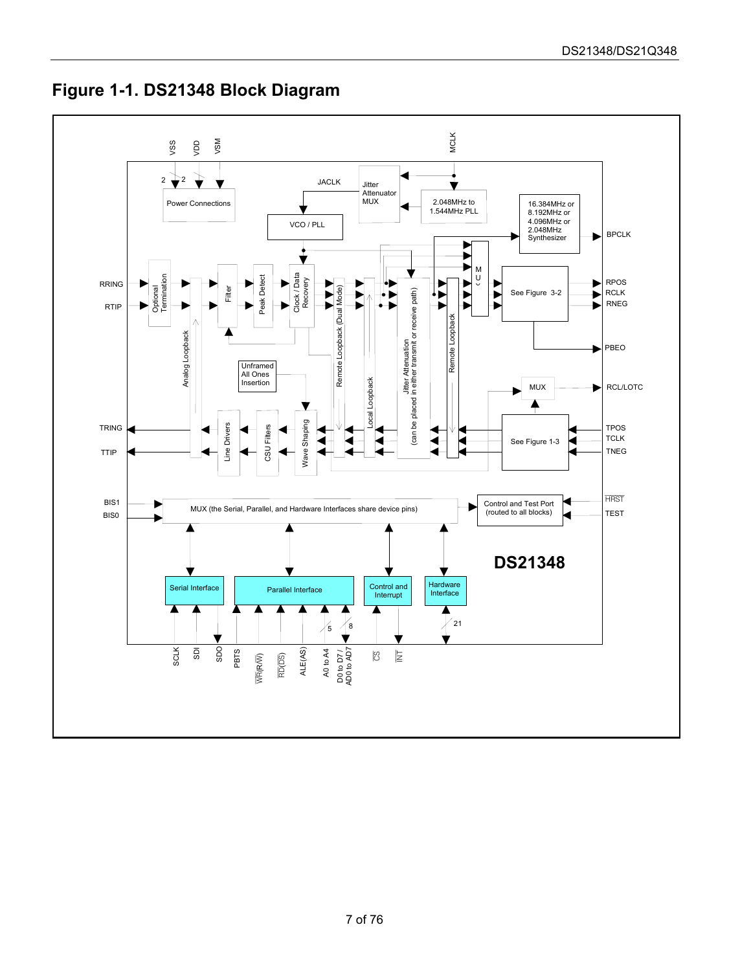<span id="page-6-0"></span>

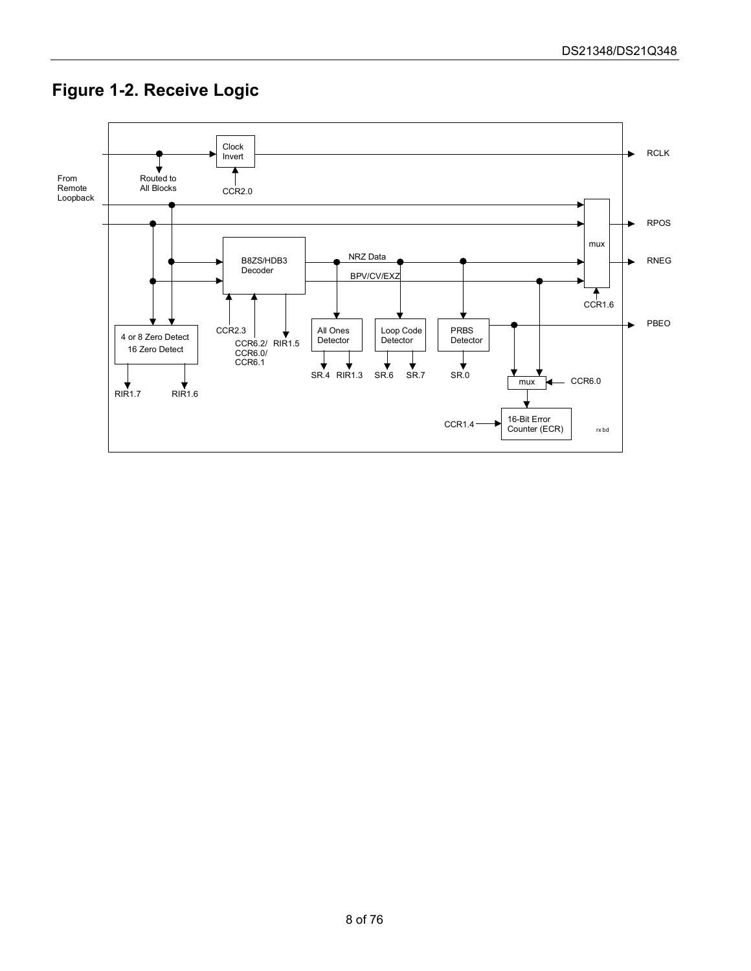### <span id="page-7-0"></span>**Figure 1-2. Receive Logic**

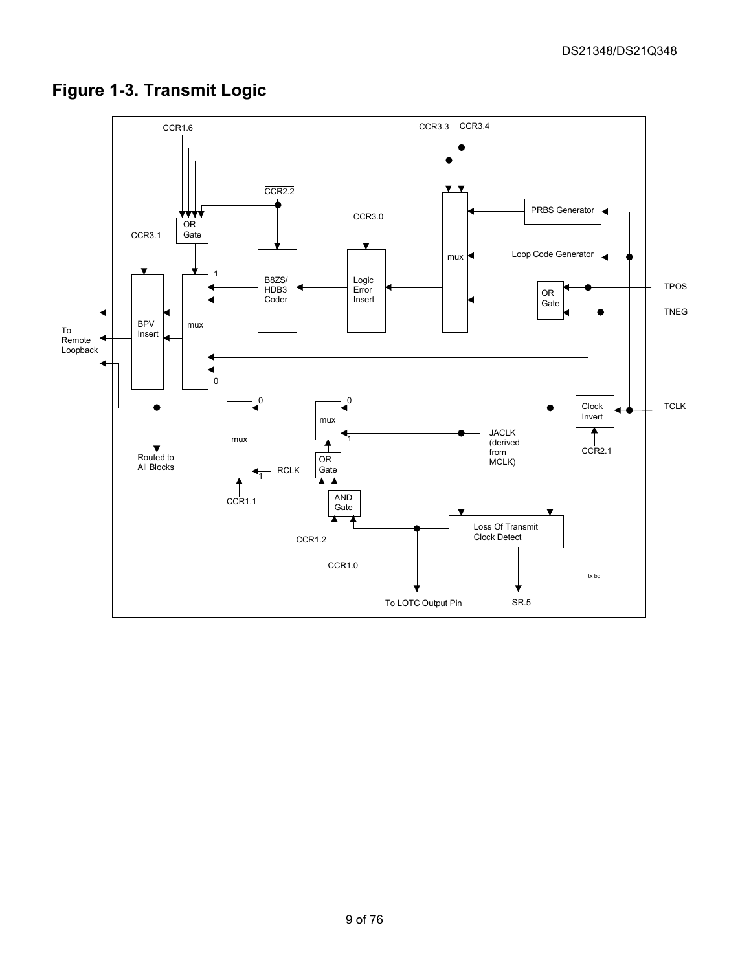### <span id="page-8-0"></span>**Figure 1-3. Transmit Logic**

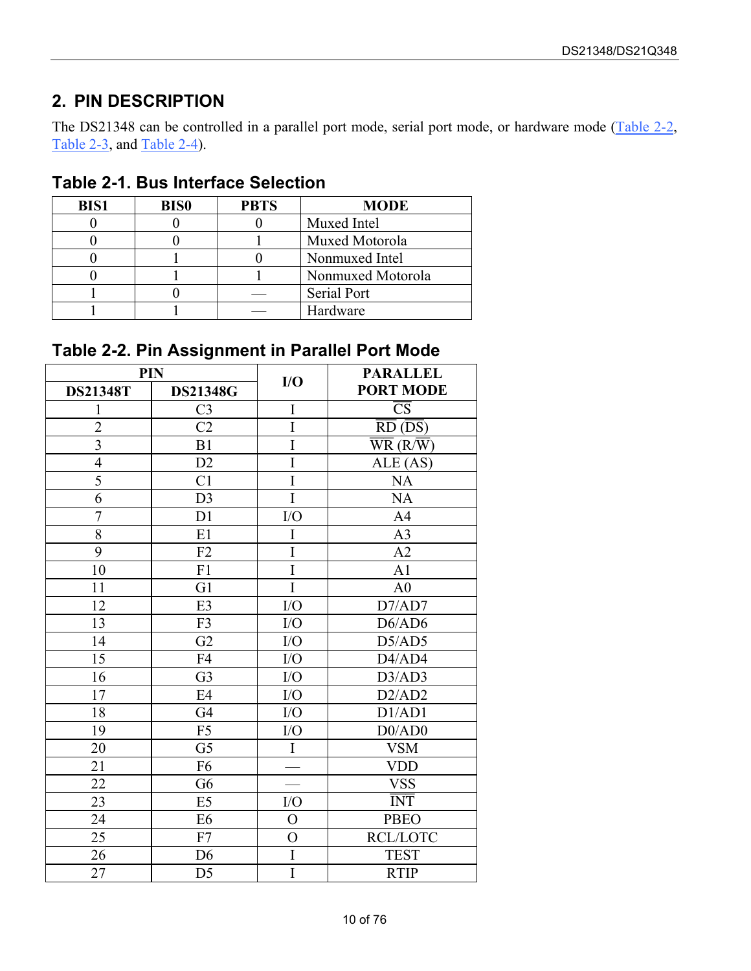### <span id="page-9-0"></span>**2. PIN DESCRIPTION**

The DS21348 can be controlled in a parallel port mode, serial port mode, or hardware mode (Table 2-2, [Table 2-3,](#page-10-0) and [Table 2-4\)](#page-11-0).

| <b>BIS1</b> | <b>BIS0</b> | <b>PBTS</b> | <b>MODE</b>       |
|-------------|-------------|-------------|-------------------|
|             |             |             | Muxed Intel       |
|             |             |             | Muxed Motorola    |
|             |             |             | Nonmuxed Intel    |
|             |             |             | Nonmuxed Motorola |
|             |             |             | Serial Port       |
|             |             |             | Hardware          |

#### <span id="page-9-1"></span>**Table 2-1. Bus Interface Selection**

### <span id="page-9-2"></span>**Table 2-2. Pin Assignment in Parallel Port Mode**

| PIN             |                 |                | <b>PARALLEL</b>                                    |
|-----------------|-----------------|----------------|----------------------------------------------------|
| <b>DS21348T</b> | <b>DS21348G</b> | I/O            | <b>PORT MODE</b>                                   |
| 1               | C <sub>3</sub>  | I              | $\overline{\text{CS}}$                             |
| $\overline{2}$  | C <sub>2</sub>  | I              | $\overline{RD}$ ( $\overline{DS}$ )                |
| $\overline{3}$  | B1              | $\overline{I}$ | $\overline{\text{WR}}$ (R/ $\overline{\text{W}}$ ) |
| $\overline{4}$  | D2              | $\overline{I}$ | ALE (AS)                                           |
| $\overline{5}$  | C <sub>1</sub>  | Ī              | NA                                                 |
| 6               | D <sub>3</sub>  | $\overline{I}$ | <b>NA</b>                                          |
| $\overline{7}$  | D1              | ${\rm I/O}$    | A <sub>4</sub>                                     |
| 8               | E1              | I              | A <sub>3</sub>                                     |
| 9               | F2              | $\overline{I}$ | A2                                                 |
| 10              | F1              | $\overline{I}$ | A1                                                 |
| 11              | G1              | Ī              | A <sub>0</sub>                                     |
| 12              | E <sub>3</sub>  | I/O            | D7/AD7                                             |
| 13              | F3              | ${\rm I/O}$    | D6/AD6                                             |
| 14              | G2              | ${\rm I/O}$    | D5/AD5                                             |
| 15              | F4              | I/O            | D4/AD4                                             |
| 16              | G <sub>3</sub>  | I/O            | D3/AD3                                             |
| 17              | E4              | ${\rm I/O}$    | D2/AD2                                             |
| 18              | G <sub>4</sub>  | I/O            | D1/AD1                                             |
| 19              | F <sub>5</sub>  | I/O            | D0/AD0                                             |
| 20              | G <sub>5</sub>  | $\rm I$        | <b>VSM</b>                                         |
| 21              | F <sub>6</sub>  |                | <b>VDD</b>                                         |
| 22              | G <sub>6</sub>  |                | <b>VSS</b>                                         |
| 23              | E <sub>5</sub>  | I/O            | <b>INT</b>                                         |
| 24              | E <sub>6</sub>  | $\overline{O}$ | <b>PBEO</b>                                        |
| 25              | F7              | $\overline{O}$ | <b>RCL/LOTC</b>                                    |
| 26              | D <sub>6</sub>  | I              | <b>TEST</b>                                        |
| 27              | D <sub>5</sub>  | I              | <b>RTIP</b>                                        |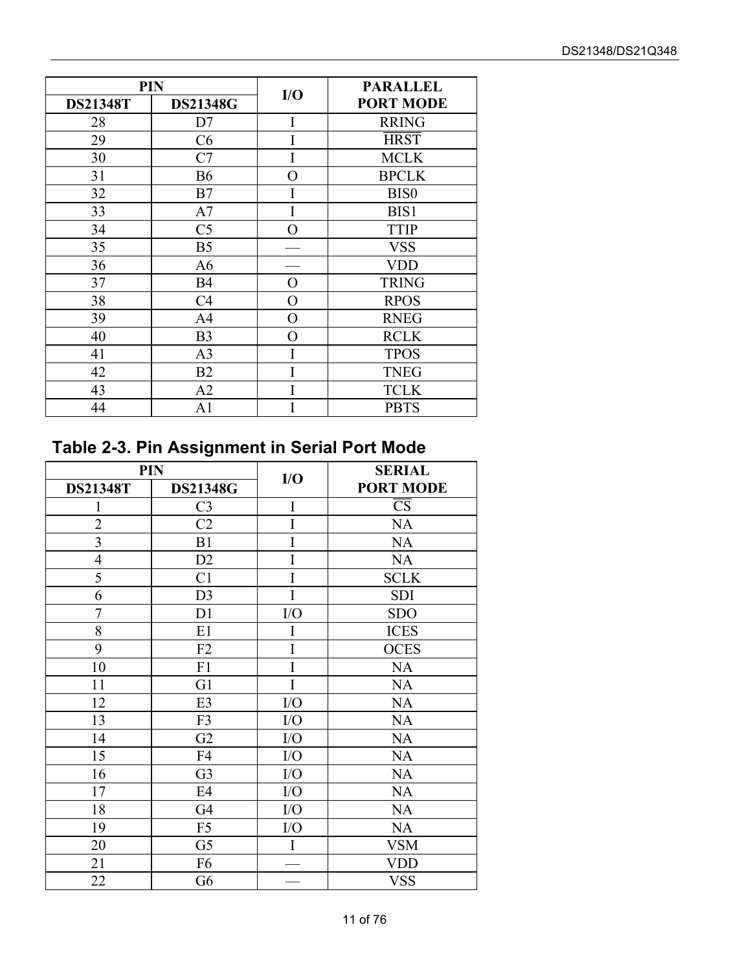| <b>PIN</b>      |                 |     | <b>PARALLEL</b>  |
|-----------------|-----------------|-----|------------------|
| <b>DS21348T</b> | <b>DS21348G</b> | I/O | <b>PORT MODE</b> |
| 28              | D7              | I   | <b>RRING</b>     |
| 29              | C <sub>6</sub>  |     | <b>HRST</b>      |
| 30              | C7              |     | <b>MCLK</b>      |
| 31              | <b>B6</b>       | O   | <b>BPCLK</b>     |
| 32              | B7              | Ī   | BIS <sub>0</sub> |
| 33              | A7              |     | BIS1             |
| 34              | C <sub>5</sub>  | O   | <b>TTIP</b>      |
| 35              | B <sub>5</sub>  |     | <b>VSS</b>       |
| 36              | A <sub>6</sub>  |     | <b>VDD</b>       |
| 37              | <b>B4</b>       | O   | <b>TRING</b>     |
| 38              | C <sub>4</sub>  | O   | <b>RPOS</b>      |
| 39              | A4              | O   | <b>RNEG</b>      |
| 40              | B <sub>3</sub>  | O   | <b>RCLK</b>      |
| 41              | A <sub>3</sub>  |     | <b>TPOS</b>      |
| 42              | B <sub>2</sub>  |     | <b>TNEG</b>      |
| 43              | A <sub>2</sub>  |     | <b>TCLK</b>      |
| 44              | A1              |     | <b>PBTS</b>      |

# <span id="page-10-0"></span>**Table 2-3. Pin Assignment in Serial Port Mode**

| <b>PIN</b>              |                 | I/O         | <b>SERIAL</b>          |
|-------------------------|-----------------|-------------|------------------------|
| <b>DS21348T</b>         | <b>DS21348G</b> |             | <b>PORT MODE</b>       |
| 1                       | C <sub>3</sub>  | $\mathbf I$ | $\overline{\text{CS}}$ |
| $\overline{2}$          | C2              | I           | <b>NA</b>              |
| $\overline{\mathbf{3}}$ | B1              | I           | <b>NA</b>              |
| $\overline{4}$          | D <sub>2</sub>  | I           | <b>NA</b>              |
| 5                       | C <sub>1</sub>  | I           | <b>SCLK</b>            |
| 6                       | D <sub>3</sub>  | I           | <b>SDI</b>             |
| $\overline{7}$          | D1              | I/O         | <b>SDO</b>             |
| 8                       | E1              | I           | <b>ICES</b>            |
| 9                       | F2              | I           | <b>OCES</b>            |
| 10                      | F1              | I           | NA                     |
| 11                      | G1              | I           | <b>NA</b>              |
| 12                      | E <sub>3</sub>  | I/O         | <b>NA</b>              |
| 13                      | F3              | I/O         | <b>NA</b>              |
| 14                      | G <sub>2</sub>  | I/O         | NA                     |
| 15                      | F4              | I/O         | <b>NA</b>              |
| 16                      | G <sub>3</sub>  | I/O         | <b>NA</b>              |
| 17                      | E4              | I/O         | <b>NA</b>              |
| 18                      | G <sub>4</sub>  | I/O         | <b>NA</b>              |
| 19                      | F <sub>5</sub>  | ${\rm I/O}$ | <b>NA</b>              |
| 20                      | G <sub>5</sub>  | I           | <b>VSM</b>             |
| 21                      | F <sub>6</sub>  |             | VDD                    |
| 22                      | G6              |             | <b>VSS</b>             |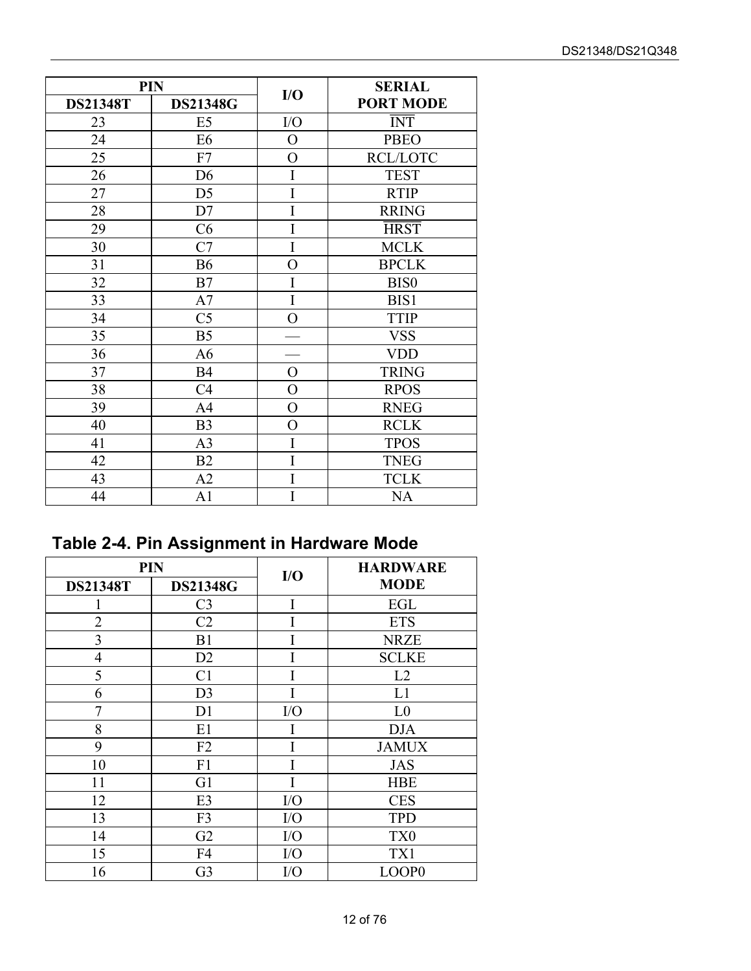|                 | PIN             |                | <b>SERIAL</b>    |
|-----------------|-----------------|----------------|------------------|
| <b>DS21348T</b> | <b>DS21348G</b> | I/O            | <b>PORT MODE</b> |
| 23              | E <sub>5</sub>  | I/O            | <b>INT</b>       |
| 24              | E <sub>6</sub>  | $\mathbf{O}$   | <b>PBEO</b>      |
| 25              | F7              | $\overline{O}$ | <b>RCL/LOTC</b>  |
| 26              | D <sub>6</sub>  | I              | <b>TEST</b>      |
| 27              | D <sub>5</sub>  | I              | <b>RTIP</b>      |
| 28              | D7              | I              | <b>RRING</b>     |
| 29              | C6              | I              | <b>HRST</b>      |
| 30              | C7              | I              | <b>MCLK</b>      |
| 31              | <b>B6</b>       | $\overline{O}$ | <b>BPCLK</b>     |
| 32              | B7              | I              | <b>BIS0</b>      |
| 33              | A7              | I              | BIS1             |
| 34              | C <sub>5</sub>  | $\overline{O}$ | <b>TTIP</b>      |
| 35              | B <sub>5</sub>  |                | <b>VSS</b>       |
| 36              | A <sub>6</sub>  |                | <b>VDD</b>       |
| 37              | <b>B4</b>       | $\overline{O}$ | <b>TRING</b>     |
| 38              | C <sub>4</sub>  | $\overline{O}$ | <b>RPOS</b>      |
| 39              | A <sub>4</sub>  | $\overline{O}$ | <b>RNEG</b>      |
| 40              | B <sub>3</sub>  | $\overline{O}$ | <b>RCLK</b>      |
| 41              | A <sub>3</sub>  | I              | <b>TPOS</b>      |
| 42              | B2              | I              | <b>TNEG</b>      |
| 43              | A2              | Ī              | <b>TCLK</b>      |
| 44              | A <sub>1</sub>  | I              | <b>NA</b>        |

# <span id="page-11-0"></span>**Table 2-4. Pin Assignment in Hardware Mode**

| <b>PIN</b>      |                 | I/O       | <b>HARDWARE</b> |
|-----------------|-----------------|-----------|-----------------|
| <b>DS21348T</b> | <b>DS21348G</b> |           | <b>MODE</b>     |
|                 | C <sub>3</sub>  | I         | EGL             |
| $\overline{2}$  | C <sub>2</sub>  |           | <b>ETS</b>      |
| 3               | B <sub>1</sub>  |           | <b>NRZE</b>     |
| $\overline{4}$  | D2              |           | <b>SCLKE</b>    |
| 5               | C <sub>1</sub>  |           | L2              |
| 6               | D <sub>3</sub>  |           | L1              |
| 7               | D <sub>1</sub>  | I/O       | L <sub>0</sub>  |
| 8               | E1              |           | <b>DJA</b>      |
| 9               | F2              |           | <b>JAMUX</b>    |
| 10              | F1              |           | <b>JAS</b>      |
| 11              | G1              |           | <b>HBE</b>      |
| 12              | E3              | I/O       | <b>CES</b>      |
| 13              | F <sub>3</sub>  | I/O       | <b>TPD</b>      |
| 14              | G2              | I/O       | TX <sub>0</sub> |
| 15              | F4              | $\rm I/O$ | TX1             |
| 16              | G <sub>3</sub>  | I/O       | LOOP0           |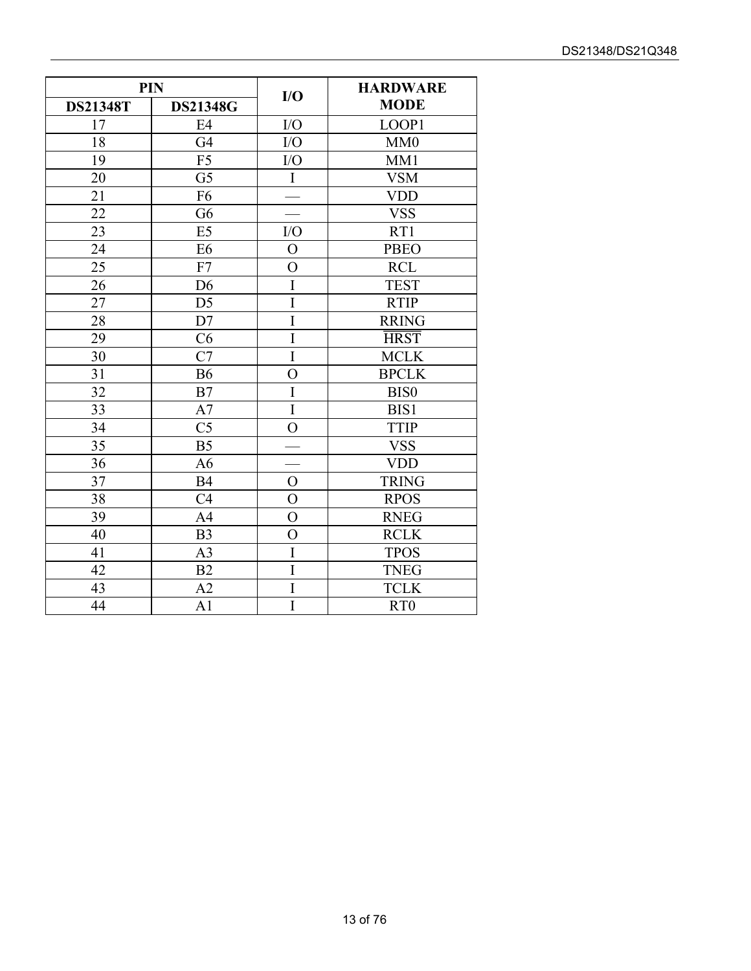| <b>PIN</b>      |                 |                | <b>HARDWARE</b> |
|-----------------|-----------------|----------------|-----------------|
| <b>DS21348T</b> | <b>DS21348G</b> | I/O            | <b>MODE</b>     |
| 17              | E <sub>4</sub>  | I/O            | LOOP1           |
| 18              | G <sub>4</sub>  | I/O            | MM0             |
| 19              | F <sub>5</sub>  | I/O            | MM1             |
| 20              | G <sub>5</sub>  | $\rm I$        | <b>VSM</b>      |
| 21              | F <sub>6</sub>  |                | <b>VDD</b>      |
| 22              | G <sub>6</sub>  |                | <b>VSS</b>      |
| 23              | E <sub>5</sub>  | I/O            | RT1             |
| 24              | E <sub>6</sub>  | $\overline{O}$ | <b>PBEO</b>     |
| 25              | F7              | $\overline{O}$ | <b>RCL</b>      |
| 26              | D <sub>6</sub>  | $\overline{I}$ | <b>TEST</b>     |
| 27              | D <sub>5</sub>  | I              | <b>RTIP</b>     |
| 28              | D7              | $\overline{I}$ | <b>RRING</b>    |
| 29              | C6              | $\overline{I}$ | <b>HRST</b>     |
| 30              | C7              | $\overline{I}$ | <b>MCLK</b>     |
| 31              | <b>B6</b>       | $\overline{O}$ | <b>BPCLK</b>    |
| 32              | B7              | $\mathbf I$    | <b>BIS0</b>     |
| 33              | A7              | $\overline{I}$ | BIS1            |
| 34              | C <sub>5</sub>  | $\overline{O}$ | <b>TTIP</b>     |
| 35              | B <sub>5</sub>  |                | <b>VSS</b>      |
| 36              | A <sub>6</sub>  |                | <b>VDD</b>      |
| 37              | <b>B4</b>       | $\mathcal{O}$  | <b>TRING</b>    |
| 38              | C <sub>4</sub>  | $\overline{O}$ | <b>RPOS</b>     |
| 39              | A <sub>4</sub>  | $\overline{O}$ | <b>RNEG</b>     |
| 40              | B <sub>3</sub>  | $\overline{O}$ | <b>RCLK</b>     |
| 41              | A <sub>3</sub>  | $\mathbf I$    | <b>TPOS</b>     |
| 42              | B2              | I              | <b>TNEG</b>     |
| 43              | A2              | Ī              | <b>TCLK</b>     |
| 44              | A <sub>1</sub>  | I              | RT <sub>0</sub> |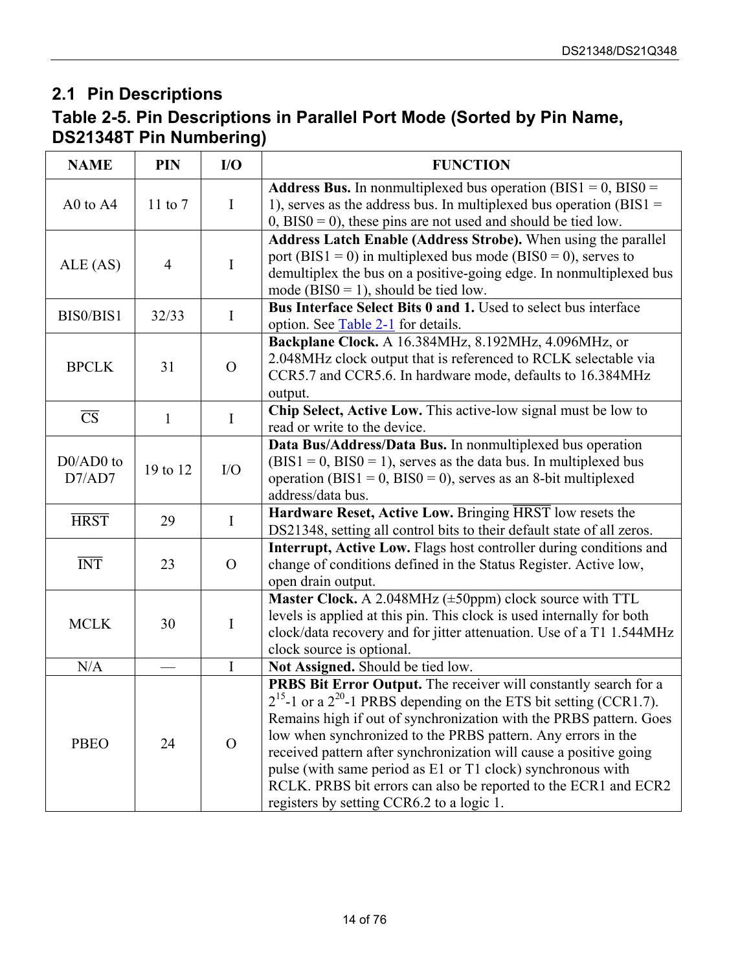### <span id="page-13-0"></span>**2.1 Pin Descriptions**

### <span id="page-13-1"></span>**Table 2-5. Pin Descriptions in Parallel Port Mode (Sorted by Pin Name, DS21348T Pin Numbering)**

| <b>NAME</b>            | <b>PIN</b>     | I/O            | <b>FUNCTION</b>                                                                                                                                                                                                                                                                                                                                                                                                                                                                                                                             |  |
|------------------------|----------------|----------------|---------------------------------------------------------------------------------------------------------------------------------------------------------------------------------------------------------------------------------------------------------------------------------------------------------------------------------------------------------------------------------------------------------------------------------------------------------------------------------------------------------------------------------------------|--|
| A0 to A4               | 11 to $7$      | $\bf{I}$       | <b>Address Bus.</b> In nonmultiplexed bus operation (BIS1 = $0$ , BIS0 =<br>1), serves as the address bus. In multiplexed bus operation ( $BIS1 =$<br>$(0, BIS0 = 0)$ , these pins are not used and should be tied low.                                                                                                                                                                                                                                                                                                                     |  |
| ALE(AS)                | $\overline{4}$ | $\mathbf I$    | Address Latch Enable (Address Strobe). When using the parallel<br>port (BIS1 = 0) in multiplexed bus mode (BIS0 = 0), serves to<br>demultiplex the bus on a positive-going edge. In nonmultiplexed bus<br>mode (BIS0 = 1), should be tied low.                                                                                                                                                                                                                                                                                              |  |
| BIS0/BIS1              | 32/33          | I              | Bus Interface Select Bits 0 and 1. Used to select bus interface<br>option. See Table 2-1 for details.                                                                                                                                                                                                                                                                                                                                                                                                                                       |  |
| <b>BPCLK</b>           | 31             | $\overline{O}$ | Backplane Clock. A 16.384MHz, 8.192MHz, 4.096MHz, or<br>2.048MHz clock output that is referenced to RCLK selectable via<br>CCR5.7 and CCR5.6. In hardware mode, defaults to 16.384MHz<br>output.                                                                                                                                                                                                                                                                                                                                            |  |
| $\overline{\text{CS}}$ | $\mathbf{1}$   | $\bf{I}$       | Chip Select, Active Low. This active-low signal must be low to<br>read or write to the device.                                                                                                                                                                                                                                                                                                                                                                                                                                              |  |
| $D0/AD0$ to<br>D7/AD7  | 19 to 12       | I/O            | Data Bus/Address/Data Bus. In nonmultiplexed bus operation<br>$(BIS1 = 0, BIS0 = 1)$ , serves as the data bus. In multiplexed bus<br>operation (BIS1 = 0, BIS0 = 0), serves as an 8-bit multiplexed<br>address/data bus.                                                                                                                                                                                                                                                                                                                    |  |
| <b>HRST</b>            | 29             | $\bf{I}$       | Hardware Reset, Active Low. Bringing HRST low resets the<br>DS21348, setting all control bits to their default state of all zeros.                                                                                                                                                                                                                                                                                                                                                                                                          |  |
| <b>INT</b>             | 23             | $\Omega$       | Interrupt, Active Low. Flags host controller during conditions and<br>change of conditions defined in the Status Register. Active low,<br>open drain output.                                                                                                                                                                                                                                                                                                                                                                                |  |
| <b>MCLK</b>            | 30             | $\bf{I}$       | Master Clock. A 2.048MHz (±50ppm) clock source with TTL<br>levels is applied at this pin. This clock is used internally for both<br>clock/data recovery and for jitter attenuation. Use of a T1 1.544MHz<br>clock source is optional.                                                                                                                                                                                                                                                                                                       |  |
| N/A                    |                | $\rm I$        | Not Assigned. Should be tied low.                                                                                                                                                                                                                                                                                                                                                                                                                                                                                                           |  |
| <b>PBEO</b>            | 24             | $\overline{O}$ | PRBS Bit Error Output. The receiver will constantly search for a<br>$2^{15}$ -1 or a $2^{20}$ -1 PRBS depending on the ETS bit setting (CCR1.7).<br>Remains high if out of synchronization with the PRBS pattern. Goes<br>low when synchronized to the PRBS pattern. Any errors in the<br>received pattern after synchronization will cause a positive going<br>pulse (with same period as E1 or T1 clock) synchronous with<br>RCLK. PRBS bit errors can also be reported to the ECR1 and ECR2<br>registers by setting CCR6.2 to a logic 1. |  |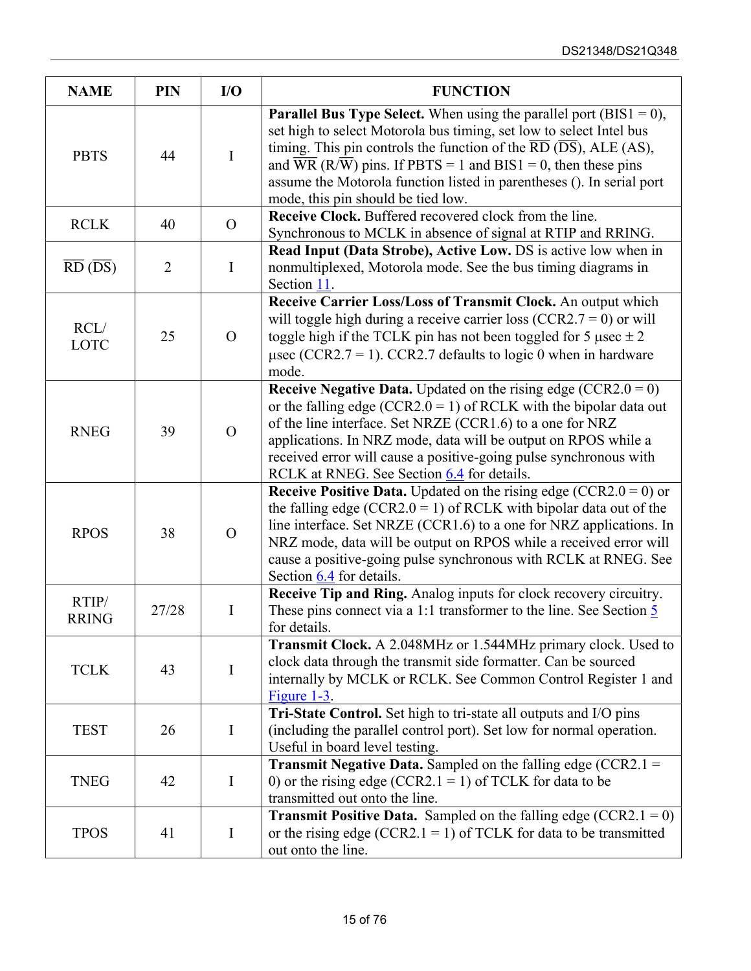| <b>NAME</b>                         | PIN            | I/O            | <b>FUNCTION</b>                                                                                                                                                                                                                                                                                                                                                                                                                                                 |  |  |
|-------------------------------------|----------------|----------------|-----------------------------------------------------------------------------------------------------------------------------------------------------------------------------------------------------------------------------------------------------------------------------------------------------------------------------------------------------------------------------------------------------------------------------------------------------------------|--|--|
| <b>PBTS</b>                         | 44             | $\mathbf I$    | <b>Parallel Bus Type Select.</b> When using the parallel port ( $BIS1 = 0$ ),<br>set high to select Motorola bus timing, set low to select Intel bus<br>timing. This pin controls the function of the $\overline{RD}$ ( $\overline{DS}$ ), ALE (AS),<br>and $\overline{WR}$ (R/ $\overline{W}$ ) pins. If PBTS = 1 and BIS1 = 0, then these pins<br>assume the Motorola function listed in parentheses (). In serial port<br>mode, this pin should be tied low. |  |  |
| <b>RCLK</b>                         | 40             | $\overline{O}$ | Receive Clock. Buffered recovered clock from the line.<br>Synchronous to MCLK in absence of signal at RTIP and RRING.                                                                                                                                                                                                                                                                                                                                           |  |  |
| $\overline{RD}$ ( $\overline{DS}$ ) | $\overline{2}$ | $\mathbf I$    | Read Input (Data Strobe), Active Low. DS is active low when in<br>nonmultiplexed, Motorola mode. See the bus timing diagrams in<br>Section 11.                                                                                                                                                                                                                                                                                                                  |  |  |
| RCL/<br><b>LOTC</b>                 | 25             | $\Omega$       | Receive Carrier Loss/Loss of Transmit Clock. An output which<br>will toggle high during a receive carrier loss (CCR2.7 = 0) or will<br>toggle high if the TCLK pin has not been toggled for 5 $\mu$ sec $\pm$ 2<br>$\mu$ sec (CCR2.7 = 1). CCR2.7 defaults to logic 0 when in hardware<br>mode.                                                                                                                                                                 |  |  |
| <b>RNEG</b>                         | 39             | $\Omega$       | <b>Receive Negative Data.</b> Updated on the rising edge (CCR2.0 = 0)<br>or the falling edge (CCR2.0 = 1) of RCLK with the bipolar data out<br>of the line interface. Set NRZE (CCR1.6) to a one for NRZ<br>applications. In NRZ mode, data will be output on RPOS while a<br>received error will cause a positive-going pulse synchronous with<br>RCLK at RNEG. See Section 6.4 for details.                                                                   |  |  |
| <b>RPOS</b>                         | 38             | $\Omega$       | <b>Receive Positive Data.</b> Updated on the rising edge (CCR2.0 = 0) or<br>the falling edge (CCR2.0 = 1) of RCLK with bipolar data out of the<br>line interface. Set NRZE (CCR1.6) to a one for NRZ applications. In<br>NRZ mode, data will be output on RPOS while a received error will<br>cause a positive-going pulse synchronous with RCLK at RNEG. See<br>Section 6.4 for details.                                                                       |  |  |
| RTIP/<br><b>RRING</b>               | 27/28          | $\mathbf I$    | Receive Tip and Ring. Analog inputs for clock recovery circuitry.<br>These pins connect via a 1:1 transformer to the line. See Section $\frac{5}{5}$<br>for details.                                                                                                                                                                                                                                                                                            |  |  |
| <b>TCLK</b>                         | 43             | I              | <b>Transmit Clock.</b> A 2.048MHz or 1.544MHz primary clock. Used to<br>clock data through the transmit side formatter. Can be sourced<br>internally by MCLK or RCLK. See Common Control Register 1 and<br>Figure $1-3$ .                                                                                                                                                                                                                                       |  |  |
| <b>TEST</b>                         | 26             | $\mathbf I$    | Tri-State Control. Set high to tri-state all outputs and I/O pins<br>(including the parallel control port). Set low for normal operation.<br>Useful in board level testing.                                                                                                                                                                                                                                                                                     |  |  |
| <b>TNEG</b>                         | 42             | $\bf{I}$       | <b>Transmit Negative Data.</b> Sampled on the falling edge (CCR2.1 =<br>0) or the rising edge (CCR2.1 = 1) of TCLK for data to be<br>transmitted out onto the line.                                                                                                                                                                                                                                                                                             |  |  |
| <b>TPOS</b>                         | 41             | I              | <b>Transmit Positive Data.</b> Sampled on the falling edge (CCR2.1 = 0)<br>or the rising edge (CCR2.1 = 1) of TCLK for data to be transmitted<br>out onto the line.                                                                                                                                                                                                                                                                                             |  |  |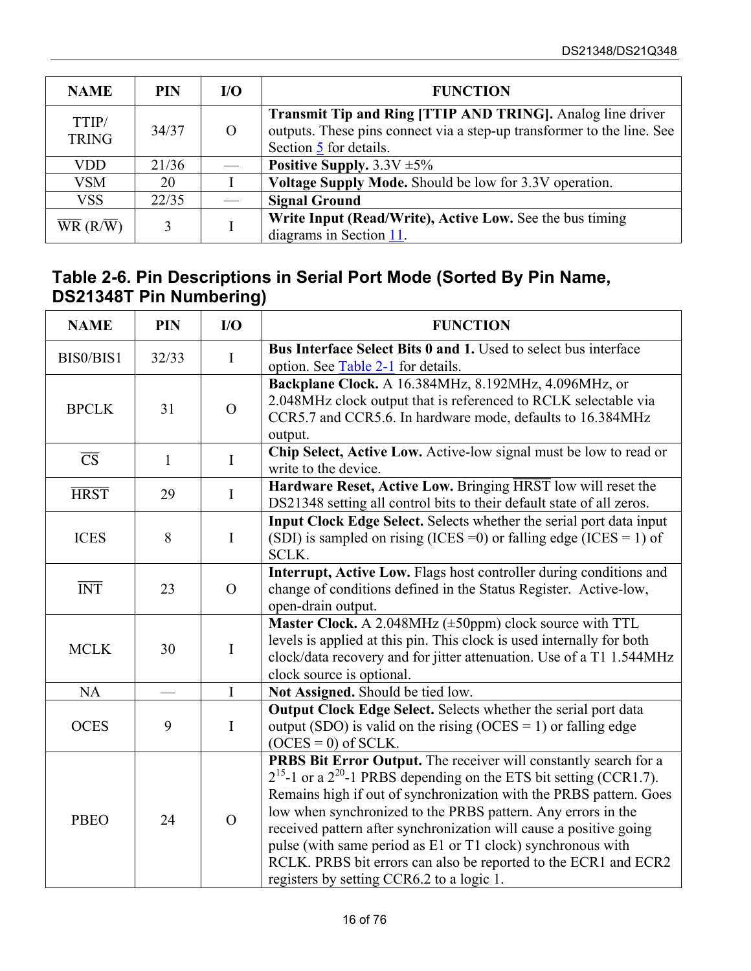| <b>NAME</b>                                        | <b>PIN</b> | I/O | <b>FUNCTION</b>                                                                                                                                                       |  |
|----------------------------------------------------|------------|-----|-----------------------------------------------------------------------------------------------------------------------------------------------------------------------|--|
| TTIP/<br><b>TRING</b>                              | 34/37      |     | <b>Transmit Tip and Ring [TTIP AND TRING].</b> Analog line driver<br>outputs. These pins connect via a step-up transformer to the line. See<br>Section 5 for details. |  |
| VDD                                                | 21/36      |     | Positive Supply. $3.3V \pm 5\%$                                                                                                                                       |  |
| <b>VSM</b>                                         | 20         |     | Voltage Supply Mode. Should be low for 3.3V operation.                                                                                                                |  |
| <b>VSS</b>                                         | 22/35      |     | <b>Signal Ground</b>                                                                                                                                                  |  |
| $\overline{\text{WR}}$ (R/ $\overline{\text{W}}$ ) | 3          |     | Write Input (Read/Write), Active Low. See the bus timing<br>diagrams in Section 11.                                                                                   |  |

#### <span id="page-15-0"></span>**Table 2-6. Pin Descriptions in Serial Port Mode (Sorted By Pin Name, DS21348T Pin Numbering)**

| <b>NAME</b>            | <b>PIN</b>   | I/O            | <b>FUNCTION</b>                                                                                                                                                                                                                                                                                                                                                                                                                                                                                                                             |  |  |
|------------------------|--------------|----------------|---------------------------------------------------------------------------------------------------------------------------------------------------------------------------------------------------------------------------------------------------------------------------------------------------------------------------------------------------------------------------------------------------------------------------------------------------------------------------------------------------------------------------------------------|--|--|
| BIS0/BIS1              | 32/33        | $\mathbf I$    | Bus Interface Select Bits 0 and 1. Used to select bus interface<br>option. See Table 2-1 for details.                                                                                                                                                                                                                                                                                                                                                                                                                                       |  |  |
| <b>BPCLK</b>           | 31           | $\Omega$       | Backplane Clock. A 16.384MHz, 8.192MHz, 4.096MHz, or<br>2.048MHz clock output that is referenced to RCLK selectable via<br>CCR5.7 and CCR5.6. In hardware mode, defaults to 16.384MHz<br>output.                                                                                                                                                                                                                                                                                                                                            |  |  |
| $\overline{\text{CS}}$ | $\mathbf{1}$ | $\bf{I}$       | Chip Select, Active Low. Active-low signal must be low to read or<br>write to the device.                                                                                                                                                                                                                                                                                                                                                                                                                                                   |  |  |
| <b>HRST</b>            | 29           | $\bf{I}$       | Hardware Reset, Active Low. Bringing HRST low will reset the<br>DS21348 setting all control bits to their default state of all zeros.                                                                                                                                                                                                                                                                                                                                                                                                       |  |  |
| <b>ICES</b>            | 8            | $\mathbf I$    | Input Clock Edge Select. Selects whether the serial port data input<br>(SDI) is sampled on rising (ICES = 0) or falling edge (ICES = 1) of<br>SCLK.                                                                                                                                                                                                                                                                                                                                                                                         |  |  |
| <b>INT</b>             | 23           | $\overline{O}$ | Interrupt, Active Low. Flags host controller during conditions and<br>change of conditions defined in the Status Register. Active-low,<br>open-drain output.                                                                                                                                                                                                                                                                                                                                                                                |  |  |
| <b>MCLK</b>            | 30           | $\mathbf I$    | <b>Master Clock.</b> A 2.048MHz $(\pm 50$ ppm) clock source with TTL<br>levels is applied at this pin. This clock is used internally for both<br>clock/data recovery and for jitter attenuation. Use of a T1 1.544MHz<br>clock source is optional.                                                                                                                                                                                                                                                                                          |  |  |
| <b>NA</b>              |              | $\mathbf I$    | Not Assigned. Should be tied low.                                                                                                                                                                                                                                                                                                                                                                                                                                                                                                           |  |  |
| <b>OCES</b>            | 9            | $\mathbf I$    | Output Clock Edge Select. Selects whether the serial port data<br>output (SDO) is valid on the rising (OCES = 1) or falling edge<br>$(OCES = 0)$ of SCLK.                                                                                                                                                                                                                                                                                                                                                                                   |  |  |
| <b>PBEO</b>            | 24           | $\overline{O}$ | PRBS Bit Error Output. The receiver will constantly search for a<br>$2^{15}$ -1 or a $2^{20}$ -1 PRBS depending on the ETS bit setting (CCR1.7).<br>Remains high if out of synchronization with the PRBS pattern. Goes<br>low when synchronized to the PRBS pattern. Any errors in the<br>received pattern after synchronization will cause a positive going<br>pulse (with same period as E1 or T1 clock) synchronous with<br>RCLK. PRBS bit errors can also be reported to the ECR1 and ECR2<br>registers by setting CCR6.2 to a logic 1. |  |  |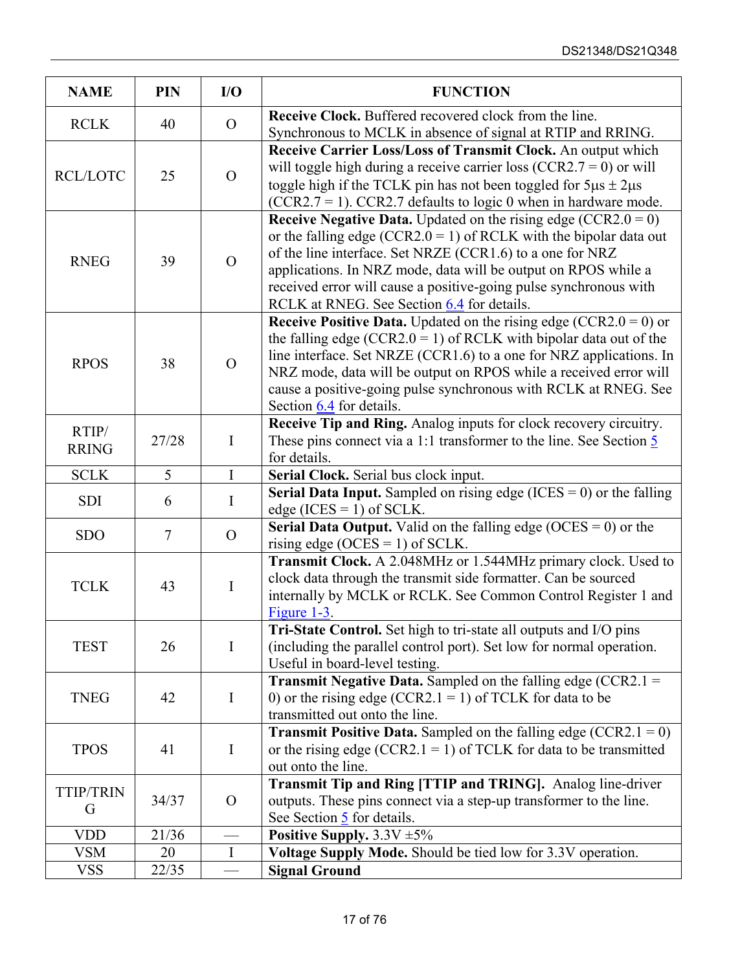| <b>NAME</b>           | PIN    | I/O            | <b>FUNCTION</b>                                                                                                                                                                                                                                                                                                                                                                               |  |  |  |
|-----------------------|--------|----------------|-----------------------------------------------------------------------------------------------------------------------------------------------------------------------------------------------------------------------------------------------------------------------------------------------------------------------------------------------------------------------------------------------|--|--|--|
| <b>RCLK</b>           | 40     | $\overline{O}$ | Receive Clock. Buffered recovered clock from the line.<br>Synchronous to MCLK in absence of signal at RTIP and RRING.                                                                                                                                                                                                                                                                         |  |  |  |
| <b>RCL/LOTC</b>       | 25     | $\overline{O}$ | Receive Carrier Loss/Loss of Transmit Clock. An output which<br>will toggle high during a receive carrier loss (CCR2.7 = 0) or will<br>toggle high if the TCLK pin has not been toggled for $5\mu s \pm 2\mu s$<br>$(CCR2.7 = 1)$ . CCR2.7 defaults to logic 0 when in hardware mode.                                                                                                         |  |  |  |
| <b>RNEG</b>           | 39     | $\Omega$       | <b>Receive Negative Data.</b> Updated on the rising edge (CCR2.0 = 0)<br>or the falling edge (CCR2.0 = 1) of RCLK with the bipolar data out<br>of the line interface. Set NRZE (CCR1.6) to a one for NRZ<br>applications. In NRZ mode, data will be output on RPOS while a<br>received error will cause a positive-going pulse synchronous with<br>RCLK at RNEG. See Section 6.4 for details. |  |  |  |
| <b>RPOS</b>           | 38     | $\Omega$       | <b>Receive Positive Data.</b> Updated on the rising edge (CCR2.0 = 0) or<br>the falling edge (CCR2.0 = 1) of RCLK with bipolar data out of the<br>line interface. Set NRZE (CCR1.6) to a one for NRZ applications. In<br>NRZ mode, data will be output on RPOS while a received error will<br>cause a positive-going pulse synchronous with RCLK at RNEG. See<br>Section 6.4 for details.     |  |  |  |
| RTIP/<br><b>RRING</b> | 27/28  | $\bf{I}$       | Receive Tip and Ring. Analog inputs for clock recovery circuitry.<br>These pins connect via a 1:1 transformer to the line. See Section $\frac{5}{2}$<br>for details.                                                                                                                                                                                                                          |  |  |  |
| <b>SCLK</b>           | 5      | $\mathbf I$    | Serial Clock. Serial bus clock input.                                                                                                                                                                                                                                                                                                                                                         |  |  |  |
| <b>SDI</b>            | 6      | I              | <b>Serial Data Input.</b> Sampled on rising edge (ICES = $0$ ) or the falling<br>edge (ICES = 1) of SCLK.                                                                                                                                                                                                                                                                                     |  |  |  |
| <b>SDO</b>            | $\tau$ | $\Omega$       | <b>Serial Data Output.</b> Valid on the falling edge (OCES = 0) or the<br>rising edge (OCES = 1) of SCLK.                                                                                                                                                                                                                                                                                     |  |  |  |
| <b>TCLK</b>           | 43     | $\mathbf I$    | Transmit Clock. A 2.048MHz or 1.544MHz primary clock. Used to<br>clock data through the transmit side formatter. Can be sourced<br>internally by MCLK or RCLK. See Common Control Register 1 and<br>Figure $1-3$ .                                                                                                                                                                            |  |  |  |
| <b>TEST</b>           | 26     | $\mathbf I$    | Tri-State Control. Set high to tri-state all outputs and I/O pins<br>(including the parallel control port). Set low for normal operation.<br>Useful in board-level testing.                                                                                                                                                                                                                   |  |  |  |
| <b>TNEG</b>           | 42     | I              | <b>Transmit Negative Data.</b> Sampled on the falling edge (CCR2.1 =<br>0) or the rising edge (CCR2.1 = 1) of TCLK for data to be<br>transmitted out onto the line.                                                                                                                                                                                                                           |  |  |  |
| <b>TPOS</b>           | 41     | $\mathbf I$    | <b>Transmit Positive Data.</b> Sampled on the falling edge (CCR2.1 = 0)<br>or the rising edge (CCR2.1 = 1) of TCLK for data to be transmitted<br>out onto the line.                                                                                                                                                                                                                           |  |  |  |
| <b>TTIP/TRIN</b><br>G | 34/37  | $\overline{O}$ | Transmit Tip and Ring [TTIP and TRING]. Analog line-driver<br>outputs. These pins connect via a step-up transformer to the line.<br>See Section 5 for details.                                                                                                                                                                                                                                |  |  |  |
| <b>VDD</b>            | 21/36  |                | Positive Supply. $3.3V \pm 5\%$                                                                                                                                                                                                                                                                                                                                                               |  |  |  |
| <b>VSM</b>            | 20     | $\bf{I}$       | Voltage Supply Mode. Should be tied low for 3.3V operation.                                                                                                                                                                                                                                                                                                                                   |  |  |  |
| <b>VSS</b>            | 22/35  |                | <b>Signal Ground</b>                                                                                                                                                                                                                                                                                                                                                                          |  |  |  |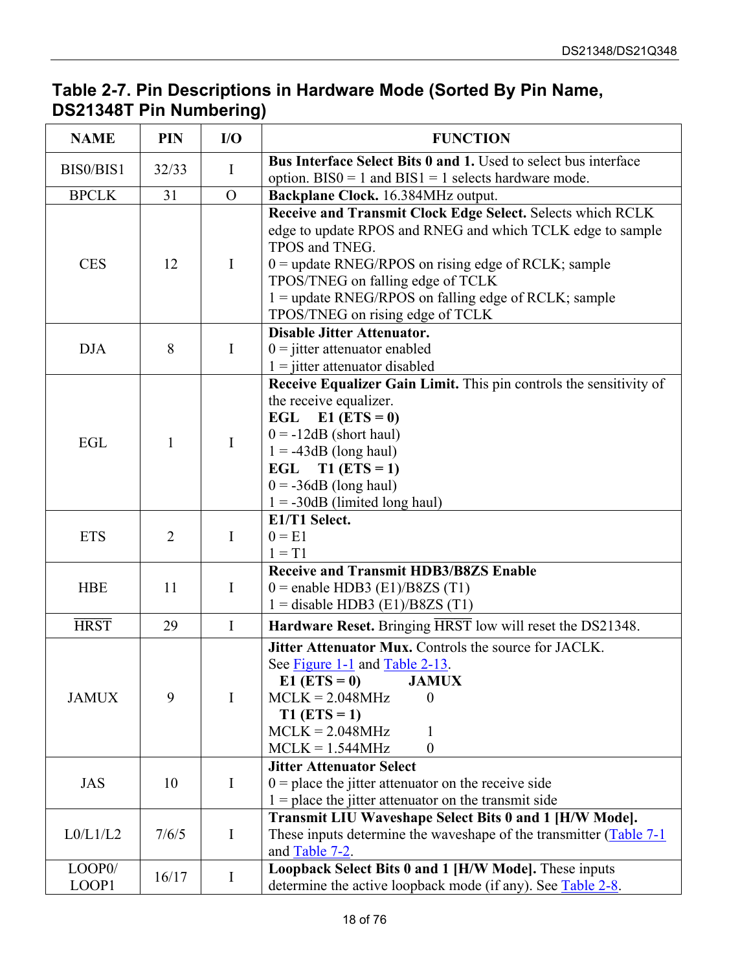#### <span id="page-17-0"></span>**Table 2-7. Pin Descriptions in Hardware Mode (Sorted By Pin Name, DS21348T Pin Numbering)**

| <b>NAME</b>     | <b>PIN</b>     | I/O            | <b>FUNCTION</b>                                                                                                                                                                                                                                                                                                                    |  |  |  |
|-----------------|----------------|----------------|------------------------------------------------------------------------------------------------------------------------------------------------------------------------------------------------------------------------------------------------------------------------------------------------------------------------------------|--|--|--|
| BIS0/BIS1       | 32/33          | $\bf{I}$       | <b>Bus Interface Select Bits 0 and 1.</b> Used to select bus interface                                                                                                                                                                                                                                                             |  |  |  |
|                 |                |                | option. $BIS0 = 1$ and $BIS1 = 1$ selects hardware mode.                                                                                                                                                                                                                                                                           |  |  |  |
| <b>BPCLK</b>    | 31             | $\overline{O}$ | Backplane Clock. 16.384MHz output.                                                                                                                                                                                                                                                                                                 |  |  |  |
| <b>CES</b>      | 12             | $\mathbf I$    | Receive and Transmit Clock Edge Select. Selects which RCLK<br>edge to update RPOS and RNEG and which TCLK edge to sample<br>TPOS and TNEG.<br>0 = update RNEG/RPOS on rising edge of RCLK; sample<br>TPOS/TNEG on falling edge of TCLK<br>1 = update RNEG/RPOS on falling edge of RCLK; sample<br>TPOS/TNEG on rising edge of TCLK |  |  |  |
|                 |                |                | <b>Disable Jitter Attenuator.</b>                                                                                                                                                                                                                                                                                                  |  |  |  |
| <b>DJA</b>      | 8              | $\mathbf I$    | $0 =$ jitter attenuator enabled                                                                                                                                                                                                                                                                                                    |  |  |  |
|                 |                |                | $1 =$ jitter attenuator disabled                                                                                                                                                                                                                                                                                                   |  |  |  |
| EGL             | 1              | $\mathbf I$    | Receive Equalizer Gain Limit. This pin controls the sensitivity of<br>the receive equalizer.<br>EGL E1 $(ETS = 0)$<br>$0 = -12dB$ (short haul)<br>$1 = -43dB$ (long haul)<br>EGL T1 (ETS = 1)<br>$0 = -36dB$ (long haul)<br>$1 = -30dB$ (limited long haul)                                                                        |  |  |  |
| <b>ETS</b>      | $\overline{2}$ | I              | E1/T1 Select.<br>$0 = E1$<br>$1 = T1$                                                                                                                                                                                                                                                                                              |  |  |  |
| <b>HBE</b>      | 11             | $\mathbf I$    | <b>Receive and Transmit HDB3/B8ZS Enable</b><br>$0$ = enable HDB3 (E1)/B8ZS (T1)<br>$1 =$ disable HDB3 (E1)/B8ZS (T1)                                                                                                                                                                                                              |  |  |  |
| <b>HRST</b>     | 29             | $\mathbf I$    | Hardware Reset. Bringing HRST low will reset the DS21348.                                                                                                                                                                                                                                                                          |  |  |  |
| <b>JAMUX</b>    | 9              | I              | Jitter Attenuator Mux. Controls the source for JACLK.<br>See Figure 1-1 and Table 2-13.<br>$E1 (ETS = 0)$<br><b>JAMUX</b><br>$MCLK = 2.048 MHz$<br>$T1(ETS = 1)$<br>$MCLK = 2.048 MHz$<br>$MCLK = 1.544MHz$<br>$\boldsymbol{0}$                                                                                                    |  |  |  |
| <b>JAS</b>      | 10             | I              | <b>Jitter Attenuator Select</b><br>$0$ = place the jitter attenuator on the receive side                                                                                                                                                                                                                                           |  |  |  |
| L0/L1/L2        | 7/6/5          | I              | $1 =$ place the jitter attenuator on the transmit side<br>Transmit LIU Waveshape Select Bits 0 and 1 [H/W Mode].<br>These inputs determine the waveshape of the transmitter $(Table 7-1)$<br>and Table 7-2.                                                                                                                        |  |  |  |
| LOOP0/<br>LOOP1 | 16/17          | $\bf{I}$       | Loopback Select Bits 0 and 1 [H/W Mode]. These inputs<br>determine the active loopback mode (if any). See Table 2-8.                                                                                                                                                                                                               |  |  |  |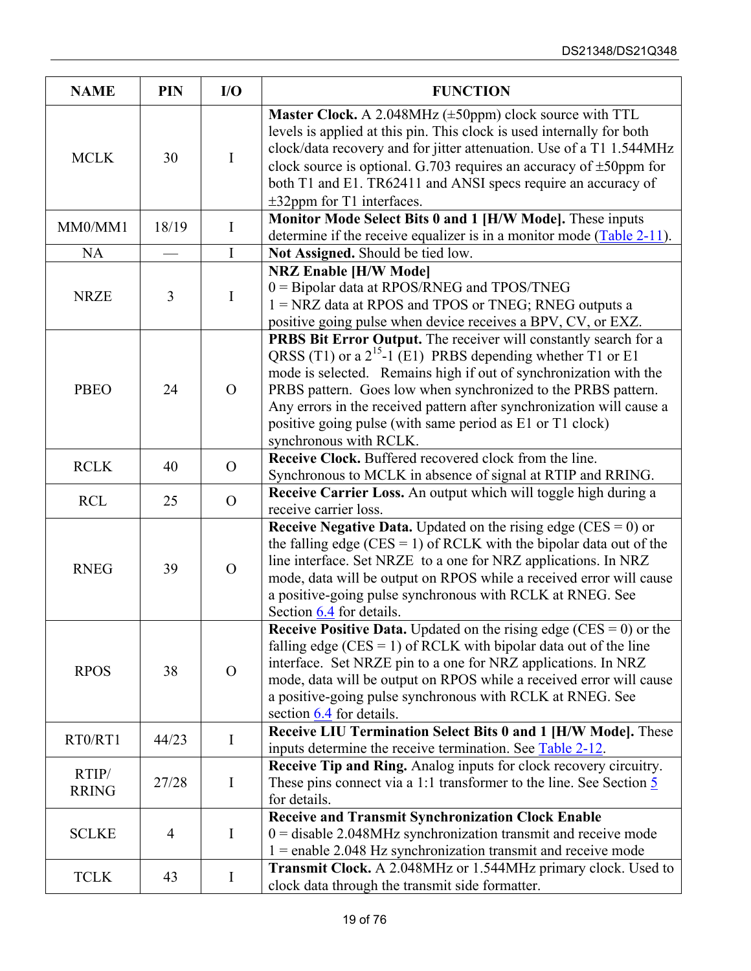| <b>NAME</b>           | <b>PIN</b>     | I/O            | <b>FUNCTION</b>                                                                                                                                                                                                                                                                                                                                                                                                                           |  |  |
|-----------------------|----------------|----------------|-------------------------------------------------------------------------------------------------------------------------------------------------------------------------------------------------------------------------------------------------------------------------------------------------------------------------------------------------------------------------------------------------------------------------------------------|--|--|
| <b>MCLK</b>           | 30             | $\mathbf I$    | <b>Master Clock.</b> A 2.048MHz $(\pm 50$ ppm) clock source with TTL<br>levels is applied at this pin. This clock is used internally for both<br>clock/data recovery and for jitter attenuation. Use of a T1 1.544MHz<br>clock source is optional. G.703 requires an accuracy of $\pm$ 50ppm for<br>both T1 and E1. TR62411 and ANSI specs require an accuracy of<br>$\pm 32$ ppm for T1 interfaces.                                      |  |  |
| MM0/MM1               | 18/19          | $\mathbf I$    | Monitor Mode Select Bits 0 and 1 [H/W Mode]. These inputs                                                                                                                                                                                                                                                                                                                                                                                 |  |  |
|                       |                |                | determine if the receive equalizer is in a monitor mode $(Table 2-11)$ .                                                                                                                                                                                                                                                                                                                                                                  |  |  |
| <b>NA</b>             |                | $\mathbf I$    | Not Assigned. Should be tied low.                                                                                                                                                                                                                                                                                                                                                                                                         |  |  |
| <b>NRZE</b>           | $\overline{3}$ | $\mathbf I$    | <b>NRZ Enable [H/W Mode]</b><br>0 = Bipolar data at RPOS/RNEG and TPOS/TNEG<br>1 = NRZ data at RPOS and TPOS or TNEG; RNEG outputs a<br>positive going pulse when device receives a BPV, CV, or EXZ.                                                                                                                                                                                                                                      |  |  |
| <b>PBEO</b>           | 24             | $\Omega$       | PRBS Bit Error Output. The receiver will constantly search for a<br>QRSS (T1) or a $2^{15}$ -1 (E1) PRBS depending whether T1 or E1<br>mode is selected. Remains high if out of synchronization with the<br>PRBS pattern. Goes low when synchronized to the PRBS pattern.<br>Any errors in the received pattern after synchronization will cause a<br>positive going pulse (with same period as E1 or T1 clock)<br>synchronous with RCLK. |  |  |
| <b>RCLK</b>           | 40             | $\Omega$       | Receive Clock. Buffered recovered clock from the line.<br>Synchronous to MCLK in absence of signal at RTIP and RRING.                                                                                                                                                                                                                                                                                                                     |  |  |
| <b>RCL</b>            | 25             | $\Omega$       | Receive Carrier Loss. An output which will toggle high during a<br>receive carrier loss.                                                                                                                                                                                                                                                                                                                                                  |  |  |
| <b>RNEG</b>           | 39             | $\Omega$       | <b>Receive Negative Data.</b> Updated on the rising edge (CES = $0$ ) or<br>the falling edge (CES = 1) of RCLK with the bipolar data out of the<br>line interface. Set NRZE to a one for NRZ applications. In NRZ<br>mode, data will be output on RPOS while a received error will cause<br>a positive-going pulse synchronous with RCLK at RNEG. See<br>Section $6.4$ for details.                                                       |  |  |
| <b>RPOS</b>           | 38             | $\overline{O}$ | <b>Receive Positive Data.</b> Updated on the rising edge (CES = $0$ ) or the<br>falling edge ( $CES = 1$ ) of RCLK with bipolar data out of the line<br>interface. Set NRZE pin to a one for NRZ applications. In NRZ<br>mode, data will be output on RPOS while a received error will cause<br>a positive-going pulse synchronous with RCLK at RNEG. See<br>section $6.4$ for details.                                                   |  |  |
| RT0/RT1               | 44/23          | I              | Receive LIU Termination Select Bits 0 and 1 [H/W Mode]. These<br>inputs determine the receive termination. See Table 2-12.                                                                                                                                                                                                                                                                                                                |  |  |
| RTIP/<br><b>RRING</b> | 27/28          | $\mathbf I$    | Receive Tip and Ring. Analog inputs for clock recovery circuitry.<br>These pins connect via a 1:1 transformer to the line. See Section $\frac{5}{5}$<br>for details.                                                                                                                                                                                                                                                                      |  |  |
| <b>SCLKE</b>          | $\overline{4}$ | $\mathbf I$    | <b>Receive and Transmit Synchronization Clock Enable</b><br>$0 =$ disable 2.048MHz synchronization transmit and receive mode<br>$1$ = enable 2.048 Hz synchronization transmit and receive mode                                                                                                                                                                                                                                           |  |  |
| <b>TCLK</b>           | 43             | $\bf{I}$       | <b>Transmit Clock.</b> A 2.048MHz or 1.544MHz primary clock. Used to<br>clock data through the transmit side formatter.                                                                                                                                                                                                                                                                                                                   |  |  |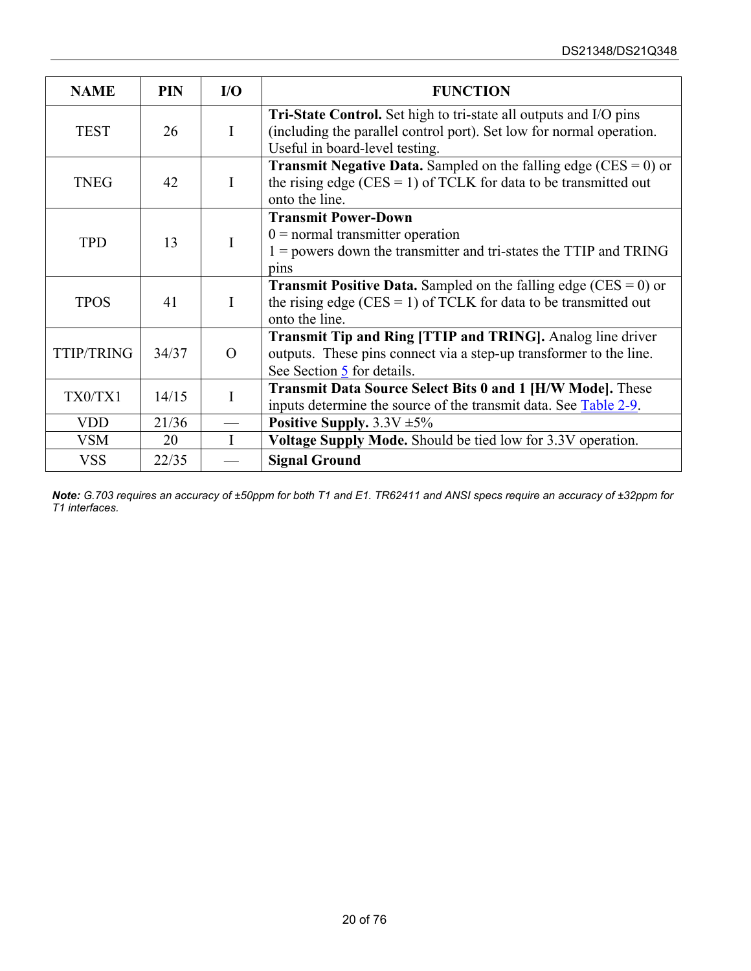| <b>NAME</b>       | <b>PIN</b> | $U$          | <b>FUNCTION</b>                                                                                                                                                             |  |
|-------------------|------------|--------------|-----------------------------------------------------------------------------------------------------------------------------------------------------------------------------|--|
| <b>TEST</b>       | 26         | I            | Tri-State Control. Set high to tri-state all outputs and I/O pins<br>(including the parallel control port). Set low for normal operation.<br>Useful in board-level testing. |  |
| <b>TNEG</b>       | 42         | $\mathbf{I}$ | <b>Transmit Negative Data.</b> Sampled on the falling edge (CES = $0$ ) or<br>the rising edge (CES = 1) of TCLK for data to be transmitted out<br>onto the line.            |  |
| <b>TPD</b>        | 13         | I            | <b>Transmit Power-Down</b><br>$0 =$ normal transmitter operation<br>$1 =$ powers down the transmitter and tri-states the TTIP and TRING<br>pins                             |  |
| <b>TPOS</b>       | 41         |              | <b>Transmit Positive Data.</b> Sampled on the falling edge (CES = $0$ ) or<br>the rising edge (CES = 1) of TCLK for data to be transmitted out<br>onto the line.            |  |
| <b>TTIP/TRING</b> | 34/37      | $\Omega$     | Transmit Tip and Ring [TTIP and TRING]. Analog line driver<br>outputs. These pins connect via a step-up transformer to the line.<br>See Section $\frac{5}{5}$ for details.  |  |
| TX0/TX1           | 14/15      |              | <b>Transmit Data Source Select Bits 0 and 1 [H/W Mode].</b> These<br>inputs determine the source of the transmit data. See Table 2-9.                                       |  |
| <b>VDD</b>        | 21/36      |              | Positive Supply. $3.3V \pm 5\%$                                                                                                                                             |  |
| <b>VSM</b>        | 20         | $\mathbf{I}$ | <b>Voltage Supply Mode.</b> Should be tied low for 3.3V operation.                                                                                                          |  |
| <b>VSS</b>        | 22/35      |              | <b>Signal Ground</b>                                                                                                                                                        |  |

*Note: G.703 requires an accuracy of ±50ppm for both T1 and E1. TR62411 and ANSI specs require an accuracy of ±32ppm for T1 interfaces.*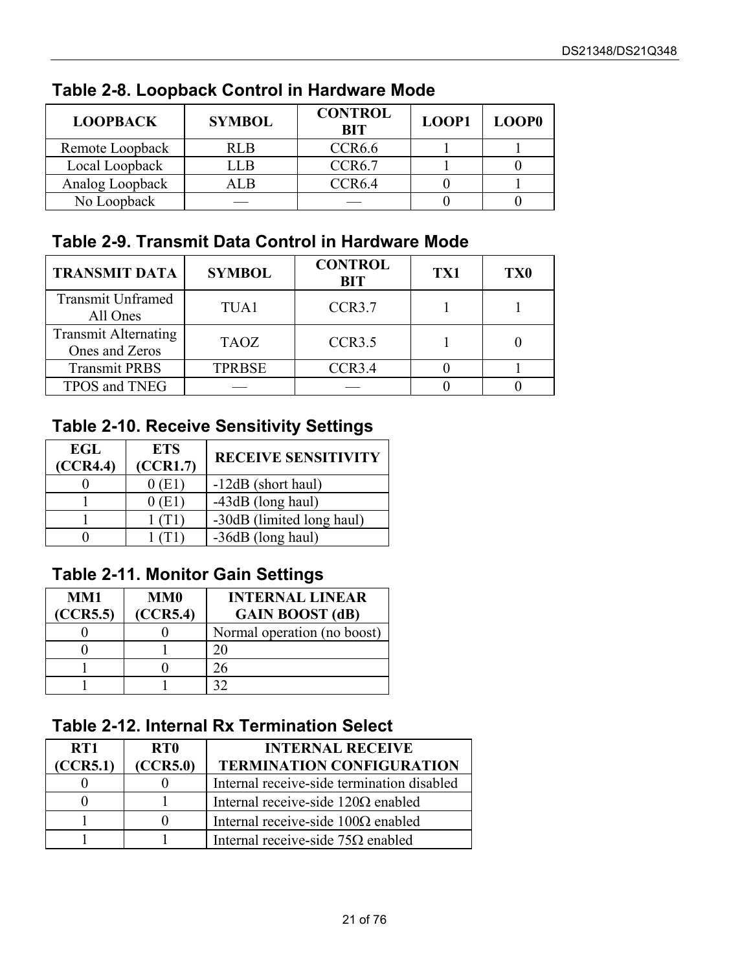| <b>LOOPBACK</b> | <b>SYMBOL</b> | <b>CONTROL</b><br><b>BIT</b> | LOOP1 | LOOP <sub>0</sub> |
|-----------------|---------------|------------------------------|-------|-------------------|
| Remote Loopback | RLB.          | CCR <sub>6.6</sub>           |       |                   |
| Local Loopback  | ' J.B         | CCR6.7                       |       |                   |
| Analog Loopback | . I R         | CCR <sub>6.4</sub>           |       |                   |
| No Loopback     |               |                              |       |                   |

### <span id="page-20-0"></span>**Table 2-8. Loopback Control in Hardware Mode**

### <span id="page-20-1"></span>**Table 2-9. Transmit Data Control in Hardware Mode**

| <b>TRANSMIT DATA</b>                          | <b>SYMBOL</b> | <b>CONTROL</b><br><b>BIT</b> | TX1 | <b>TX0</b> |
|-----------------------------------------------|---------------|------------------------------|-----|------------|
| <b>Transmit Unframed</b><br>All Ones          | TUA1          | CCR <sub>3.7</sub>           |     |            |
| <b>Transmit Alternating</b><br>Ones and Zeros | <b>TAOZ</b>   | CCR3.5                       |     |            |
| <b>Transmit PRBS</b>                          | <b>TPRBSE</b> | CCR3.4                       |     |            |
| TPOS and TNEG                                 |               |                              |     |            |

### <span id="page-20-2"></span>**Table 2-10. Receive Sensitivity Settings**

| EGL<br>(CCR4.4) | <b>ETS</b><br>(CCR1.7) | <b>RECEIVE SENSITIVITY</b> |
|-----------------|------------------------|----------------------------|
|                 | 0(E1)                  | -12dB (short haul)         |
|                 | 0 (E1)                 | -43dB (long haul)          |
|                 |                        | -30dB (limited long haul)  |
|                 |                        | -36dB (long haul)          |

### <span id="page-20-3"></span>**Table 2-11. Monitor Gain Settings**

| MM1      | MM0      | <b>INTERNAL LINEAR</b>      |
|----------|----------|-----------------------------|
| (CCR5.5) | (CCR5.4) | <b>GAIN BOOST</b> (dB)      |
|          |          | Normal operation (no boost) |
|          |          |                             |
|          |          | 76                          |
|          |          |                             |

### <span id="page-20-4"></span>**Table 2-12. Internal Rx Termination Select**

| RT <sub>1</sub><br>(CCR5.1) | RT <sub>0</sub><br>(CCR5.0) | <b>INTERNAL RECEIVE</b><br><b>TERMINATION CONFIGURATION</b> |
|-----------------------------|-----------------------------|-------------------------------------------------------------|
|                             |                             |                                                             |
|                             |                             | Internal receive-side termination disabled                  |
|                             |                             | Internal receive-side $120\Omega$ enabled                   |
|                             |                             | Internal receive-side $100\Omega$ enabled                   |
|                             |                             | Internal receive-side $75\Omega$ enabled                    |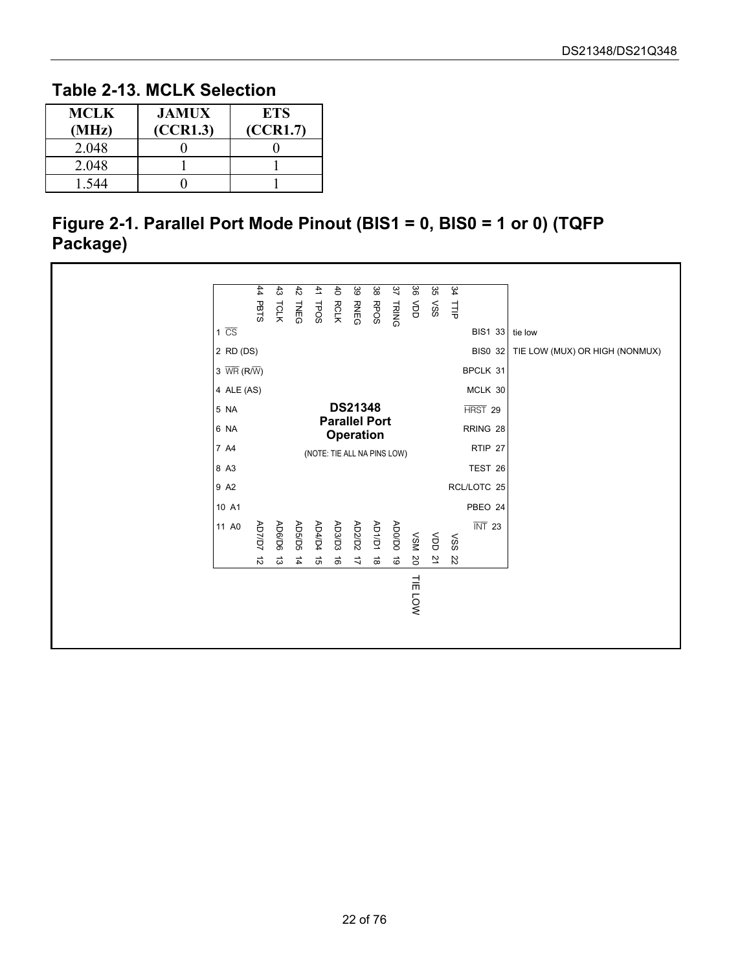#### <span id="page-21-1"></span>**Table 2-13. MCLK Selection**

| <b>MCLK</b><br>(MHz) | <b>JAMUX</b><br>(CCR1.3) | <b>ETS</b><br>(CCR1.7) |
|----------------------|--------------------------|------------------------|
| 2.048                |                          |                        |
| 2.048                |                          |                        |
| -544                 |                          |                        |

#### <span id="page-21-0"></span>**Figure 2-1. Parallel Port Mode Pinout (BIS1 = 0, BIS0 = 1 or 0) (TQFP Package)**

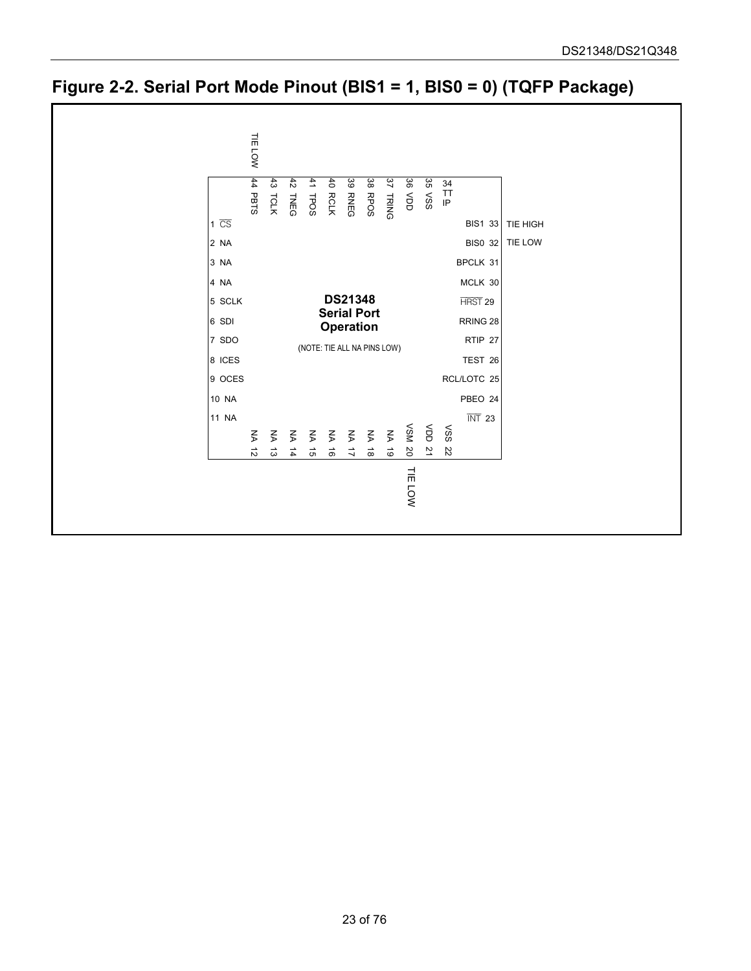<span id="page-22-0"></span>

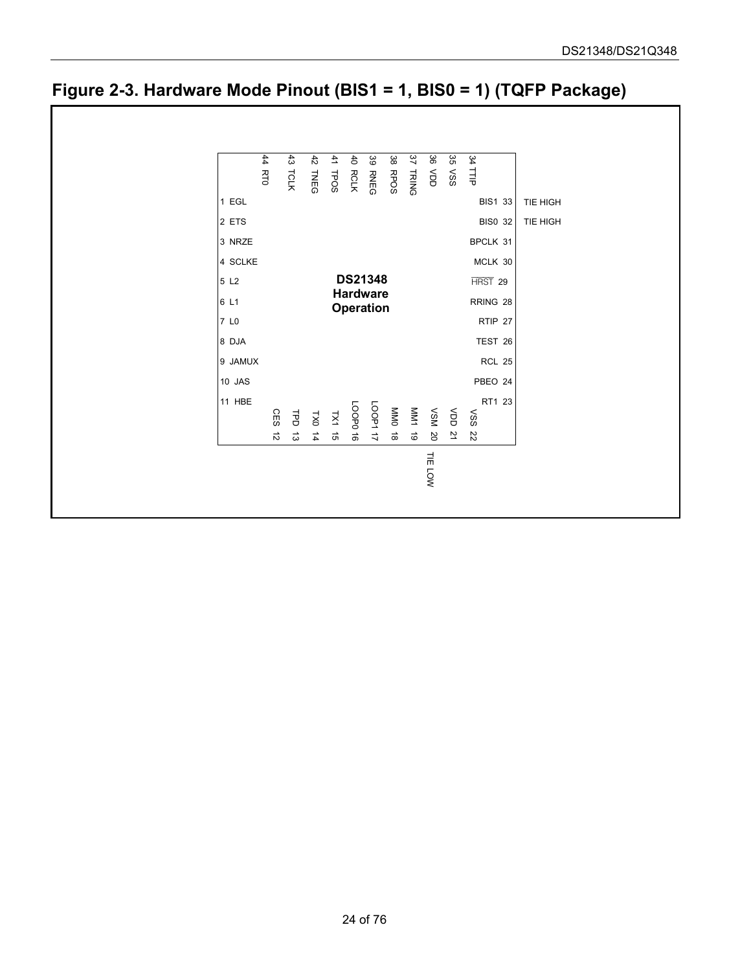

### <span id="page-23-0"></span>**Figure 2-3. Hardware Mode Pinout (BIS1 = 1, BIS0 = 1) (TQFP Package)**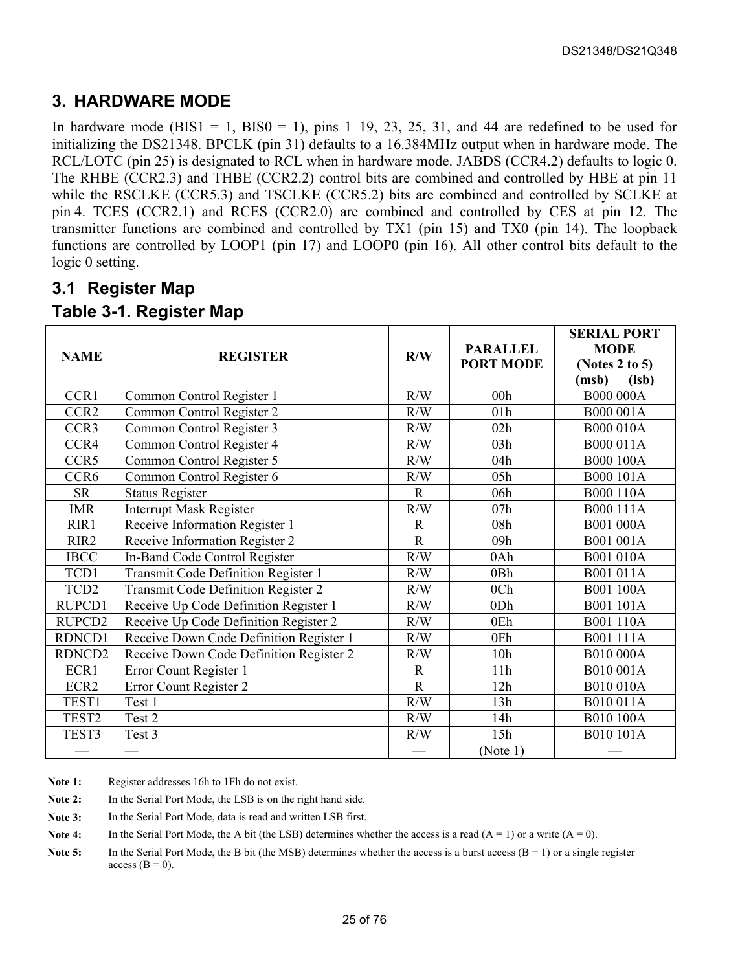### <span id="page-24-0"></span>**3. HARDWARE MODE**

In hardware mode (BIS1 = 1, BIS0 = 1), pins  $1-19$ ,  $23$ ,  $25$ ,  $31$ , and 44 are redefined to be used for initializing the DS21348. BPCLK (pin 31) defaults to a 16.384MHz output when in hardware mode. The RCL/LOTC (pin 25) is designated to RCL when in hardware mode. JABDS (CCR4.2) defaults to logic 0. The RHBE (CCR2.3) and THBE (CCR2.2) control bits are combined and controlled by HBE at pin 11 while the RSCLKE (CCR5.3) and TSCLKE (CCR5.2) bits are combined and controlled by SCLKE at pin 4. TCES (CCR2.1) and RCES (CCR2.0) are combined and controlled by CES at pin 12. The transmitter functions are combined and controlled by TX1 (pin 15) and TX0 (pin 14). The loopback functions are controlled by LOOP1 (pin 17) and LOOP0 (pin 16). All other control bits default to the logic 0 setting.

### <span id="page-24-1"></span>**3.1 Register Map**

#### <span id="page-24-2"></span>**Table 3-1. Register Map**

|                    |                                         |             | <b>PARALLEL</b>  | <b>SERIAL PORT</b><br><b>MODE</b> |
|--------------------|-----------------------------------------|-------------|------------------|-----------------------------------|
| <b>NAME</b>        | <b>REGISTER</b>                         | R/W         | <b>PORT MODE</b> | (Notes 2 to 5)                    |
|                    |                                         |             |                  | (lsb)<br>(msb)                    |
| CCR1               | Common Control Register 1               | R/W         | 00h              | <b>B000 000A</b>                  |
| CCR <sub>2</sub>   | Common Control Register 2               | R/W         | 01h              | B000 001A                         |
| CCR3               | Common Control Register 3               | R/W         | 02h              | <b>B000 010A</b>                  |
| CCR4               | Common Control Register 4               | R/W         | 03h              | B000 011A                         |
| CCR5               | Common Control Register 5               | R/W         | 04h              | <b>B000 100A</b>                  |
| CCR <sub>6</sub>   | Common Control Register 6               | R/W         | 05h              | <b>B000 101A</b>                  |
| <b>SR</b>          | <b>Status Register</b>                  | $\mathbf R$ | 06h              | B000 110A                         |
| <b>IMR</b>         | <b>Interrupt Mask Register</b>          | R/W         | 07h              | B000 111A                         |
| RIR1               | Receive Information Register 1          | $\mathbf R$ | 08h              | B001 000A                         |
| RIR <sub>2</sub>   | Receive Information Register 2          | $\mathbf R$ | 09h              | B001 001A                         |
| <b>IBCC</b>        | In-Band Code Control Register           | R/W         | 0Ah              | B001 010A                         |
| TCD1               | Transmit Code Definition Register 1     | R/W         | 0Bh              | B001 011A                         |
| TCD <sub>2</sub>   | Transmit Code Definition Register 2     | R/W         | 0 <sub>Ch</sub>  | B001 100A                         |
| RUPCD1             | Receive Up Code Definition Register 1   | R/W         | 0Dh              | B001 101A                         |
| RUPCD2             | Receive Up Code Definition Register 2   | R/W         | 0Eh              | B001 110A                         |
| RDNCD1             | Receive Down Code Definition Register 1 | R/W         | 0Fh              | B001 111A                         |
| RDNCD <sub>2</sub> | Receive Down Code Definition Register 2 | R/W         | 10 <sub>h</sub>  | B010 000A                         |
| ECR1               | Error Count Register 1                  | $\mathbf R$ | 11h              | B010 001A                         |
| ECR <sub>2</sub>   | Error Count Register 2                  | $\mathbf R$ | 12h              | B010 010A                         |
| TEST1              | Test 1                                  | R/W         | 13h              | B010 011A                         |
| TEST <sub>2</sub>  | Test 2                                  | R/W         | 14h              | B010 100A                         |
| TEST3              | Test 3                                  | R/W         | 15h              | B010 101A                         |
|                    |                                         |             | (Note 1)         |                                   |

Note 1: Register addresses 16h to 1Fh do not exist.

Note 2: In the Serial Port Mode, the LSB is on the right hand side.

Note 3: In the Serial Port Mode, data is read and written LSB first.

**Note 4:** In the Serial Port Mode, the A bit (the LSB) determines whether the access is a read  $(A = 1)$  or a write  $(A = 0)$ .

**Note 5:** In the Serial Port Mode, the B bit (the MSB) determines whether the access is a burst access  $(B = 1)$  or a single register access  $(B = 0)$ .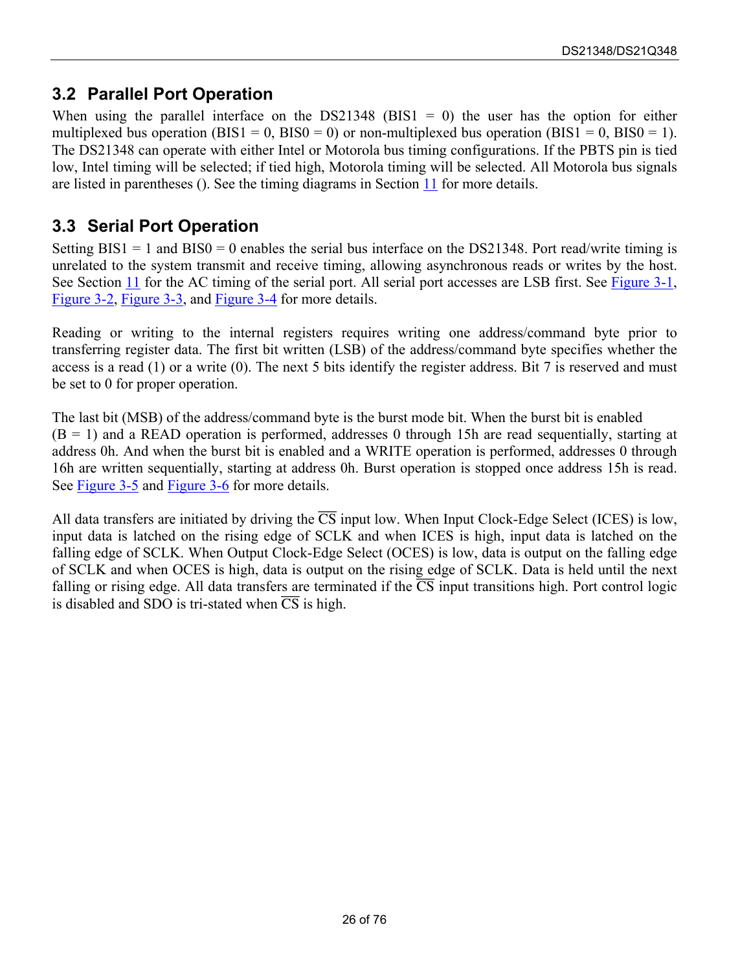### <span id="page-25-0"></span>**3.2 Parallel Port Operation**

When using the parallel interface on the DS21348 (BIS1 = 0) the user has the option for either multiplexed bus operation (BIS1 = 0, BIS0 = 0) or non-multiplexed bus operation (BIS1 = 0, BIS0 = 1). The DS21348 can operate with either Intel or Motorola bus timing configurations. If the PBTS pin is tied low, Intel timing will be selected; if tied high, Motorola timing will be selected. All Motorola bus signals are listed in parentheses (). See the timing diagrams in Section [11](#page-63-0) for more details.

### <span id="page-25-1"></span>**3.3 Serial Port Operation**

Setting  $BIS1 = 1$  and  $BIS0 = 0$  enables the serial bus interface on the DS21348. Port read/write timing is unrelated to the system transmit and receive timing, allowing asynchronous reads or writes by the host. See Section [11](#page-63-0) for the AC timing of the serial port. All serial port accesses are LSB first. See Figure 3-1, [Figure 3-2,](#page-26-1) [Figure 3-3,](#page-26-2) and [Figure 3-4 f](#page-27-0)or more details.

Reading or writing to the internal registers requires writing one address/command byte prior to transferring register data. The first bit written (LSB) of the address/command byte specifies whether the access is a read (1) or a write (0). The next 5 bits identify the register address. Bit 7 is reserved and must be set to 0 for proper operation.

The last bit (MSB) of the address/command byte is the burst mode bit. When the burst bit is enabled  $(B = 1)$  and a READ operation is performed, addresses 0 through 15h are read sequentially, starting at address 0h. And when the burst bit is enabled and a WRITE operation is performed, addresses 0 through 16h are written sequentially, starting at address 0h. Burst operation is stopped once address 15h is read. See [Figure 3-5](#page-27-1) and [Figure 3-6 f](#page-27-2)or more details.

All data transfers are initiated by driving the  $\overline{CS}$  input low. When Input Clock-Edge Select (ICES) is low, input data is latched on the rising edge of SCLK and when ICES is high, input data is latched on the falling edge of SCLK. When Output Clock-Edge Select (OCES) is low, data is output on the falling edge of SCLK and when OCES is high, data is output on the rising edge of SCLK. Data is held until the next falling or rising edge. All data transfers are terminated if the  $\overline{CS}$  input transitions high. Port control logic is disabled and SDO is tri-stated when  $\overline{CS}$  is high.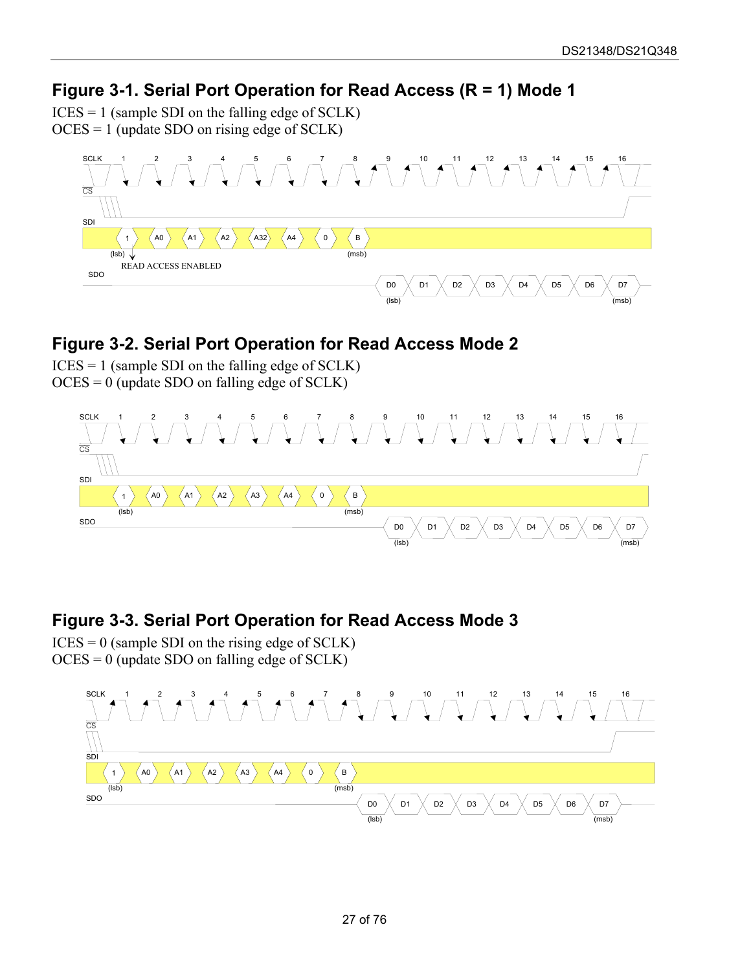#### <span id="page-26-0"></span>**Figure 3-1. Serial Port Operation for Read Access (R = 1) Mode 1**

 $ICES = 1$  (sample SDI on the falling edge of SCLK)

OCES = 1 (update SDO on rising edge of SCLK)



#### <span id="page-26-1"></span>**Figure 3-2. Serial Port Operation for Read Access Mode 2**

 $ICES = 1$  (sample SDI on the falling edge of SCLK) OCES = 0 (update SDO on falling edge of SCLK)



#### <span id="page-26-2"></span>**Figure 3-3. Serial Port Operation for Read Access Mode 3**

 $ICES = 0$  (sample SDI on the rising edge of SCLK)  $OCES = 0$  (update SDO on falling edge of SCLK)

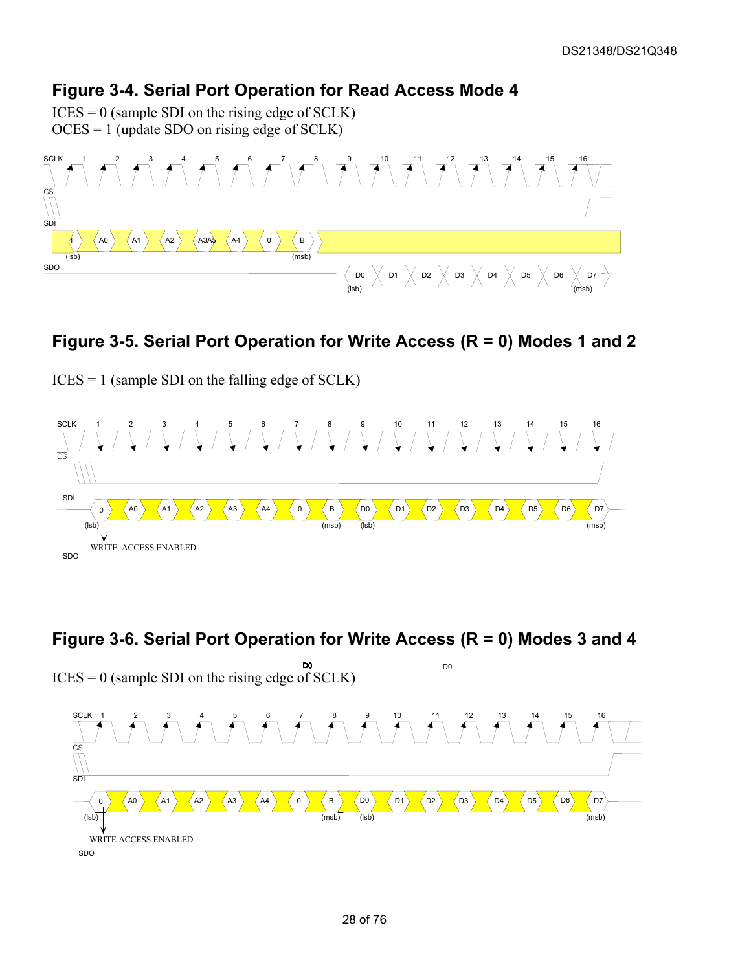### <span id="page-27-0"></span>**Figure 3-4. Serial Port Operation for Read Access Mode 4**

 $ICES = 0$  (sample SDI on the rising edge of SCLK) OCES = 1 (update SDO on rising edge of SCLK)



### <span id="page-27-1"></span>**Figure 3-5. Serial Port Operation for Write Access (R = 0) Modes 1 and 2**

ICES = 1 (sample SDI on the falling edge of SCLK)



### <span id="page-27-2"></span>**Figure 3-6. Serial Port Operation for Write Access (R = 0) Modes 3 and 4**

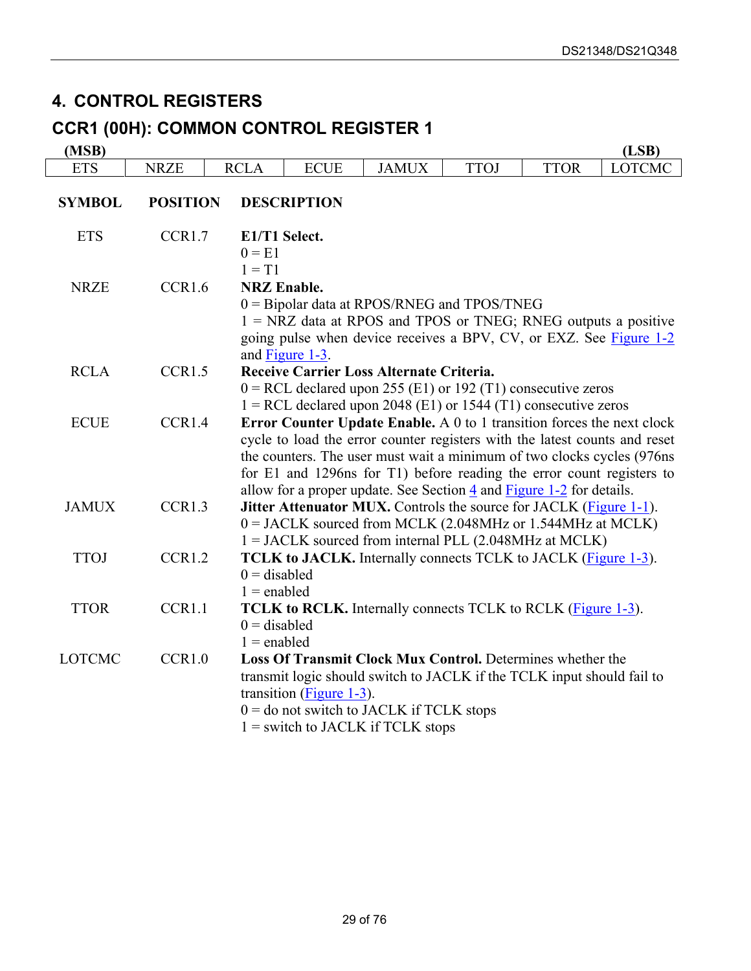### <span id="page-28-0"></span>**4. CONTROL REGISTERS**

# **CCR1 (00H): COMMON CONTROL REGISTER 1**

| (MSB)         |                 |                                 |                                       |                                                                                                                                                                                                                                                                                                                                                                                               |             |             | (LSB)         |
|---------------|-----------------|---------------------------------|---------------------------------------|-----------------------------------------------------------------------------------------------------------------------------------------------------------------------------------------------------------------------------------------------------------------------------------------------------------------------------------------------------------------------------------------------|-------------|-------------|---------------|
| <b>ETS</b>    | <b>NRZE</b>     | <b>RCLA</b>                     | <b>ECUE</b>                           | <b>JAMUX</b>                                                                                                                                                                                                                                                                                                                                                                                  | <b>TTOJ</b> | <b>TTOR</b> | <b>LOTCMC</b> |
| <b>SYMBOL</b> | <b>POSITION</b> |                                 | <b>DESCRIPTION</b>                    |                                                                                                                                                                                                                                                                                                                                                                                               |             |             |               |
| <b>ETS</b>    | CCR1.7          | $0 = E1$<br>$1 = T1$            | E1/T1 Select.                         |                                                                                                                                                                                                                                                                                                                                                                                               |             |             |               |
| <b>NRZE</b>   | CCR1.6          |                                 | <b>NRZ</b> Enable.<br>and Figure 1-3. | 0 = Bipolar data at RPOS/RNEG and TPOS/TNEG<br>$1 = NRZ$ data at RPOS and TPOS or TNEG; RNEG outputs a positive<br>going pulse when device receives a BPV, CV, or EXZ. See Figure 1-2                                                                                                                                                                                                         |             |             |               |
| <b>RCLA</b>   | CCR1.5          |                                 |                                       | Receive Carrier Loss Alternate Criteria.<br>$0 = RCL$ declared upon 255 (E1) or 192 (T1) consecutive zeros<br>$1 = RCL$ declared upon 2048 (E1) or 1544 (T1) consecutive zeros                                                                                                                                                                                                                |             |             |               |
| <b>ECUE</b>   | CCR1.4          |                                 |                                       | Error Counter Update Enable. A 0 to 1 transition forces the next clock<br>cycle to load the error counter registers with the latest counts and reset<br>the counters. The user must wait a minimum of two clocks cycles (976ns)<br>for E1 and 1296 ns for T1) before reading the error count registers to<br>allow for a proper update. See Section $\frac{4}{9}$ and Figure 1-2 for details. |             |             |               |
| <b>JAMUX</b>  | CCR1.3          |                                 |                                       | <b>Jitter Attenuator MUX.</b> Controls the source for JACLK (Figure 1-1).<br>$0 =$ JACLK sourced from MCLK (2.048MHz or 1.544MHz at MCLK)<br>$1 = \text{JACLK}$ sourced from internal PLL (2.048MHz at MCLK)                                                                                                                                                                                  |             |             |               |
| <b>TTOJ</b>   | CCR1.2          | $0 =$ disabled<br>$1 =$ enabled |                                       | TCLK to JACLK. Internally connects TCLK to JACLK (Figure 1-3).                                                                                                                                                                                                                                                                                                                                |             |             |               |
| <b>TTOR</b>   | CCR1.1          | $0 =$ disabled<br>$1 =$ enabled |                                       | <b>TCLK to RCLK.</b> Internally connects TCLK to RCLK (Figure 1-3).                                                                                                                                                                                                                                                                                                                           |             |             |               |
| <b>LOTCMC</b> | CCR1.0          |                                 | transition (Figure $1-3$ ).           | Loss Of Transmit Clock Mux Control. Determines whether the<br>transmit logic should switch to JACLK if the TCLK input should fail to<br>$0 =$ do not switch to JACLK if TCLK stops<br>$1 =$ switch to JACLK if TCLK stops                                                                                                                                                                     |             |             |               |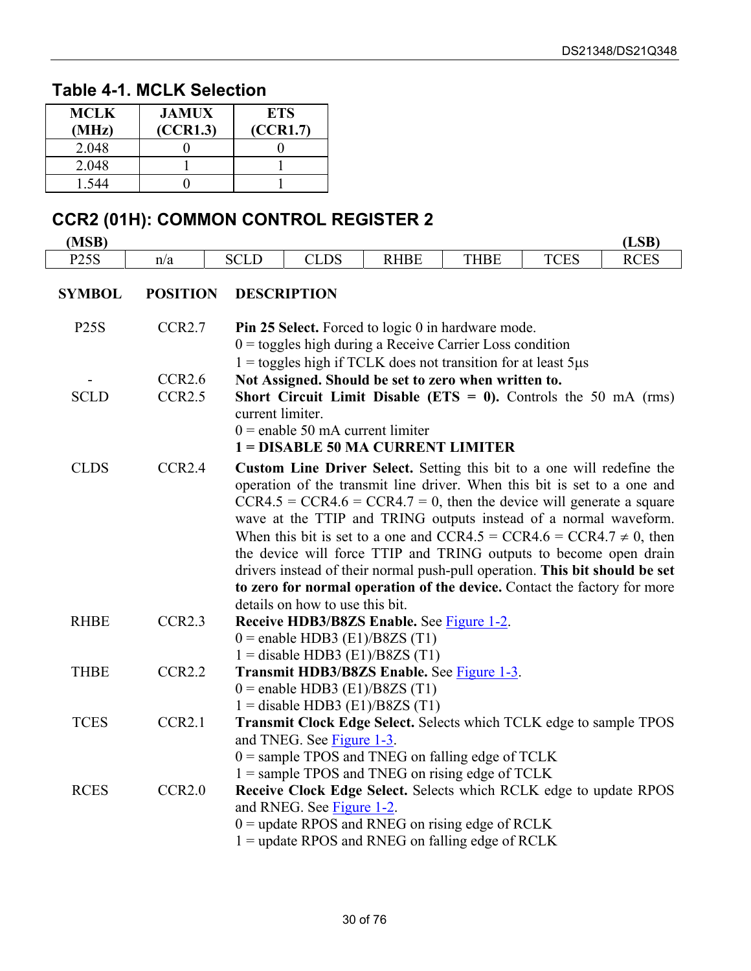#### <span id="page-29-0"></span>**Table 4-1. MCLK Selection**

| MCLK<br>(MHz) | <b>JAMUX</b><br>(CCR1.3) | <b>ETS</b><br>(CCR1.7) |
|---------------|--------------------------|------------------------|
| 2.048         |                          |                        |
| 2.048         |                          |                        |
| -544          |                          |                        |

# **CCR2 (01H): COMMON CONTROL REGISTER 2**

| (MSB)         |                    |                                                                                 |                                    |                                                                                                                                                  |             |             | (LSB)       |  |
|---------------|--------------------|---------------------------------------------------------------------------------|------------------------------------|--------------------------------------------------------------------------------------------------------------------------------------------------|-------------|-------------|-------------|--|
| <b>P25S</b>   | n/a                | <b>SCLD</b>                                                                     | <b>CLDS</b>                        | <b>RHBE</b>                                                                                                                                      | <b>THBE</b> | <b>TCES</b> | <b>RCES</b> |  |
| <b>SYMBOL</b> | <b>POSITION</b>    |                                                                                 | <b>DESCRIPTION</b>                 |                                                                                                                                                  |             |             |             |  |
| <b>P25S</b>   | CCR2.7             |                                                                                 |                                    | <b>Pin 25 Select.</b> Forced to logic 0 in hardware mode.<br>$0 =$ toggles high during a Receive Carrier Loss condition                          |             |             |             |  |
|               |                    |                                                                                 |                                    | $1 =$ toggles high if TCLK does not transition for at least 5 $\mu$ s                                                                            |             |             |             |  |
|               | CCR2.6             |                                                                                 |                                    | Not Assigned. Should be set to zero when written to.                                                                                             |             |             |             |  |
| <b>SCLD</b>   | CCR2.5             |                                                                                 |                                    | Short Circuit Limit Disable ( $ETS = 0$ ). Controls the 50 mA (rms)                                                                              |             |             |             |  |
|               |                    | current limiter.                                                                |                                    |                                                                                                                                                  |             |             |             |  |
|               |                    |                                                                                 | $0$ = enable 50 mA current limiter |                                                                                                                                                  |             |             |             |  |
|               |                    |                                                                                 |                                    | 1 = DISABLE 50 MA CURRENT LIMITER                                                                                                                |             |             |             |  |
| <b>CLDS</b>   | CCR2.4             |                                                                                 |                                    | Custom Line Driver Select. Setting this bit to a one will redefine the                                                                           |             |             |             |  |
|               |                    |                                                                                 |                                    | operation of the transmit line driver. When this bit is set to a one and                                                                         |             |             |             |  |
|               |                    |                                                                                 |                                    | $CCR4.5 = CCR4.6 = CCR4.7 = 0$ , then the device will generate a square                                                                          |             |             |             |  |
|               |                    |                                                                                 |                                    | wave at the TTIP and TRING outputs instead of a normal waveform.                                                                                 |             |             |             |  |
|               |                    |                                                                                 |                                    | When this bit is set to a one and CCR4.5 = CCR4.6 = CCR4.7 $\neq$ 0, then                                                                        |             |             |             |  |
|               |                    |                                                                                 |                                    | the device will force TTIP and TRING outputs to become open drain<br>drivers instead of their normal push-pull operation. This bit should be set |             |             |             |  |
|               |                    |                                                                                 |                                    | to zero for normal operation of the device. Contact the factory for more                                                                         |             |             |             |  |
|               |                    |                                                                                 | details on how to use this bit.    |                                                                                                                                                  |             |             |             |  |
| <b>RHBE</b>   | CCR <sub>2.3</sub> |                                                                                 |                                    | Receive HDB3/B8ZS Enable. See Figure 1-2.                                                                                                        |             |             |             |  |
|               |                    |                                                                                 | $0$ = enable HDB3 (E1)/B8ZS (T1)   |                                                                                                                                                  |             |             |             |  |
|               |                    |                                                                                 |                                    | $1 =$ disable HDB3 (E1)/B8ZS (T1)                                                                                                                |             |             |             |  |
| <b>THBE</b>   | CCR <sub>2.2</sub> |                                                                                 |                                    | Transmit HDB3/B8ZS Enable. See Figure 1-3.                                                                                                       |             |             |             |  |
|               |                    |                                                                                 | $0$ = enable HDB3 (E1)/B8ZS (T1)   |                                                                                                                                                  |             |             |             |  |
|               |                    |                                                                                 |                                    | $1 =$ disable HDB3 (E1)/B8ZS (T1)                                                                                                                |             |             |             |  |
| <b>TCES</b>   | CCR <sub>2.1</sub> |                                                                                 |                                    | Transmit Clock Edge Select. Selects which TCLK edge to sample TPOS                                                                               |             |             |             |  |
|               |                    | and TNEG. See Figure 1-3.<br>$0 =$ sample TPOS and TNEG on falling edge of TCLK |                                    |                                                                                                                                                  |             |             |             |  |
|               |                    |                                                                                 |                                    | $1 =$ sample TPOS and TNEG on rising edge of TCLK                                                                                                |             |             |             |  |
| <b>RCES</b>   | CCR2.0             |                                                                                 |                                    | Receive Clock Edge Select. Selects which RCLK edge to update RPOS                                                                                |             |             |             |  |
|               |                    |                                                                                 | and RNEG. See Figure 1-2.          |                                                                                                                                                  |             |             |             |  |
|               |                    |                                                                                 |                                    | $0 =$ update RPOS and RNEG on rising edge of RCLK                                                                                                |             |             |             |  |
|               |                    |                                                                                 |                                    | $1 =$ update RPOS and RNEG on falling edge of RCLK                                                                                               |             |             |             |  |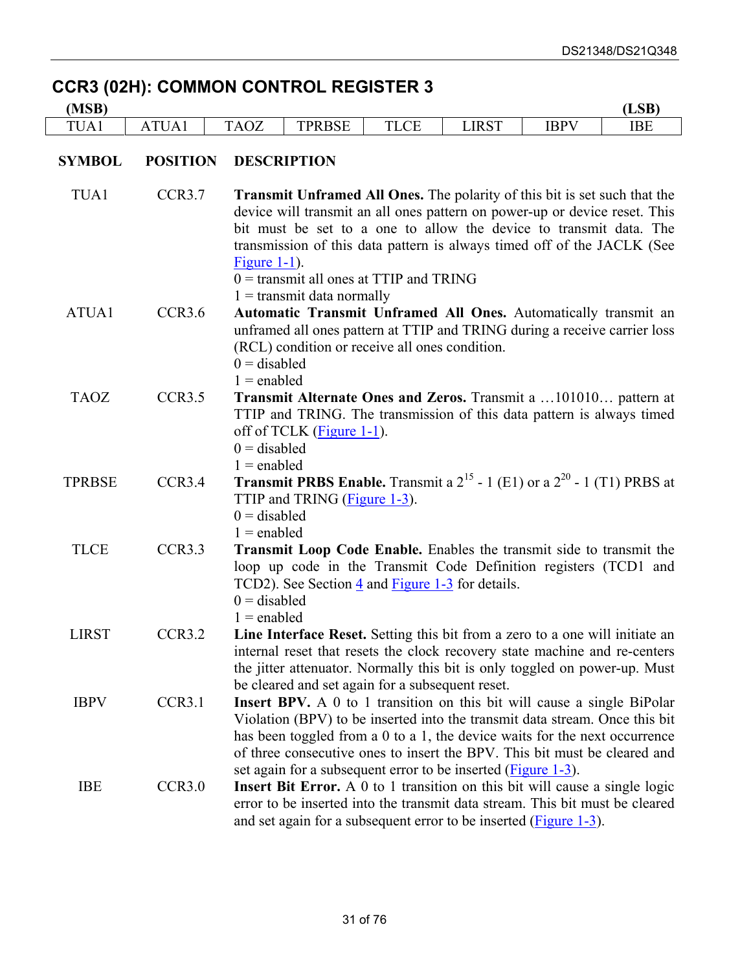### **CCR3 (02H): COMMON CONTROL REGISTER 3**

| (MSB)         |                    |                                                                                                                                                                                                                                                                                              |                                                                                                                                                                                                                                   |                                           |                                                               |                                                                                                                                                                                                                                                                                                                   | (LSB)      |  |
|---------------|--------------------|----------------------------------------------------------------------------------------------------------------------------------------------------------------------------------------------------------------------------------------------------------------------------------------------|-----------------------------------------------------------------------------------------------------------------------------------------------------------------------------------------------------------------------------------|-------------------------------------------|---------------------------------------------------------------|-------------------------------------------------------------------------------------------------------------------------------------------------------------------------------------------------------------------------------------------------------------------------------------------------------------------|------------|--|
| TUA1          | ATUA1              | <b>TAOZ</b>                                                                                                                                                                                                                                                                                  | <b>TPRBSE</b>                                                                                                                                                                                                                     | <b>TLCE</b>                               | <b>LIRST</b>                                                  | <b>IBPV</b>                                                                                                                                                                                                                                                                                                       | <b>IBE</b> |  |
| <b>SYMBOL</b> | <b>POSITION</b>    |                                                                                                                                                                                                                                                                                              | <b>DESCRIPTION</b>                                                                                                                                                                                                                |                                           |                                                               |                                                                                                                                                                                                                                                                                                                   |            |  |
| TUA1          | CCR3.7             | Figure $1-1$ ).                                                                                                                                                                                                                                                                              | $1 =$ transmit data normally                                                                                                                                                                                                      | $0 =$ transmit all ones at TTIP and TRING |                                                               | <b>Transmit Unframed All Ones.</b> The polarity of this bit is set such that the<br>device will transmit an all ones pattern on power-up or device reset. This<br>bit must be set to a one to allow the device to transmit data. The<br>transmission of this data pattern is always timed off of the JACLK (See   |            |  |
| ATUA1         | CCR3.6             |                                                                                                                                                                                                                                                                                              | Automatic Transmit Unframed All Ones. Automatically transmit an<br>unframed all ones pattern at TTIP and TRING during a receive carrier loss<br>(RCL) condition or receive all ones condition.<br>$0 =$ disabled<br>$1 =$ enabled |                                           |                                                               |                                                                                                                                                                                                                                                                                                                   |            |  |
| <b>TAOZ</b>   | CCR3.5             | Transmit Alternate Ones and Zeros. Transmit a 101010 pattern at<br>TTIP and TRING. The transmission of this data pattern is always timed<br>off of TCLK (Figure 1-1).<br>$0 =$ disabled<br>$1 =$ enabled                                                                                     |                                                                                                                                                                                                                                   |                                           |                                                               |                                                                                                                                                                                                                                                                                                                   |            |  |
| <b>TPRBSE</b> | CCR3.4             | <b>Transmit PRBS Enable.</b> Transmit a $2^{15}$ - 1 (E1) or a $2^{20}$ - 1 (T1) PRBS at<br>TTIP and TRING (Figure 1-3).<br>$0 =$ disabled<br>$1 =$ enabled                                                                                                                                  |                                                                                                                                                                                                                                   |                                           |                                                               |                                                                                                                                                                                                                                                                                                                   |            |  |
| <b>TLCE</b>   | CCR <sub>3.3</sub> | <b>Transmit Loop Code Enable.</b> Enables the transmit side to transmit the<br>loop up code in the Transmit Code Definition registers (TCD1 and<br>TCD2). See Section $\frac{4}{3}$ and <b>Figure 1-3</b> for details.<br>$0 =$ disabled<br>$1 =$ enabled                                    |                                                                                                                                                                                                                                   |                                           |                                                               |                                                                                                                                                                                                                                                                                                                   |            |  |
| <b>LIRST</b>  | CCR <sub>3.2</sub> | Line Interface Reset. Setting this bit from a zero to a one will initiate an<br>internal reset that resets the clock recovery state machine and re-centers<br>the jitter attenuator. Normally this bit is only toggled on power-up. Must<br>be cleared and set again for a subsequent reset. |                                                                                                                                                                                                                                   |                                           |                                                               |                                                                                                                                                                                                                                                                                                                   |            |  |
| <b>IBPV</b>   | CCR <sub>3.1</sub> |                                                                                                                                                                                                                                                                                              |                                                                                                                                                                                                                                   |                                           | set again for a subsequent error to be inserted (Figure 1-3). | Insert BPV. A 0 to 1 transition on this bit will cause a single BiPolar<br>Violation (BPV) to be inserted into the transmit data stream. Once this bit<br>has been toggled from a 0 to a 1, the device waits for the next occurrence<br>of three consecutive ones to insert the BPV. This bit must be cleared and |            |  |
| <b>IBE</b>    | CCR3.0             |                                                                                                                                                                                                                                                                                              |                                                                                                                                                                                                                                   |                                           |                                                               | <b>Insert Bit Error.</b> A 0 to 1 transition on this bit will cause a single logic<br>error to be inserted into the transmit data stream. This bit must be cleared<br>and set again for a subsequent error to be inserted (Figure 1-3).                                                                           |            |  |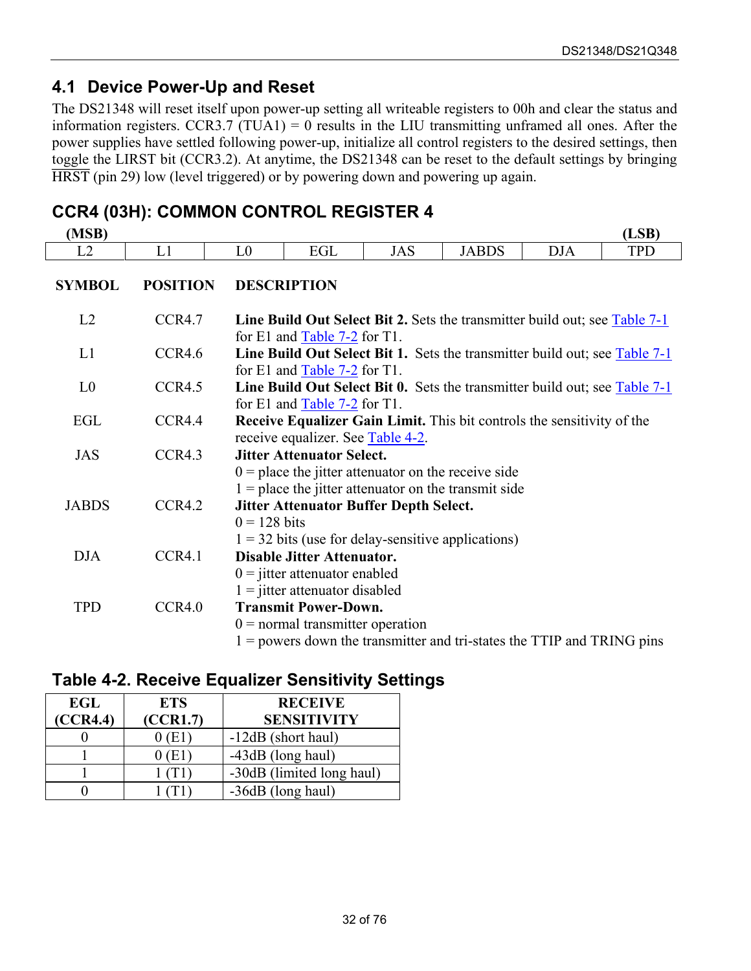### <span id="page-31-0"></span>**4.1 Device Power-Up and Reset**

The DS21348 will reset itself upon power-up setting all writeable registers to 00h and clear the status and information registers. CCR3.7 (TUA1) = 0 results in the LIU transmitting unframed all ones. After the power supplies have settled following power-up, initialize all control registers to the desired settings, then toggle the LIRST bit (CCR3.2). At anytime, the DS21348 can be reset to the default settings by bringing HRST (pin 29) low (level triggered) or by powering down and powering up again.

### **CCR4 (03H): COMMON CONTROL REGISTER 4**

| (MSB)          |                 |                |                                                                                                                                                     |                                                                                                       |              |            | (LSB)      |  |
|----------------|-----------------|----------------|-----------------------------------------------------------------------------------------------------------------------------------------------------|-------------------------------------------------------------------------------------------------------|--------------|------------|------------|--|
| L2             | L1              | L <sub>0</sub> | EGL                                                                                                                                                 | <b>JAS</b>                                                                                            | <b>JABDS</b> | <b>DJA</b> | <b>TPD</b> |  |
| <b>SYMBOL</b>  | <b>POSITION</b> |                | <b>DESCRIPTION</b>                                                                                                                                  |                                                                                                       |              |            |            |  |
| L2             | CCR4.7          |                | for E1 and Table $7-2$ for T1.                                                                                                                      | <b>Line Build Out Select Bit 2.</b> Sets the transmitter build out; see Table 7-1                     |              |            |            |  |
| L1             | CCR4.6          |                | for E1 and $Table 7-2$ for T1.                                                                                                                      | <b>Line Build Out Select Bit 1.</b> Sets the transmitter build out; see <b>Table 7-1</b>              |              |            |            |  |
| L <sub>0</sub> | CCR4.5          |                | for E1 and Table 7-2 for T1.                                                                                                                        | <b>Line Build Out Select Bit 0.</b> Sets the transmitter build out; see $Table 7-1$                   |              |            |            |  |
| EGL            | CCR4.4          |                | <b>Receive Equalizer Gain Limit.</b> This bit controls the sensitivity of the<br>receive equalizer. See Table 4-2.                                  |                                                                                                       |              |            |            |  |
| <b>JAS</b>     | CCR4.3          |                | <b>Jitter Attenuator Select.</b><br>$0 =$ place the jitter attenuator on the receive side<br>$1 =$ place the jitter attenuator on the transmit side |                                                                                                       |              |            |            |  |
| <b>JABDS</b>   | CCR4.2          | $0 = 128$ bits |                                                                                                                                                     | <b>Jitter Attenuator Buffer Depth Select.</b><br>$1 = 32$ bits (use for delay-sensitive applications) |              |            |            |  |
| <b>DJA</b>     | CCR4.1          |                | <b>Disable Jitter Attenuator.</b><br>$0 =$ jitter attenuator enabled<br>$1 =$ jitter attenuator disabled                                            |                                                                                                       |              |            |            |  |
| <b>TPD</b>     | CCR4.0          |                | <b>Transmit Power-Down.</b><br>$0 =$ normal transmitter operation                                                                                   | $1 =$ powers down the transmitter and tri-states the TTIP and TRING pins                              |              |            |            |  |

#### <span id="page-31-1"></span>**Table 4-2. Receive Equalizer Sensitivity Settings**

| EGL      | <b>ETS</b> | <b>RECEIVE</b>            |
|----------|------------|---------------------------|
| (CCR4.4) | (CCR1.7)   | <b>SENSITIVITY</b>        |
|          | 0 (E1)     | -12dB (short haul)        |
|          | ) (E1      | -43dB (long haul)         |
|          |            | -30dB (limited long haul) |
|          |            | -36dB (long haul)         |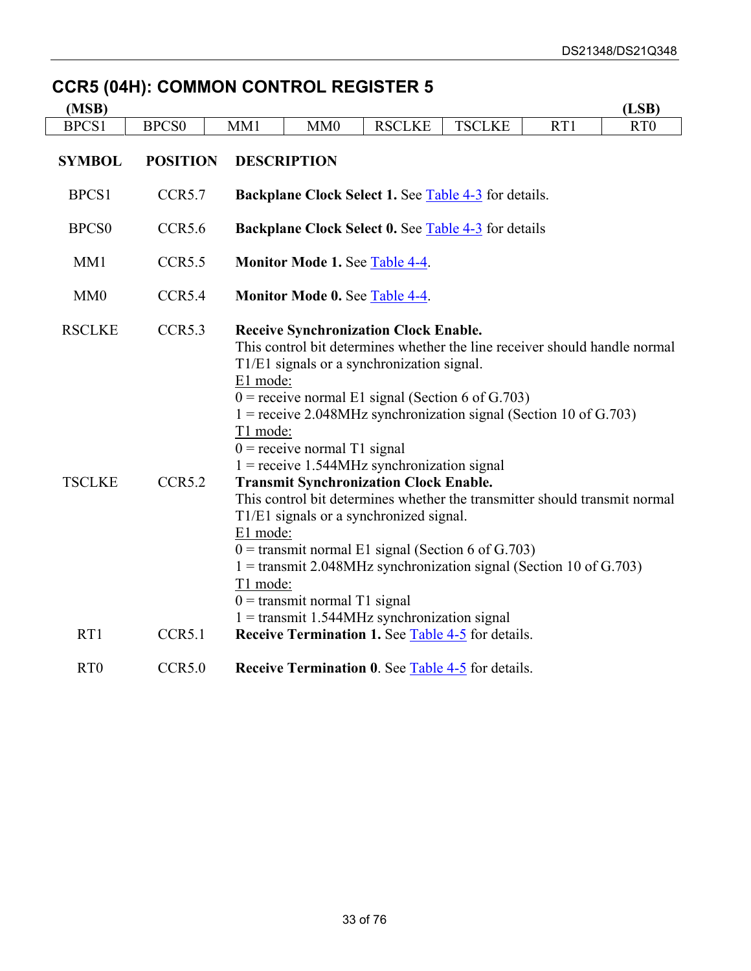# **CCR5 (04H): COMMON CONTROL REGISTER 5**

| (MSB)                          |                              |                                              |                                                                   |                                                                                                                                                                                                                                                                                                                                                                                                                                                                                                                                                                                                                                                                   |               |     | (LSB)           |  |  |
|--------------------------------|------------------------------|----------------------------------------------|-------------------------------------------------------------------|-------------------------------------------------------------------------------------------------------------------------------------------------------------------------------------------------------------------------------------------------------------------------------------------------------------------------------------------------------------------------------------------------------------------------------------------------------------------------------------------------------------------------------------------------------------------------------------------------------------------------------------------------------------------|---------------|-----|-----------------|--|--|
| BPCS1                          | <b>BPCS0</b>                 | MM1                                          | MM0                                                               | <b>RSCLKE</b>                                                                                                                                                                                                                                                                                                                                                                                                                                                                                                                                                                                                                                                     | <b>TSCLKE</b> | RT1 | RT <sub>0</sub> |  |  |
| <b>SYMBOL</b>                  | <b>POSITION</b>              |                                              | <b>DESCRIPTION</b>                                                |                                                                                                                                                                                                                                                                                                                                                                                                                                                                                                                                                                                                                                                                   |               |     |                 |  |  |
| BPCS1                          | CCR <sub>5.7</sub>           |                                              | <b>Backplane Clock Select 1. See Table 4-3</b> for details.       |                                                                                                                                                                                                                                                                                                                                                                                                                                                                                                                                                                                                                                                                   |               |     |                 |  |  |
| <b>BPCS0</b>                   | CCR5.6                       |                                              | <b>Backplane Clock Select 0. See Table 4-3 for details</b>        |                                                                                                                                                                                                                                                                                                                                                                                                                                                                                                                                                                                                                                                                   |               |     |                 |  |  |
| MM1                            | CCR <sub>5.5</sub>           |                                              | <b>Monitor Mode 1. See Table 4-4.</b>                             |                                                                                                                                                                                                                                                                                                                                                                                                                                                                                                                                                                                                                                                                   |               |     |                 |  |  |
| MM0                            | CCR5.4                       |                                              | <b>Monitor Mode 0. See Table 4-4.</b>                             |                                                                                                                                                                                                                                                                                                                                                                                                                                                                                                                                                                                                                                                                   |               |     |                 |  |  |
| <b>RSCLKE</b><br><b>TSCLKE</b> | CCR5.3<br>CCR <sub>5.2</sub> | E1 mode:<br>T1 mode:<br>E1 mode:<br>T1 mode: | $0 =$ receive normal T1 signal<br>$0 =$ transmit normal T1 signal | <b>Receive Synchronization Clock Enable.</b><br>This control bit determines whether the line receiver should handle normal<br>T1/E1 signals or a synchronization signal.<br>$0$ = receive normal E1 signal (Section 6 of G.703)<br>$1 =$ receive 2.048MHz synchronization signal (Section 10 of G.703)<br>$1 =$ receive 1.544MHz synchronization signal<br><b>Transmit Synchronization Clock Enable.</b><br>This control bit determines whether the transmitter should transmit normal<br>T1/E1 signals or a synchronized signal.<br>$0 =$ transmit normal E1 signal (Section 6 of G.703)<br>$1 =$ transmit 2.048MHz synchronization signal (Section 10 of G.703) |               |     |                 |  |  |
| RT1<br>R <sub>T</sub> O        | CCR5.1<br>CCR5.0             |                                              |                                                                   | $1 =$ transmit 1.544MHz synchronization signal<br><b>Receive Termination 1. See Table 4-5 for details.</b><br><b>Receive Termination 0. See Table 4-5 for details.</b>                                                                                                                                                                                                                                                                                                                                                                                                                                                                                            |               |     |                 |  |  |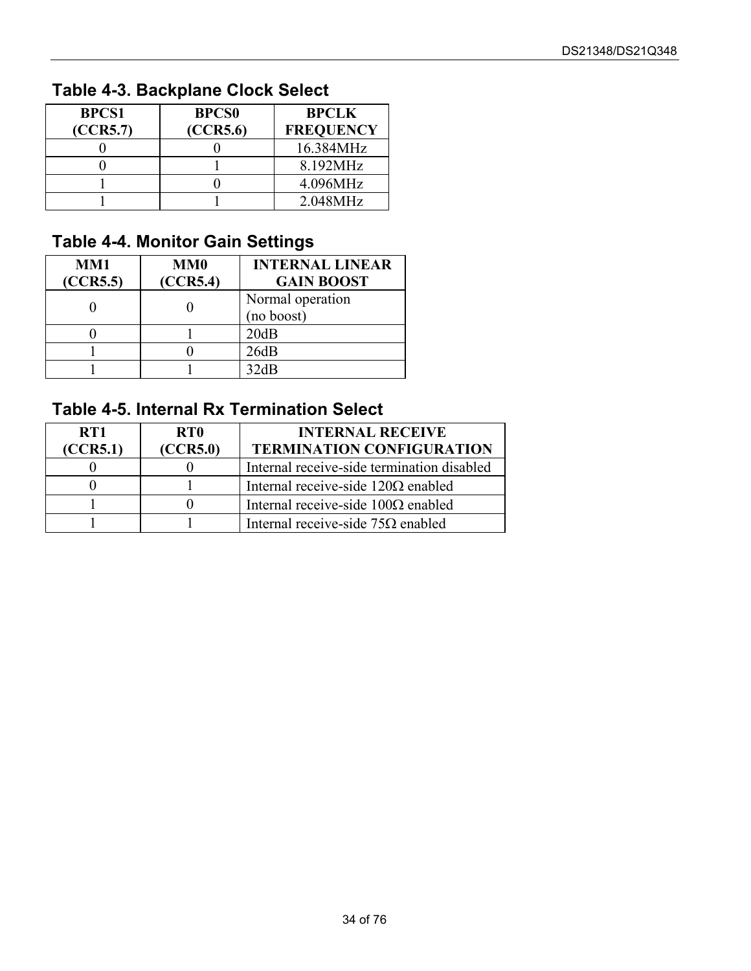# <span id="page-33-0"></span>**Table 4-3. Backplane Clock Select**

| <b>BPCS1</b> | <b>BPCS0</b> | <b>BPCLK</b>     |
|--------------|--------------|------------------|
| (CCR5.7)     | (CCR5.6)     | <b>FREQUENCY</b> |
|              |              | 16.384MHz        |
|              |              | 8.192MHz         |
|              |              | 4.096MHz         |
|              |              | 2.048MHz         |

### <span id="page-33-1"></span>**Table 4-4. Monitor Gain Settings**

| MM1<br>(CCR5.5) | <b>MM0</b><br>(CCR5.4) | <b>INTERNAL LINEAR</b><br><b>GAIN BOOST</b> |
|-----------------|------------------------|---------------------------------------------|
|                 |                        | Normal operation<br>(no boost)              |
|                 |                        | 20dB                                        |
|                 |                        | 26dB                                        |
|                 |                        | 12dR                                        |

### <span id="page-33-2"></span>**Table 4-5. Internal Rx Termination Select**

| RT1      | RT <sub>0</sub> | <b>INTERNAL RECEIVE</b>                    |  |
|----------|-----------------|--------------------------------------------|--|
| (CCR5.1) | (CCR5.0)        | <b>TERMINATION CONFIGURATION</b>           |  |
|          |                 | Internal receive-side termination disabled |  |
|          |                 | Internal receive-side $120\Omega$ enabled  |  |
|          |                 | Internal receive-side $100\Omega$ enabled  |  |
|          |                 | Internal receive-side $75\Omega$ enabled   |  |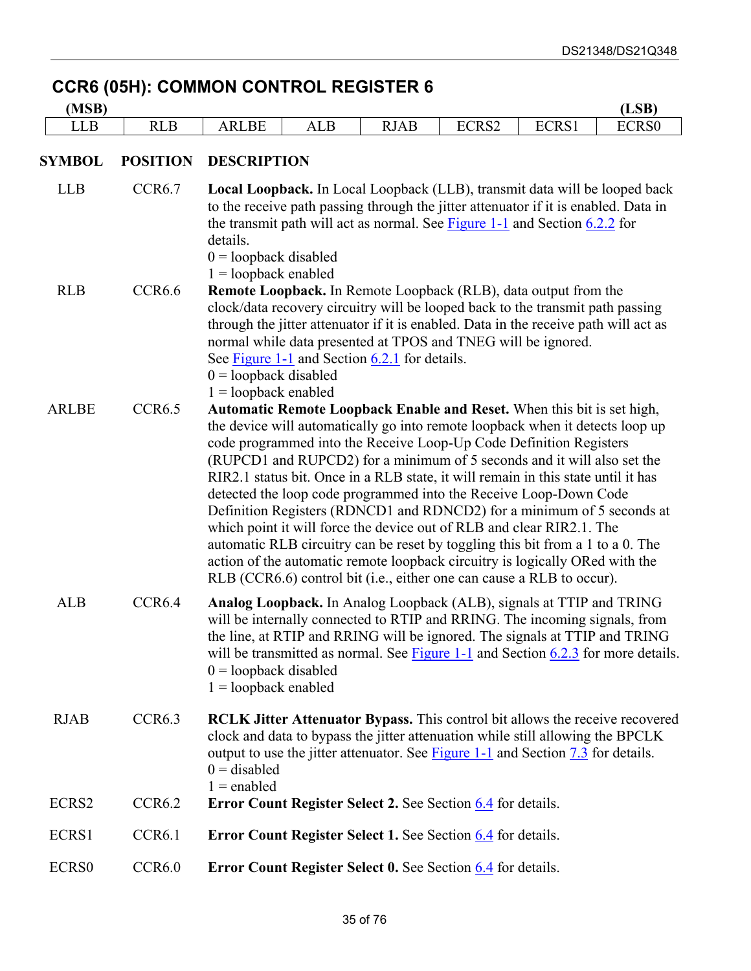# **CCR6 (05H): COMMON CONTROL REGISTER 6**

| (MSB)        |                    | (LSB)                                                                                                                                                                                                                                                                                                                                                                                                                                                                                                                                                                                                                                                                                                                                                                                                                                                            |  |  |  |  |  |
|--------------|--------------------|------------------------------------------------------------------------------------------------------------------------------------------------------------------------------------------------------------------------------------------------------------------------------------------------------------------------------------------------------------------------------------------------------------------------------------------------------------------------------------------------------------------------------------------------------------------------------------------------------------------------------------------------------------------------------------------------------------------------------------------------------------------------------------------------------------------------------------------------------------------|--|--|--|--|--|
| <b>LLB</b>   | <b>RLB</b>         | ECRS2<br>ECRS1<br>ECRS0<br><b>ARLBE</b><br><b>ALB</b><br><b>RJAB</b>                                                                                                                                                                                                                                                                                                                                                                                                                                                                                                                                                                                                                                                                                                                                                                                             |  |  |  |  |  |
| SYMBOL       | <b>POSITION</b>    | <b>DESCRIPTION</b>                                                                                                                                                                                                                                                                                                                                                                                                                                                                                                                                                                                                                                                                                                                                                                                                                                               |  |  |  |  |  |
| <b>LLB</b>   | CCR <sub>6.7</sub> | Local Loopback. In Local Loopback (LLB), transmit data will be looped back<br>to the receive path passing through the jitter attenuator if it is enabled. Data in<br>the transmit path will act as normal. See Figure $1-1$ and Section $6.2.2$ for<br>details.<br>$0 =$ loopback disabled<br>$1 =$ loopback enabled                                                                                                                                                                                                                                                                                                                                                                                                                                                                                                                                             |  |  |  |  |  |
| <b>RLB</b>   | CCR <sub>6.6</sub> | <b>Remote Loopback.</b> In Remote Loopback (RLB), data output from the<br>clock/data recovery circuitry will be looped back to the transmit path passing<br>through the jitter attenuator if it is enabled. Data in the receive path will act as<br>normal while data presented at TPOS and TNEG will be ignored.<br>See Figure 1-1 and Section 6.2.1 for details.<br>$0 =$ loopback disabled<br>$1 =$ loopback enabled                                                                                                                                                                                                                                                                                                                                                                                                                                          |  |  |  |  |  |
| <b>ARLBE</b> | CCR6.5             | Automatic Remote Loopback Enable and Reset. When this bit is set high,<br>the device will automatically go into remote loopback when it detects loop up<br>code programmed into the Receive Loop-Up Code Definition Registers<br>(RUPCD1 and RUPCD2) for a minimum of 5 seconds and it will also set the<br>RIR2.1 status bit. Once in a RLB state, it will remain in this state until it has<br>detected the loop code programmed into the Receive Loop-Down Code<br>Definition Registers (RDNCD1 and RDNCD2) for a minimum of 5 seconds at<br>which point it will force the device out of RLB and clear RIR2.1. The<br>automatic RLB circuitry can be reset by toggling this bit from a 1 to a 0. The<br>action of the automatic remote loopback circuitry is logically ORed with the<br>RLB (CCR6.6) control bit (i.e., either one can cause a RLB to occur). |  |  |  |  |  |
| <b>ALB</b>   | CCR <sub>6.4</sub> | Analog Loopback. In Analog Loopback (ALB), signals at TTIP and TRING<br>will be internally connected to RTIP and RRING. The incoming signals, from<br>the line, at RTIP and RRING will be ignored. The signals at TTIP and TRING<br>will be transmitted as normal. See Figure $1-1$ and Section $6.2.3$ for more details.<br>$0 =$ loopback disabled<br>$1 =$ loopback enabled                                                                                                                                                                                                                                                                                                                                                                                                                                                                                   |  |  |  |  |  |
| <b>RJAB</b>  | CCR <sub>6.3</sub> | <b>RCLK Jitter Attenuator Bypass.</b> This control bit allows the receive recovered<br>clock and data to bypass the jitter attenuation while still allowing the BPCLK<br>output to use the jitter attenuator. See <b>Figure 1-1</b> and Section $\overline{7.3}$ for details.<br>$0 =$ disabled<br>$1 =$ enabled                                                                                                                                                                                                                                                                                                                                                                                                                                                                                                                                                 |  |  |  |  |  |
| ECRS2        | CCR <sub>6.2</sub> | <b>Error Count Register Select 2. See Section 6.4 for details.</b>                                                                                                                                                                                                                                                                                                                                                                                                                                                                                                                                                                                                                                                                                                                                                                                               |  |  |  |  |  |
| ECRS1        | CCR <sub>6.1</sub> | <b>Error Count Register Select 1. See Section 6.4 for details.</b>                                                                                                                                                                                                                                                                                                                                                                                                                                                                                                                                                                                                                                                                                                                                                                                               |  |  |  |  |  |
| ECRS0        | CCR6.0             | <b>Error Count Register Select 0. See Section 6.4 for details.</b>                                                                                                                                                                                                                                                                                                                                                                                                                                                                                                                                                                                                                                                                                                                                                                                               |  |  |  |  |  |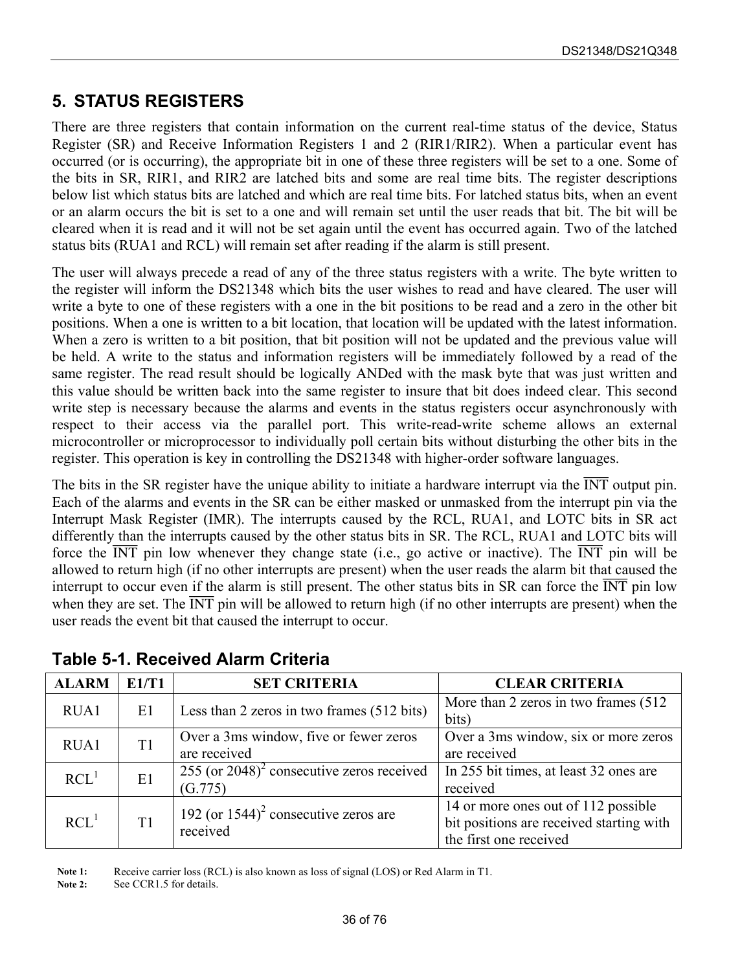### <span id="page-35-0"></span>**5. STATUS REGISTERS**

There are three registers that contain information on the current real-time status of the device, Status Register (SR) and Receive Information Registers 1 and 2 (RIR1/RIR2). When a particular event has occurred (or is occurring), the appropriate bit in one of these three registers will be set to a one. Some of the bits in SR, RIR1, and RIR2 are latched bits and some are real time bits. The register descriptions below list which status bits are latched and which are real time bits. For latched status bits, when an event or an alarm occurs the bit is set to a one and will remain set until the user reads that bit. The bit will be cleared when it is read and it will not be set again until the event has occurred again. Two of the latched status bits (RUA1 and RCL) will remain set after reading if the alarm is still present.

The user will always precede a read of any of the three status registers with a write. The byte written to the register will inform the DS21348 which bits the user wishes to read and have cleared. The user will write a byte to one of these registers with a one in the bit positions to be read and a zero in the other bit positions. When a one is written to a bit location, that location will be updated with the latest information. When a zero is written to a bit position, that bit position will not be updated and the previous value will be held. A write to the status and information registers will be immediately followed by a read of the same register. The read result should be logically ANDed with the mask byte that was just written and this value should be written back into the same register to insure that bit does indeed clear. This second write step is necessary because the alarms and events in the status registers occur asynchronously with respect to their access via the parallel port. This write-read-write scheme allows an external microcontroller or microprocessor to individually poll certain bits without disturbing the other bits in the register. This operation is key in controlling the DS21348 with higher-order software languages.

The bits in the SR register have the unique ability to initiate a hardware interrupt via the  $\overline{\text{INT}}$  output pin. Each of the alarms and events in the SR can be either masked or unmasked from the interrupt pin via the Interrupt Mask Register (IMR). The interrupts caused by the RCL, RUA1, and LOTC bits in SR act differently than the interrupts caused by the other status bits in SR. The RCL, RUA1 and LOTC bits will force the  $\overline{INT}$  pin low whenever they change state (i.e., go active or inactive). The  $\overline{INT}$  pin will be allowed to return high (if no other interrupts are present) when the user reads the alarm bit that caused the interrupt to occur even if the alarm is still present. The other status bits in SR can force the  $\overline{INT}$  pin low when they are set. The  $\overline{INT}$  pin will be allowed to return high (if no other interrupts are present) when the user reads the event bit that caused the interrupt to occur.

| <b>ALARM</b>     | E1/T1 | <b>SET CRITERIA</b>                                      | <b>CLEAR CRITERIA</b>                    |
|------------------|-------|----------------------------------------------------------|------------------------------------------|
| RUA1             | E1    | Less than 2 zeros in two frames (512 bits)               | More than 2 zeros in two frames (512)    |
|                  |       |                                                          | bits)                                    |
| RUA1             | T1    | Over a 3ms window, five or fewer zeros                   | Over a 3ms window, six or more zeros     |
|                  |       | are received                                             | are received                             |
| RCL <sup>1</sup> | E1    | 255 (or $2048$ ) <sup>2</sup> consecutive zeros received | In 255 bit times, at least 32 ones are   |
|                  |       | (G.775)                                                  | received                                 |
| RCL <sup>1</sup> | T1    | 192 (or $1544$ ) <sup>2</sup> consecutive zeros are      | 14 or more ones out of 112 possible      |
|                  |       | received                                                 | bit positions are received starting with |
|                  |       |                                                          | the first one received                   |

<span id="page-35-1"></span>**Table 5-1. Received Alarm Criteria** 

Note 1: Receive carrier loss (RCL) is also known as loss of signal (LOS) or Red Alarm in T1.

Note 2: See CCR1.5 for details.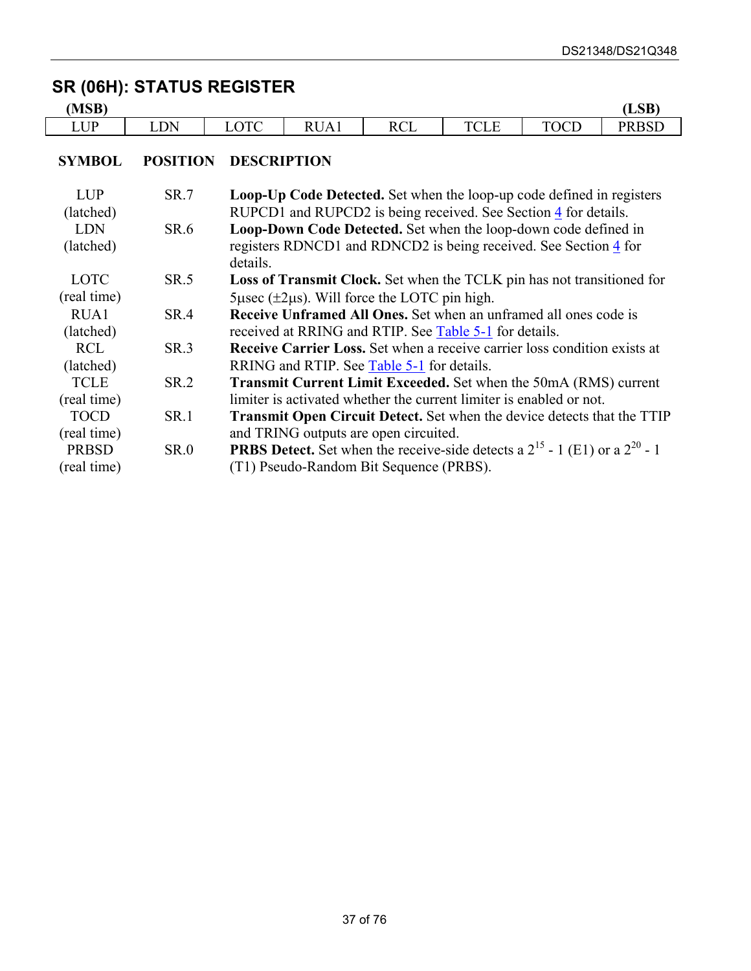## **SR (06H): STATUS REGISTER**

| MCD<br>MSB)      |            |             |                                  |                                                    |                      |                              | LSB <sup>\</sup>                                  |
|------------------|------------|-------------|----------------------------------|----------------------------------------------------|----------------------|------------------------------|---------------------------------------------------|
| <b>I</b> ID<br>⊷ | DN<br>LDI) | <u>LVIV</u> | R<br>$\Delta$<br>110 <i>1</i> 11 | $\mathbf{D} \mathbf{C}^{\mathsf{T}}$<br><b>NCL</b> | <b>TRAT</b><br>' ULL | $T\cap \cap T$<br><b>OCD</b> | <b>DDCD</b><br>$\sim$ $\sim$ $\sim$ $\sim$ $\sim$ |

#### **SYMBOL POSITION DESCRIPTION**

| <b>LUP</b><br>(latched) | <b>SR.7</b> | Loop-Up Code Detected. Set when the loop-up code defined in registers<br>RUPCD1 and RUPCD2 is being received. See Section 4 for details. |
|-------------------------|-------------|------------------------------------------------------------------------------------------------------------------------------------------|
| <b>LDN</b>              | SR.6        | Loop-Down Code Detected. Set when the loop-down code defined in                                                                          |
| (latched)               |             | registers RDNCD1 and RDNCD2 is being received. See Section 4 for<br>details.                                                             |
| <b>LOTC</b>             | SR.5        | <b>Loss of Transmit Clock.</b> Set when the TCLK pin has not transitioned for                                                            |
| (real time)             |             | $5\mu$ sec ( $\pm 2\mu$ s). Will force the LOTC pin high.                                                                                |
| RUA1                    | SR.4        | <b>Receive Unframed All Ones.</b> Set when an unframed all ones code is                                                                  |
| (latched)               |             | received at RRING and RTIP. See <b>Table 5-1</b> for details.                                                                            |
| <b>RCL</b>              | SR.3        | <b>Receive Carrier Loss.</b> Set when a receive carrier loss condition exists at                                                         |
| (latched)               |             | RRING and RTIP. See Table 5-1 for details.                                                                                               |
| <b>TCLE</b>             | SR.2        | Transmit Current Limit Exceeded. Set when the 50mA (RMS) current                                                                         |
| (real time)             |             | limiter is activated whether the current limiter is enabled or not.                                                                      |
| <b>TOCD</b>             | <b>SR.1</b> | <b>Transmit Open Circuit Detect.</b> Set when the device detects that the TTIP                                                           |
| (real time)             |             | and TRING outputs are open circuited.                                                                                                    |
| <b>PRBSD</b>            | <b>SR.0</b> | <b>PRBS Detect.</b> Set when the receive-side detects a $2^{15}$ - 1 (E1) or a $2^{20}$ - 1                                              |
| (real time)             |             | (T1) Pseudo-Random Bit Sequence (PRBS).                                                                                                  |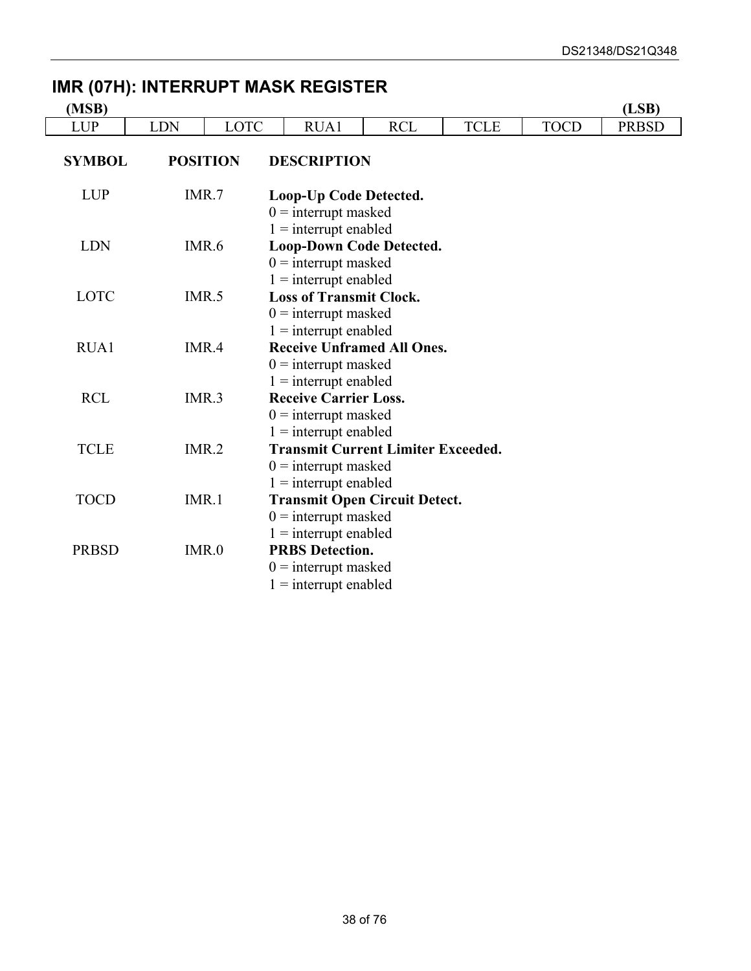## **IMR (07H): INTERRUPT MASK REGISTER**

| (MSB)         |            |                 |                                                                                                        |            |             |             | (LSB)        |
|---------------|------------|-----------------|--------------------------------------------------------------------------------------------------------|------------|-------------|-------------|--------------|
| <b>LUP</b>    | <b>LDN</b> | LOTC            | RUA1                                                                                                   | <b>RCL</b> | <b>TCLE</b> | <b>TOCD</b> | <b>PRBSD</b> |
| <b>SYMBOL</b> |            | <b>POSITION</b> | <b>DESCRIPTION</b>                                                                                     |            |             |             |              |
| <b>LUP</b>    | IMR.7      |                 | Loop-Up Code Detected.<br>$0 =$ interrupt masked                                                       |            |             |             |              |
| <b>LDN</b>    | IMR.6      |                 | $1 =$ interrupt enabled<br><b>Loop-Down Code Detected.</b><br>$0 =$ interrupt masked                   |            |             |             |              |
| <b>LOTC</b>   |            | IMR.5           | $1 =$ interrupt enabled<br><b>Loss of Transmit Clock.</b><br>$0 =$ interrupt masked                    |            |             |             |              |
| RUA1          |            | IMR.4           | $1 =$ interrupt enabled<br><b>Receive Unframed All Ones.</b><br>$0 =$ interrupt masked                 |            |             |             |              |
| <b>RCL</b>    |            | IMR.3           | $1 =$ interrupt enabled<br><b>Receive Carrier Loss.</b><br>$0 =$ interrupt masked                      |            |             |             |              |
| <b>TCLE</b>   | IMR.2      |                 | $1 =$ interrupt enabled<br><b>Transmit Current Limiter Exceeded.</b><br>$0 =$ interrupt masked         |            |             |             |              |
| <b>TOCD</b>   | IMR.1      |                 | $1 =$ interrupt enabled<br><b>Transmit Open Circuit Detect.</b><br>$0 =$ interrupt masked              |            |             |             |              |
| <b>PRBSD</b>  | IMR.0      |                 | $1 =$ interrupt enabled<br><b>PRBS Detection.</b><br>$0 =$ interrupt masked<br>$1 =$ interrupt enabled |            |             |             |              |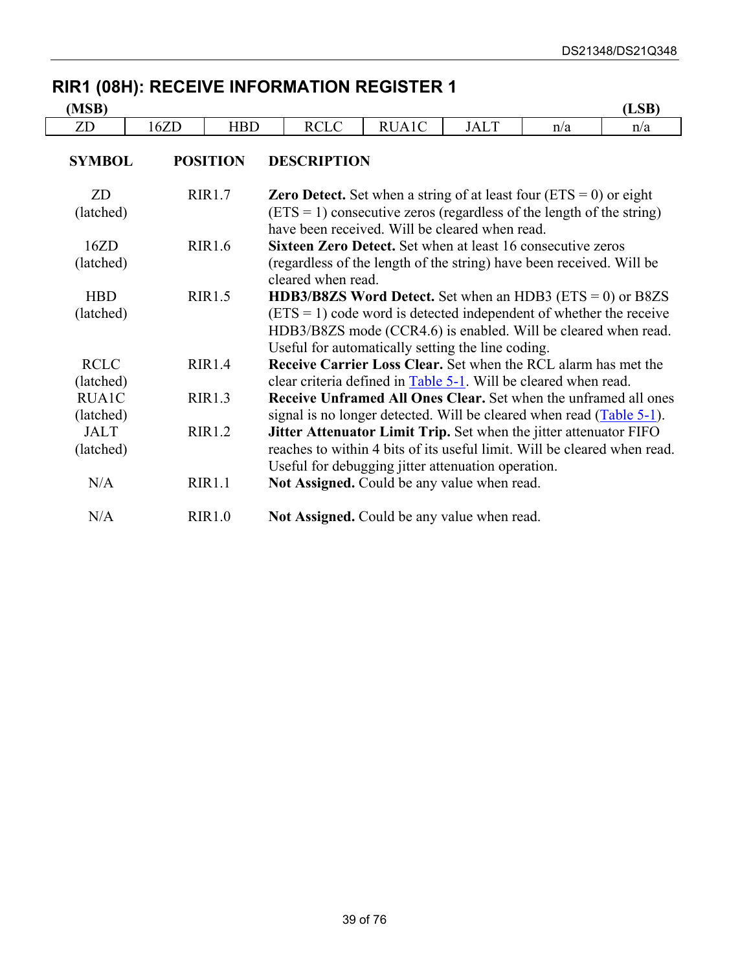## **RIR1 (08H): RECEIVE INFORMATION REGISTER 1**

| (MSB)                     |      |                 |                                                                                                                                                                                                                                                                     |       |             |     | (LSB) |  |
|---------------------------|------|-----------------|---------------------------------------------------------------------------------------------------------------------------------------------------------------------------------------------------------------------------------------------------------------------|-------|-------------|-----|-------|--|
| ZD                        | 16ZD | <b>HBD</b>      | <b>RCLC</b>                                                                                                                                                                                                                                                         | RUA1C | <b>JALT</b> | n/a | n/a   |  |
| <b>SYMBOL</b>             |      | <b>POSITION</b> | <b>DESCRIPTION</b>                                                                                                                                                                                                                                                  |       |             |     |       |  |
| ZD<br>(latched)           |      | <b>RIR1.7</b>   | <b>Zero Detect.</b> Set when a string of at least four $(ETS = 0)$ or eight<br>$(ETS = 1)$ consecutive zeros (regardless of the length of the string)                                                                                                               |       |             |     |       |  |
| 16ZD<br>(latched)         |      | <b>RIR1.6</b>   | have been received. Will be cleared when read.<br>Sixteen Zero Detect. Set when at least 16 consecutive zeros<br>(regardless of the length of the string) have been received. Will be<br>cleared when read.                                                         |       |             |     |       |  |
| <b>HBD</b><br>(latched)   |      | <b>RIR1.5</b>   | <b>HDB3/B8ZS Word Detect.</b> Set when an HDB3 ( $ETS = 0$ ) or B8ZS<br>$(ETS = 1)$ code word is detected independent of whether the receive<br>HDB3/B8ZS mode (CCR4.6) is enabled. Will be cleared when read.<br>Useful for automatically setting the line coding. |       |             |     |       |  |
| <b>RCLC</b><br>(latched)  |      | RIR1.4          | <b>Receive Carrier Loss Clear.</b> Set when the RCL alarm has met the<br>clear criteria defined in Table 5-1. Will be cleared when read.                                                                                                                            |       |             |     |       |  |
| <b>RUA1C</b><br>(latched) |      | <b>RIR1.3</b>   | Receive Unframed All Ones Clear. Set when the unframed all ones<br>signal is no longer detected. Will be cleared when read $(Table 5-1)$ .                                                                                                                          |       |             |     |       |  |
| <b>JALT</b><br>(latched)  |      | RIR1.2          | <b>Jitter Attenuator Limit Trip.</b> Set when the jitter attenuator FIFO<br>reaches to within 4 bits of its useful limit. Will be cleared when read.                                                                                                                |       |             |     |       |  |
| N/A                       |      | RIR1.1          | Useful for debugging jitter attenuation operation.<br>Not Assigned. Could be any value when read.                                                                                                                                                                   |       |             |     |       |  |
| N/A                       |      | RIR1.0          | Not Assigned. Could be any value when read.                                                                                                                                                                                                                         |       |             |     |       |  |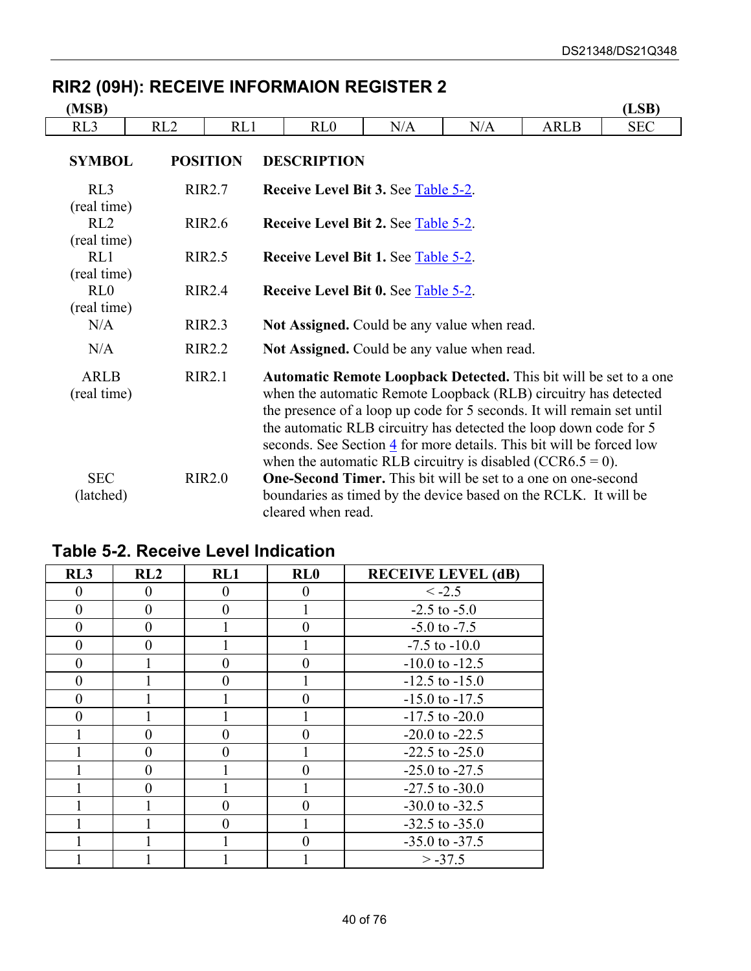| (MSB)                      |                                                             |                 |                                                                                                                                                                                                                                                                                                                                                                                                                                  |     |     |             | (LSB)      |
|----------------------------|-------------------------------------------------------------|-----------------|----------------------------------------------------------------------------------------------------------------------------------------------------------------------------------------------------------------------------------------------------------------------------------------------------------------------------------------------------------------------------------------------------------------------------------|-----|-----|-------------|------------|
| RL <sub>3</sub>            | RL2                                                         | RL1             | RL0                                                                                                                                                                                                                                                                                                                                                                                                                              | N/A | N/A | <b>ARLB</b> | <b>SEC</b> |
| <b>SYMBOL</b>              |                                                             | <b>POSITION</b> | <b>DESCRIPTION</b>                                                                                                                                                                                                                                                                                                                                                                                                               |     |     |             |            |
| RL3<br>(real time)         |                                                             | <b>RIR2.7</b>   | <b>Receive Level Bit 3. See Table 5-2.</b>                                                                                                                                                                                                                                                                                                                                                                                       |     |     |             |            |
| RL2<br>(real time)         |                                                             | <b>RIR2.6</b>   | <b>Receive Level Bit 2. See Table 5-2.</b>                                                                                                                                                                                                                                                                                                                                                                                       |     |     |             |            |
| RL1<br>(real time)         |                                                             | <b>RIR2.5</b>   | <b>Receive Level Bit 1. See Table 5-2.</b>                                                                                                                                                                                                                                                                                                                                                                                       |     |     |             |            |
| RL0<br>(real time)         | <b>RIR2.4</b><br><b>Receive Level Bit 0. See Table 5-2.</b> |                 |                                                                                                                                                                                                                                                                                                                                                                                                                                  |     |     |             |            |
| N/A                        |                                                             | <b>RIR2.3</b>   | Not Assigned. Could be any value when read.                                                                                                                                                                                                                                                                                                                                                                                      |     |     |             |            |
| N/A                        |                                                             | <b>RIR2.2</b>   | Not Assigned. Could be any value when read.                                                                                                                                                                                                                                                                                                                                                                                      |     |     |             |            |
| <b>ARLB</b><br>(real time) |                                                             | RIR2.1          | <b>Automatic Remote Loopback Detected.</b> This bit will be set to a one<br>when the automatic Remote Loopback (RLB) circuitry has detected<br>the presence of a loop up code for 5 seconds. It will remain set until<br>the automatic RLB circuitry has detected the loop down code for 5<br>seconds. See Section 4 for more details. This bit will be forced low<br>when the automatic RLB circuitry is disabled (CCR6.5 = 0). |     |     |             |            |
| <b>SEC</b><br>(latched)    |                                                             | <b>RIR2.0</b>   | <b>One-Second Timer.</b> This bit will be set to a one on one-second<br>boundaries as timed by the device based on the RCLK. It will be<br>cleared when read.                                                                                                                                                                                                                                                                    |     |     |             |            |

## **RIR2 (09H): RECEIVE INFORMAION REGISTER 2**

| RL3      | RL2      | RL1      | RL0      | <b>RECEIVE LEVEL (dB)</b> |
|----------|----------|----------|----------|---------------------------|
| 0        | 0        | $\Omega$ | 0        | $\le -2.5$                |
| $\theta$ | $\theta$ | 0        |          | $-2.5$ to $-5.0$          |
| $\theta$ | 0        |          | 0        | $-5.0$ to $-7.5$          |
| $\theta$ | $\theta$ |          |          | $-7.5$ to $-10.0$         |
| $\theta$ |          | 0        | 0        | $-10.0$ to $-12.5$        |
| $\theta$ |          | 0        |          | $-12.5$ to $-15.0$        |
| $\theta$ |          |          | $\Omega$ | $-15.0$ to $-17.5$        |
| $\Omega$ |          |          |          | $-17.5$ to $-20.0$        |
|          | 0        |          | 0        | $-20.0$ to $-22.5$        |
|          | $\theta$ | 0        |          | $-22.5$ to $-25.0$        |
|          | $\theta$ |          | 0        | $-25.0$ to $-27.5$        |
|          | $\Omega$ |          |          | $-27.5$ to $-30.0$        |
|          |          |          |          | $-30.0$ to $-32.5$        |
|          |          |          |          | $-32.5$ to $-35.0$        |
|          |          |          | 0        | $-35.0$ to $-37.5$        |
|          |          |          |          | $> -37.5$                 |

## <span id="page-39-0"></span>**Table 5-2. Receive Level Indication**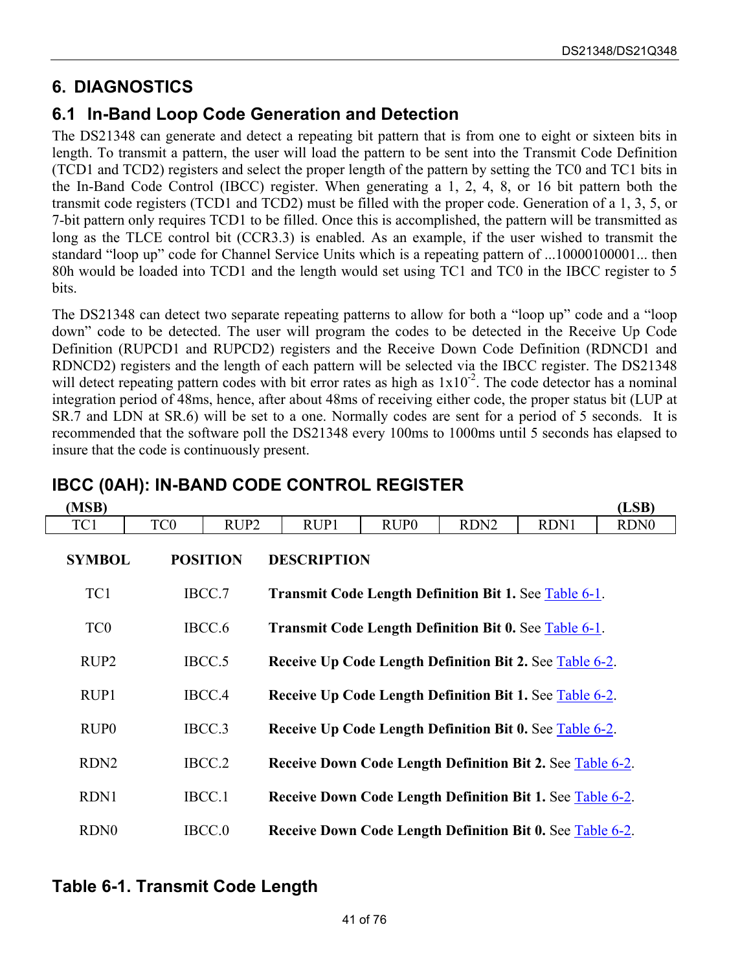## **6. DIAGNOSTICS**

### **6.1 In-Band Loop Code Generation and Detection**

The DS21348 can generate and detect a repeating bit pattern that is from one to eight or sixteen bits in length. To transmit a pattern, the user will load the pattern to be sent into the Transmit Code Definition (TCD1 and TCD2) registers and select the proper length of the pattern by setting the TC0 and TC1 bits in the In-Band Code Control (IBCC) register. When generating a 1, 2, 4, 8, or 16 bit pattern both the transmit code registers (TCD1 and TCD2) must be filled with the proper code. Generation of a 1, 3, 5, or 7-bit pattern only requires TCD1 to be filled. Once this is accomplished, the pattern will be transmitted as long as the TLCE control bit (CCR3.3) is enabled. As an example, if the user wished to transmit the standard "loop up" code for Channel Service Units which is a repeating pattern of ...10000100001... then 80h would be loaded into TCD1 and the length would set using TC1 and TC0 in the IBCC register to 5 bits.

The DS21348 can detect two separate repeating patterns to allow for both a "loop up" code and a "loop down" code to be detected. The user will program the codes to be detected in the Receive Up Code Definition (RUPCD1 and RUPCD2) registers and the Receive Down Code Definition (RDNCD1 and RDNCD2) registers and the length of each pattern will be selected via the IBCC register. The DS21348 will detect repeating pattern codes with bit error rates as high as  $1x10^{-2}$ . The code detector has a nominal integration period of 48ms, hence, after about 48ms of receiving either code, the proper status bit (LUP at SR.7 and LDN at SR.6) will be set to a one. Normally codes are sent for a period of 5 seconds. It is recommended that the software poll the DS21348 every 100ms to 1000ms until 5 seconds has elapsed to insure that the code is continuously present.

| (MSB)            |                 |                  |                                                              |                  |                  |                                                         | (LSB)            |  |
|------------------|-----------------|------------------|--------------------------------------------------------------|------------------|------------------|---------------------------------------------------------|------------------|--|
| TC1              | TC <sub>0</sub> | RUP <sub>2</sub> | RUP1                                                         | RUP <sub>0</sub> | RDN <sub>2</sub> | RDN1                                                    | RDN <sub>0</sub> |  |
| <b>SYMBOL</b>    |                 | <b>POSITION</b>  | <b>DESCRIPTION</b>                                           |                  |                  |                                                         |                  |  |
| TC1              |                 | IBCC.7           | <b>Transmit Code Length Definition Bit 1. See Table 6-1.</b> |                  |                  |                                                         |                  |  |
| TC <sub>0</sub>  |                 | IBCC.6           | <b>Transmit Code Length Definition Bit 0. See Table 6-1.</b> |                  |                  |                                                         |                  |  |
| RUP <sub>2</sub> |                 | IBCC.5           | Receive Up Code Length Definition Bit 2. See Table 6-2.      |                  |                  |                                                         |                  |  |
| RUP1             |                 | IBCC.4           |                                                              |                  |                  | Receive Up Code Length Definition Bit 1. See Table 6-2. |                  |  |
| RUP <sub>0</sub> |                 | IBCC.3           | Receive Up Code Length Definition Bit 0. See Table 6-2.      |                  |                  |                                                         |                  |  |
| RDN <sub>2</sub> |                 | IBCC.2           | Receive Down Code Length Definition Bit 2. See Table 6-2.    |                  |                  |                                                         |                  |  |
| RDN1             |                 | IBCC.1           | Receive Down Code Length Definition Bit 1. See Table 6-2.    |                  |                  |                                                         |                  |  |
| RDN <sub>0</sub> |                 | IBCC.0           | Receive Down Code Length Definition Bit 0. See Table 6-2.    |                  |                  |                                                         |                  |  |

### **IBCC (0AH): IN-BAND CODE CONTROL REGISTER**

#### <span id="page-40-0"></span>**Table 6-1. Transmit Code Length**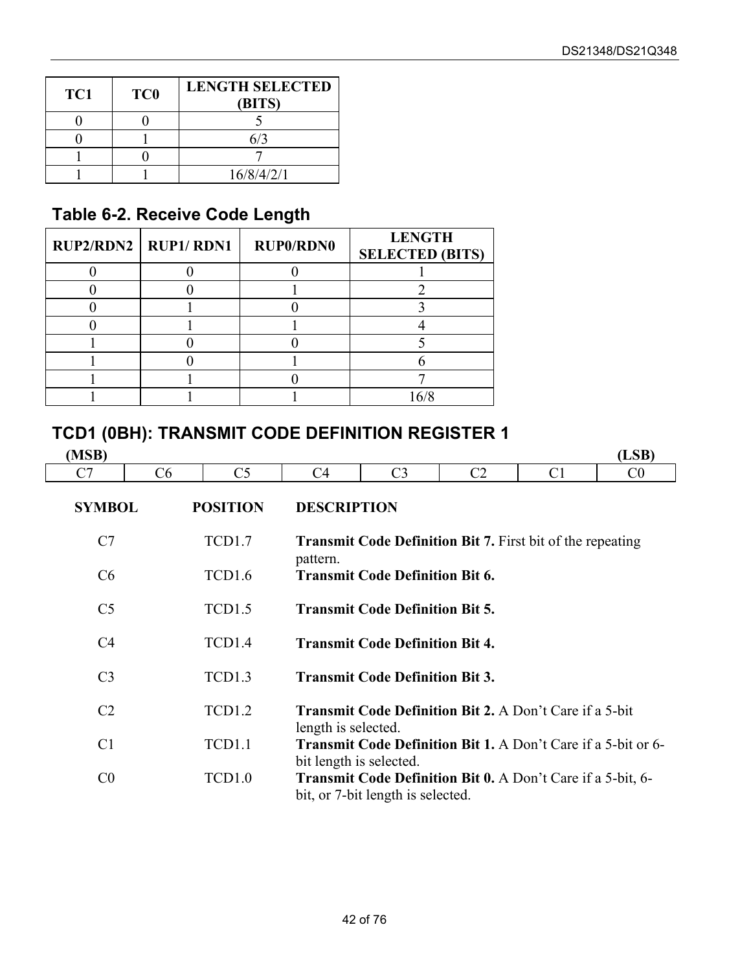| TC1 | TC <sub>0</sub> | <b>LENGTH SELECTED</b><br>(BITS) |
|-----|-----------------|----------------------------------|
|     |                 |                                  |
|     |                 |                                  |
|     |                 |                                  |
|     |                 | 16/8/4/2/1                       |

## <span id="page-41-0"></span>**Table 6-2. Receive Code Length**

| Table 0-4. INCLEIVE OUGH LENGTH |                  |                                         |  |  |  |  |  |  |  |  |
|---------------------------------|------------------|-----------------------------------------|--|--|--|--|--|--|--|--|
| $RUP2/RDN2$   $RUP1/RDN1$       | <b>RUP0/RDN0</b> | <b>LENGTH</b><br><b>SELECTED (BITS)</b> |  |  |  |  |  |  |  |  |
|                                 |                  |                                         |  |  |  |  |  |  |  |  |
|                                 |                  |                                         |  |  |  |  |  |  |  |  |
|                                 |                  |                                         |  |  |  |  |  |  |  |  |
|                                 |                  |                                         |  |  |  |  |  |  |  |  |
|                                 |                  |                                         |  |  |  |  |  |  |  |  |
|                                 |                  |                                         |  |  |  |  |  |  |  |  |
|                                 |                  |                                         |  |  |  |  |  |  |  |  |
|                                 |                  | 16/8                                    |  |  |  |  |  |  |  |  |

### **TCD1 (0BH): TRANSMIT CODE DEFINITION REGISTER 1**

| (MSB)          |    | ICD1 (0BH): IRANSMII CODE DEFINITION REGISTER 1 |                     |                                        |                                                                      |                | (LSB)          |
|----------------|----|-------------------------------------------------|---------------------|----------------------------------------|----------------------------------------------------------------------|----------------|----------------|
| C7             | C6 | C <sub>5</sub>                                  | C4                  | C <sub>3</sub>                         | C <sub>2</sub>                                                       | C <sub>1</sub> | C <sub>0</sub> |
| <b>SYMBOL</b>  |    | <b>POSITION</b>                                 | <b>DESCRIPTION</b>  |                                        |                                                                      |                |                |
| C7             |    | TCD1.7                                          | pattern.            |                                        | <b>Transmit Code Definition Bit 7.</b> First bit of the repeating    |                |                |
| C6             |    | TCD1.6                                          |                     | <b>Transmit Code Definition Bit 6.</b> |                                                                      |                |                |
| C <sub>5</sub> |    | TCD1.5                                          |                     | <b>Transmit Code Definition Bit 5.</b> |                                                                      |                |                |
| C4             |    | TCD1.4                                          |                     | <b>Transmit Code Definition Bit 4.</b> |                                                                      |                |                |
| C <sub>3</sub> |    | TCD1.3                                          |                     | <b>Transmit Code Definition Bit 3.</b> |                                                                      |                |                |
| C <sub>2</sub> |    | <b>TCD1.2</b>                                   | length is selected. |                                        | <b>Transmit Code Definition Bit 2.</b> A Don't Care if a 5-bit       |                |                |
| C <sub>1</sub> |    | TCD1.1                                          |                     | bit length is selected.                | <b>Transmit Code Definition Bit 1.</b> A Don't Care if a 5-bit or 6- |                |                |
| C <sub>0</sub> |    | TCD1.0                                          |                     | bit, or 7-bit length is selected.      | <b>Transmit Code Definition Bit 0.</b> A Don't Care if a 5-bit, 6-   |                |                |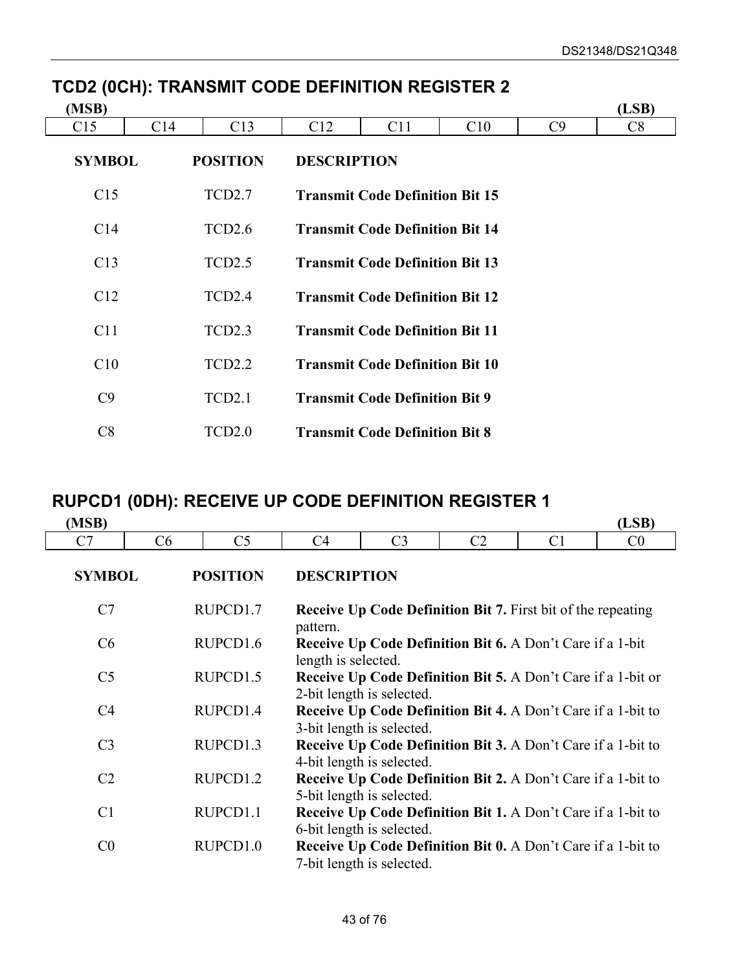| (MSB)           |                 |                    |                    |                                        |     |    | (LSB) |
|-----------------|-----------------|--------------------|--------------------|----------------------------------------|-----|----|-------|
| C <sub>15</sub> | C <sub>14</sub> | C13                | C12                | C11                                    | C10 | C9 | C8    |
| <b>SYMBOL</b>   |                 | <b>POSITION</b>    | <b>DESCRIPTION</b> |                                        |     |    |       |
| C15             |                 | TCD <sub>2.7</sub> |                    | <b>Transmit Code Definition Bit 15</b> |     |    |       |
| C <sub>14</sub> |                 | TCD <sub>2.6</sub> |                    | <b>Transmit Code Definition Bit 14</b> |     |    |       |
| C13             |                 | TCD <sub>2.5</sub> |                    | <b>Transmit Code Definition Bit 13</b> |     |    |       |
| C12             |                 | TCD <sub>2.4</sub> |                    | <b>Transmit Code Definition Bit 12</b> |     |    |       |
| C11             |                 | TCD <sub>2.3</sub> |                    | <b>Transmit Code Definition Bit 11</b> |     |    |       |
| C10             |                 | TCD <sub>2.2</sub> |                    | <b>Transmit Code Definition Bit 10</b> |     |    |       |
| C9              |                 | TCD <sub>2.1</sub> |                    | <b>Transmit Code Definition Bit 9</b>  |     |    |       |
| C8              |                 | TCD <sub>2.0</sub> |                    | <b>Transmit Code Definition Bit 8</b>  |     |    |       |

## **TCD2 (0CH): TRANSMIT CODE DEFINITION REGISTER 2**

## **RUPCD1 (0DH): RECEIVE UP CODE DEFINITION REGISTER 1**

| (MSB)          |    |                      |                     |                                                                                                  |                |                | (LSB)          |
|----------------|----|----------------------|---------------------|--------------------------------------------------------------------------------------------------|----------------|----------------|----------------|
| C7             | C6 | C <sub>5</sub>       | C4                  | C <sub>3</sub>                                                                                   | C <sub>2</sub> | C <sub>1</sub> | C <sub>0</sub> |
| <b>SYMBOL</b>  |    | <b>POSITION</b>      | <b>DESCRIPTION</b>  |                                                                                                  |                |                |                |
| C7             |    | RUPCD1.7             | pattern.            | <b>Receive Up Code Definition Bit 7.</b> First bit of the repeating                              |                |                |                |
| C6             |    | RUPCD <sub>1.6</sub> | length is selected. | <b>Receive Up Code Definition Bit 6. A Don't Care if a 1-bit</b>                                 |                |                |                |
| C <sub>5</sub> |    | RUPCD <sub>1.5</sub> |                     | Receive Up Code Definition Bit 5. A Don't Care if a 1-bit or<br>2-bit length is selected.        |                |                |                |
| C <sub>4</sub> |    | RUPCD1.4             |                     | <b>Receive Up Code Definition Bit 4.</b> A Don't Care if a 1-bit to<br>3-bit length is selected. |                |                |                |
| C <sub>3</sub> |    | RUPCD1.3             |                     | Receive Up Code Definition Bit 3. A Don't Care if a 1-bit to<br>4-bit length is selected.        |                |                |                |
| C <sub>2</sub> |    | RUPCD <sub>1.2</sub> |                     | <b>Receive Up Code Definition Bit 2.</b> A Don't Care if a 1-bit to<br>5-bit length is selected. |                |                |                |
| C <sub>1</sub> |    | RUPCD1.1             |                     | Receive Up Code Definition Bit 1. A Don't Care if a 1-bit to<br>6-bit length is selected.        |                |                |                |
| C <sub>0</sub> |    | RUPCD <sub>1.0</sub> |                     | Receive Up Code Definition Bit 0. A Don't Care if a 1-bit to<br>7-bit length is selected.        |                |                |                |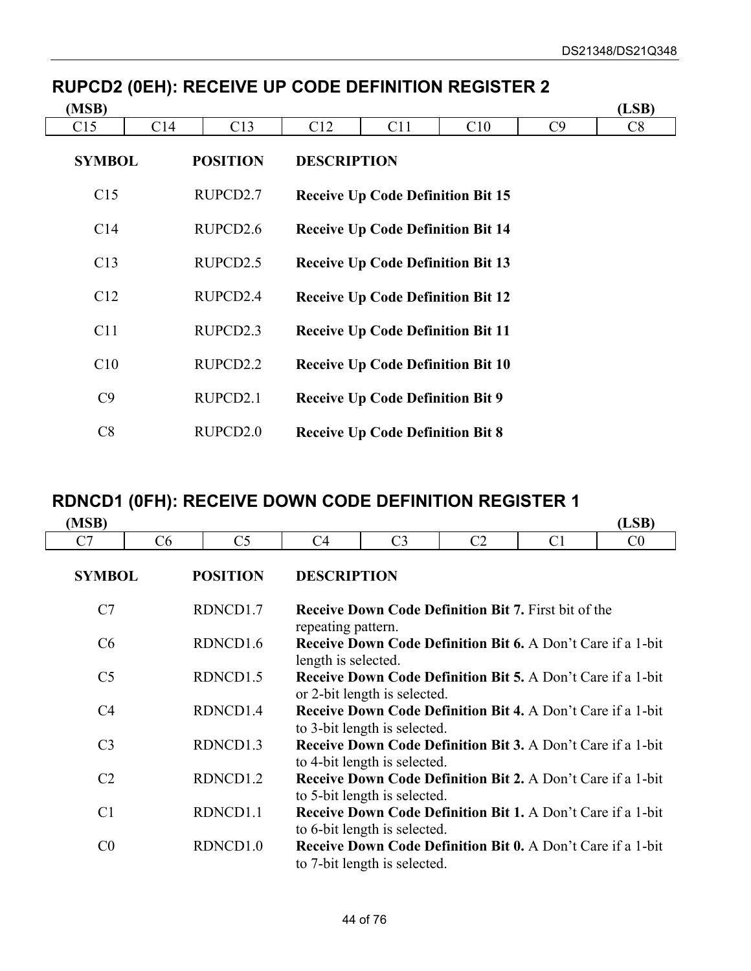| (MSB)           |                 |                      |                    |                                          |     |    | (LSB) |
|-----------------|-----------------|----------------------|--------------------|------------------------------------------|-----|----|-------|
| C <sub>15</sub> | C <sub>14</sub> | C13                  | C12                | C <sub>11</sub>                          | C10 | C9 | C8    |
| <b>SYMBOL</b>   |                 | <b>POSITION</b>      | <b>DESCRIPTION</b> |                                          |     |    |       |
| C15             |                 | RUPCD2.7             |                    | <b>Receive Up Code Definition Bit 15</b> |     |    |       |
| C <sub>14</sub> |                 | RUPCD <sub>2.6</sub> |                    | <b>Receive Up Code Definition Bit 14</b> |     |    |       |
| C13             |                 | RUPCD <sub>2.5</sub> |                    | <b>Receive Up Code Definition Bit 13</b> |     |    |       |
| C12             |                 | RUPCD <sub>2.4</sub> |                    | <b>Receive Up Code Definition Bit 12</b> |     |    |       |
| C11             |                 | RUPCD <sub>2.3</sub> |                    | <b>Receive Up Code Definition Bit 11</b> |     |    |       |
| C10             |                 | RUPCD2.2             |                    | <b>Receive Up Code Definition Bit 10</b> |     |    |       |
| C9              |                 | RUPCD2.1             |                    | <b>Receive Up Code Definition Bit 9</b>  |     |    |       |
| C8              |                 | RUPCD <sub>2.0</sub> |                    | <b>Receive Up Code Definition Bit 8</b>  |     |    |       |

## **RUPCD2 (0EH): RECEIVE UP CODE DEFINITION REGISTER 2**

## **RDNCD1 (0FH): RECEIVE DOWN CODE DEFINITION REGISTER 1**

| (MSB)          |    |                      |                     |                                                                                                    |                |                | (LSB)          |
|----------------|----|----------------------|---------------------|----------------------------------------------------------------------------------------------------|----------------|----------------|----------------|
| C7             | C6 | C <sub>5</sub>       | C4                  | C <sub>3</sub>                                                                                     | C <sub>2</sub> | C <sub>1</sub> | C <sub>0</sub> |
| <b>SYMBOL</b>  |    | <b>POSITION</b>      | <b>DESCRIPTION</b>  |                                                                                                    |                |                |                |
| C7             |    | RDNCD1.7             | repeating pattern.  | <b>Receive Down Code Definition Bit 7. First bit of the</b>                                        |                |                |                |
| C6             |    | RDNCD <sub>1.6</sub> | length is selected. | <b>Receive Down Code Definition Bit 6.</b> A Don't Care if a 1-bit                                 |                |                |                |
| C <sub>5</sub> |    | RDNCD1.5             |                     | <b>Receive Down Code Definition Bit 5. A Don't Care if a 1-bit</b><br>or 2-bit length is selected. |                |                |                |
| C <sub>4</sub> |    | RDNCD1.4             |                     | <b>Receive Down Code Definition Bit 4.</b> A Don't Care if a 1-bit<br>to 3-bit length is selected. |                |                |                |
| C <sub>3</sub> |    | RDNCD1.3             |                     | Receive Down Code Definition Bit 3. A Don't Care if a 1-bit<br>to 4-bit length is selected.        |                |                |                |
| C <sub>2</sub> |    | RDNCD1.2             |                     | Receive Down Code Definition Bit 2. A Don't Care if a 1-bit<br>to 5-bit length is selected.        |                |                |                |
| C <sub>1</sub> |    | RDNCD1.1             |                     | <b>Receive Down Code Definition Bit 1.</b> A Don't Care if a 1-bit<br>to 6-bit length is selected. |                |                |                |
| C <sub>0</sub> |    | RDNCD1.0             |                     | Receive Down Code Definition Bit 0. A Don't Care if a 1-bit<br>to 7-bit length is selected.        |                |                |                |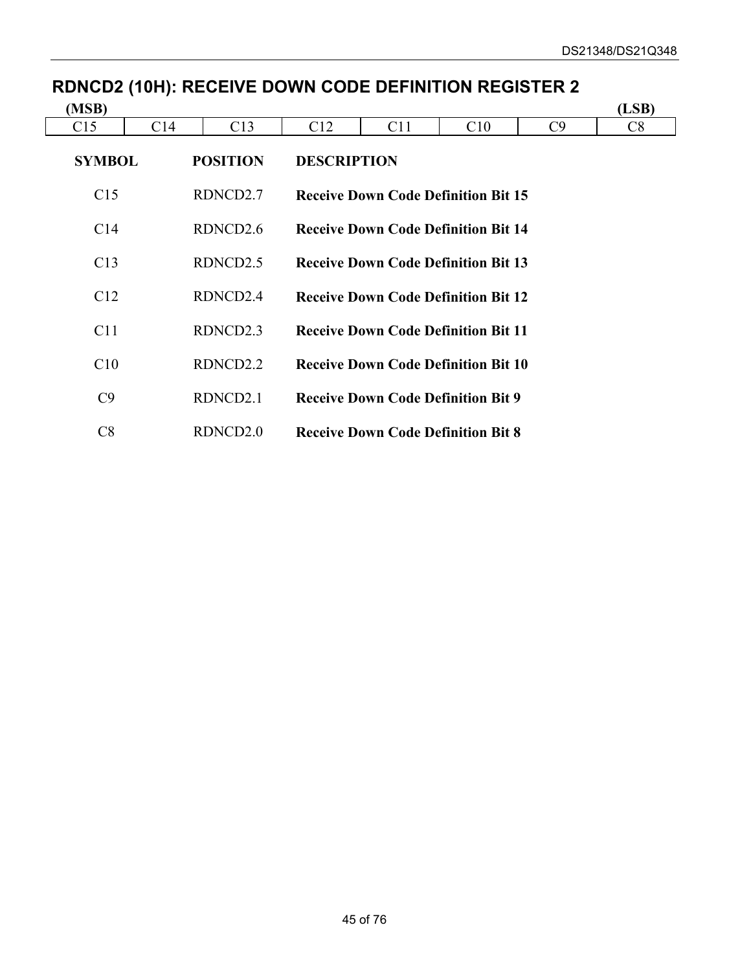| (MSB)         |                 |                      |                    |     |                                            |    | (LSB) |
|---------------|-----------------|----------------------|--------------------|-----|--------------------------------------------|----|-------|
| C15           | C <sub>14</sub> | C13                  | C12                | C11 | C10                                        | C9 | C8    |
| <b>SYMBOL</b> |                 | <b>POSITION</b>      | <b>DESCRIPTION</b> |     |                                            |    |       |
| C15           |                 | RDNCD2.7             |                    |     | <b>Receive Down Code Definition Bit 15</b> |    |       |
| C14           |                 | RDNCD <sub>2.6</sub> |                    |     | <b>Receive Down Code Definition Bit 14</b> |    |       |
| C13           |                 | RDNCD <sub>2.5</sub> |                    |     | <b>Receive Down Code Definition Bit 13</b> |    |       |
| C12           |                 | RDNCD <sub>2.4</sub> |                    |     | <b>Receive Down Code Definition Bit 12</b> |    |       |
| C11           |                 | RDNCD <sub>2.3</sub> |                    |     | <b>Receive Down Code Definition Bit 11</b> |    |       |
| C10           |                 | RDNCD2.2             |                    |     | <b>Receive Down Code Definition Bit 10</b> |    |       |
| C9            |                 | RDNCD <sub>2.1</sub> |                    |     | <b>Receive Down Code Definition Bit 9</b>  |    |       |
| C8            |                 | RDNCD2.0             |                    |     | <b>Receive Down Code Definition Bit 8</b>  |    |       |

# **RDNCD2 (10H): RECEIVE DOWN CODE DEFINITION REGISTER 2**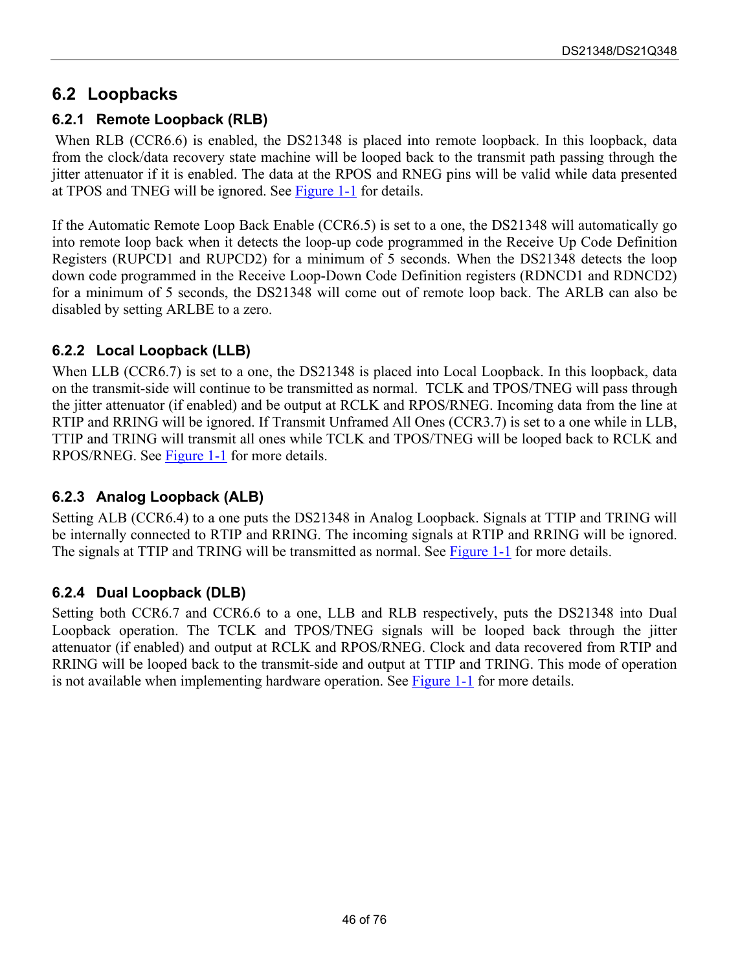#### **6.2 Loopbacks**

#### **6.2.1 Remote Loopback (RLB)**

When RLB (CCR6.6) is enabled, the DS21348 is placed into remote loopback. In this loopback, data from the clock/data recovery state machine will be looped back to the transmit path passing through the jitter attenuator if it is enabled. The data at the RPOS and RNEG pins will be valid while data presented at TPOS and TNEG will be ignored. See [Figure 1-1 f](#page-6-0)or details.

If the Automatic Remote Loop Back Enable (CCR6.5) is set to a one, the DS21348 will automatically go into remote loop back when it detects the loop-up code programmed in the Receive Up Code Definition Registers (RUPCD1 and RUPCD2) for a minimum of 5 seconds. When the DS21348 detects the loop down code programmed in the Receive Loop-Down Code Definition registers (RDNCD1 and RDNCD2) for a minimum of 5 seconds, the DS21348 will come out of remote loop back. The ARLB can also be disabled by setting ARLBE to a zero.

#### **6.2.2 Local Loopback (LLB)**

When LLB (CCR6.7) is set to a one, the DS21348 is placed into Local Loopback. In this loopback, data on the transmit-side will continue to be transmitted as normal. TCLK and TPOS/TNEG will pass through the jitter attenuator (if enabled) and be output at RCLK and RPOS/RNEG. Incoming data from the line at RTIP and RRING will be ignored. If Transmit Unframed All Ones (CCR3.7) is set to a one while in LLB, TTIP and TRING will transmit all ones while TCLK and TPOS/TNEG will be looped back to RCLK and RPOS/RNEG. See [Figure 1-1](#page-6-0) for more details.

#### **6.2.3 Analog Loopback (ALB)**

Setting ALB (CCR6.4) to a one puts the DS21348 in Analog Loopback. Signals at TTIP and TRING will be internally connected to RTIP and RRING. The incoming signals at RTIP and RRING will be ignored. The signals at TTIP and TRING will be transmitted as normal. See **Figure 1-1** for more details.

#### **6.2.4 Dual Loopback (DLB)**

Setting both CCR6.7 and CCR6.6 to a one, LLB and RLB respectively, puts the DS21348 into Dual Loopback operation. The TCLK and TPOS/TNEG signals will be looped back through the jitter attenuator (if enabled) and output at RCLK and RPOS/RNEG. Clock and data recovered from RTIP and RRING will be looped back to the transmit-side and output at TTIP and TRING. This mode of operation is not available when implementing hardware operation. See [Figure 1-1 f](#page-6-0)or more details.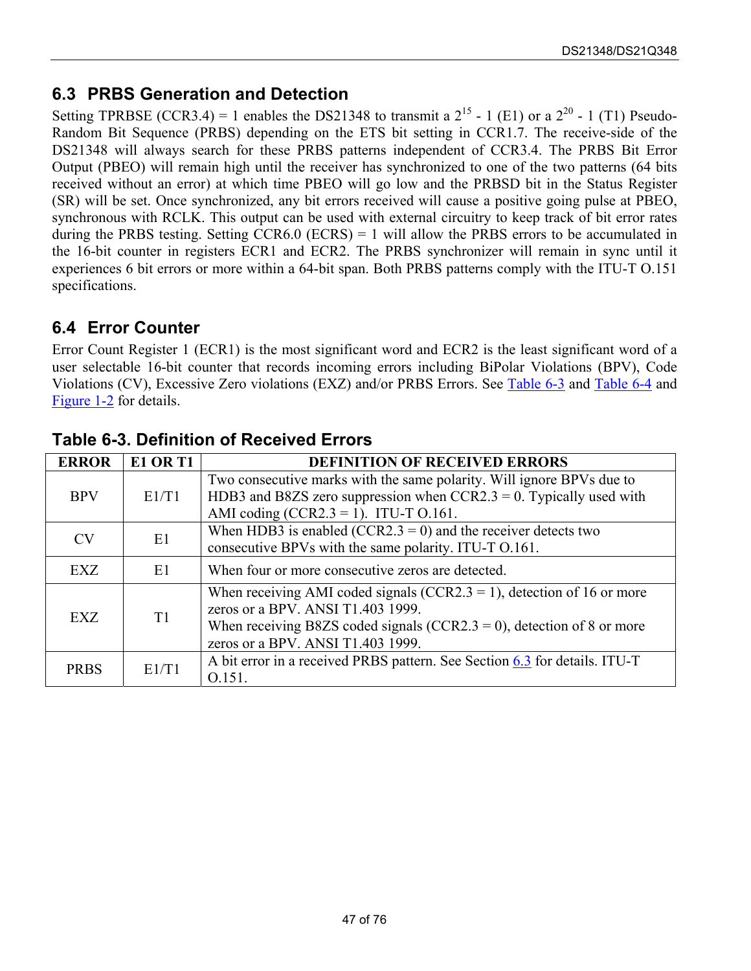### <span id="page-46-1"></span>**6.3 PRBS Generation and Detection**

Setting TPRBSE (CCR3.4) = 1 enables the DS21348 to transmit a  $2^{15}$  - 1 (E1) or a  $2^{20}$  - 1 (T1) Pseudo-Random Bit Sequence (PRBS) depending on the ETS bit setting in CCR1.7. The receive-side of the DS21348 will always search for these PRBS patterns independent of CCR3.4. The PRBS Bit Error Output (PBEO) will remain high until the receiver has synchronized to one of the two patterns (64 bits received without an error) at which time PBEO will go low and the PRBSD bit in the Status Register (SR) will be set. Once synchronized, any bit errors received will cause a positive going pulse at PBEO, synchronous with RCLK. This output can be used with external circuitry to keep track of bit error rates during the PRBS testing. Setting  $CCR6.0$  (ECRS) = 1 will allow the PRBS errors to be accumulated in the 16-bit counter in registers ECR1 and ECR2. The PRBS synchronizer will remain in sync until it experiences 6 bit errors or more within a 64-bit span. Both PRBS patterns comply with the ITU-T O.151 specifications.

### **6.4 Error Counter**

Error Count Register 1 (ECR1) is the most significant word and ECR2 is the least significant word of a user selectable 16-bit counter that records incoming errors including BiPolar Violations (BPV), Code Violations (CV), Excessive Zero violations (EXZ) and/or PRBS Errors. See [Table 6-3](#page-46-0) and [Table 6-4](#page-47-0) and [Figure 1-2 f](#page-7-0)or details.

| <b>ERROR</b> | <b>E1 OR T1</b> | <b>DEFINITION OF RECEIVED ERRORS</b>                                       |
|--------------|-----------------|----------------------------------------------------------------------------|
|              |                 | Two consecutive marks with the same polarity. Will ignore BPVs due to      |
| <b>BPV</b>   | E1/T1           | HDB3 and B8ZS zero suppression when $CCR2.3 = 0$ . Typically used with     |
|              |                 | AMI coding (CCR2.3 = 1). ITU-T $0.161$ .                                   |
| <b>CV</b>    | E1              | When HDB3 is enabled (CCR2.3 = 0) and the receiver detects two             |
|              |                 | consecutive BPVs with the same polarity. ITU-T O.161.                      |
| EXZ          | E1.             | When four or more consecutive zeros are detected.                          |
|              |                 | When receiving AMI coded signals (CCR2.3 = 1), detection of 16 or more     |
| <b>EXZ</b>   | T1              | zeros or a BPV. ANSI T1.403 1999.                                          |
|              |                 | When receiving B8ZS coded signals (CCR2.3 = 0), detection of 8 or more     |
|              |                 | zeros or a BPV. ANSI T1.403 1999.                                          |
| <b>PRBS</b>  | E1/T1           | A bit error in a received PRBS pattern. See Section 6.3 for details. ITU-T |
|              |                 | 0.151.                                                                     |

### <span id="page-46-0"></span>**Table 6-3. Definition of Received Errors**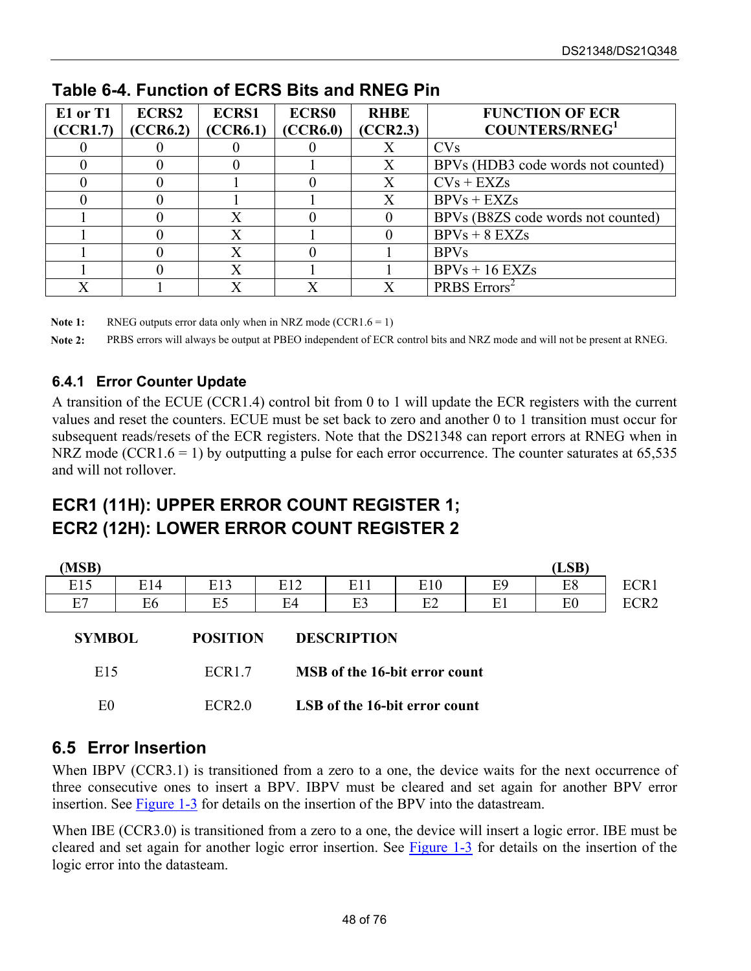| E1 or T1<br>(CCR1.7) | <b>ECRS2</b><br>(CCR6.2) | <b>ECRS1</b><br>(CCR6.1) | <b>ECRS0</b><br>(CCR6.0) | <b>RHBE</b><br>(CCR2.3) | <b>FUNCTION OF ECR</b><br><b>COUNTERS/RNEG1</b> |
|----------------------|--------------------------|--------------------------|--------------------------|-------------------------|-------------------------------------------------|
|                      |                          |                          |                          |                         | <b>CVs</b>                                      |
|                      |                          |                          |                          | X                       | BPVs (HDB3 code words not counted)              |
|                      |                          |                          |                          | X                       | $CVs + EXZs$                                    |
|                      |                          |                          |                          | Χ                       | $BPVs + EXZs$                                   |
|                      |                          | Χ                        |                          | $\theta$                | BPVs (B8ZS code words not counted)              |
|                      |                          | $\overline{X}$           |                          |                         | $BPVs + 8 EXZs$                                 |
|                      |                          | X                        |                          |                         | <b>BPVs</b>                                     |
|                      |                          | X                        |                          |                         | $BPVs + 16 EXZs$                                |
| $\rm\overline{X}$    |                          | $\overline{\mathrm{X}}$  |                          | $\overline{\text{X}}$   | PRBS Errors <sup>2</sup>                        |

#### <span id="page-47-0"></span>**Table 6-4. Function of ECRS Bits and RNEG Pin**

**Note 1:** RNEG outputs error data only when in NRZ mode (CCR1.6 = 1)

**Note 2:** PRBS errors will always be output at PBEO independent of ECR control bits and NRZ mode and will not be present at RNEG.

#### **6.4.1 Error Counter Update**

A transition of the ECUE (CCR1.4) control bit from 0 to 1 will update the ECR registers with the current values and reset the counters. ECUE must be set back to zero and another 0 to 1 transition must occur for subsequent reads/resets of the ECR registers. Note that the DS21348 can report errors at RNEG when in NRZ mode (CCR1.6 = 1) by outputting a pulse for each error occurrence. The counter saturates at  $65,535$ and will not rollover.

## **ECR1 (11H): UPPER ERROR COUNT REGISTER 1; ECR2 (12H): LOWER ERROR COUNT REGISTER 2**

| (MSB)          |     |                 |     |                                      |     |                | (LSB)          |                  |
|----------------|-----|-----------------|-----|--------------------------------------|-----|----------------|----------------|------------------|
| E15            | E14 | E13             | E12 | E11                                  | E10 | E <sub>9</sub> | E8             | ECR1             |
| E7             | E6  | E <sub>5</sub>  | E4  | E3                                   | E2  | E1             | E <sub>0</sub> | ECR <sub>2</sub> |
| <b>SYMBOL</b>  |     | <b>POSITION</b> |     | <b>DESCRIPTION</b>                   |     |                |                |                  |
| E15            |     | ECR1.7          |     | <b>MSB</b> of the 16-bit error count |     |                |                |                  |
| E <sub>0</sub> |     | ECR2.0          |     | LSB of the 16-bit error count        |     |                |                |                  |

### **6.5 Error Insertion**

When IBPV (CCR3.1) is transitioned from a zero to a one, the device waits for the next occurrence of three consecutive ones to insert a BPV. IBPV must be cleared and set again for another BPV error insertion. See [Figure 1-3](#page-8-0) for details on the insertion of the BPV into the datastream.

When IBE (CCR3.0) is transitioned from a zero to a one, the device will insert a logic error. IBE must be cleared and set again for another logic error insertion. See [Figure 1-3](#page-8-0) for details on the insertion of the logic error into the datasteam.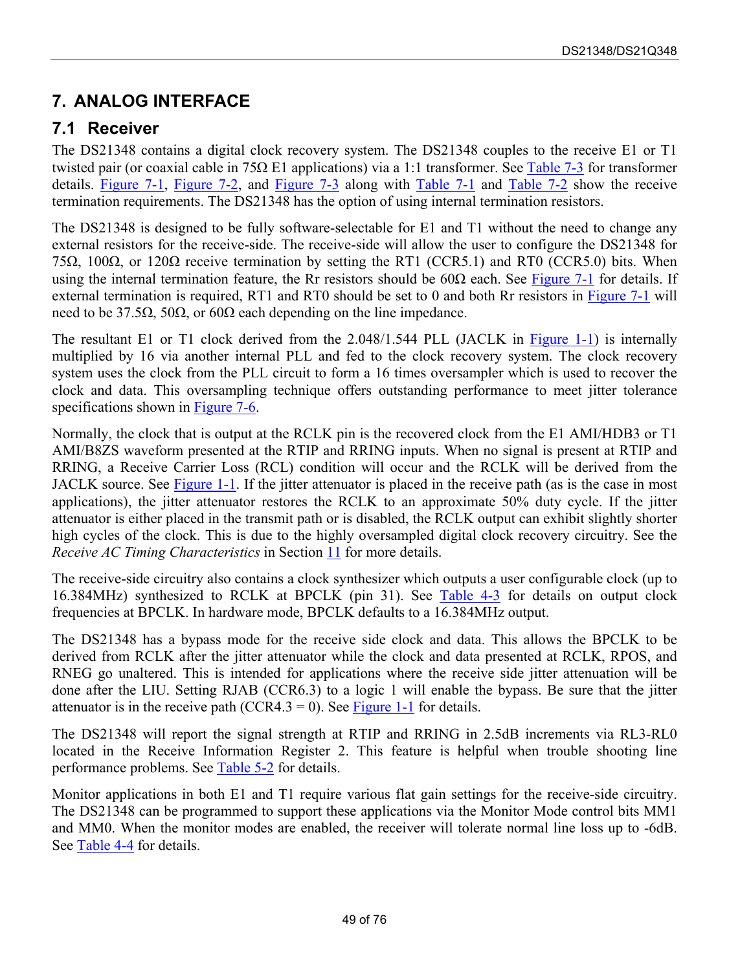## **7. ANALOG INTERFACE**

#### **7.1 Receiver**

The DS21348 contains a digital clock recovery system. The DS21348 couples to the receive E1 or T1 twisted pair (or coaxial cable in 75Ω E1 applications) via a 1:1 transformer. See [Table 7-3 f](#page-50-0)or transformer details. [Figure 7-1,](#page-51-0) [Figure 7-2,](#page-52-0) and [Figure 7-3](#page-53-0) along with [Table 7-1](#page-50-1) and [Table 7-2](#page-50-2) show the receive termination requirements. The DS21348 has the option of using internal termination resistors.

The DS21348 is designed to be fully software-selectable for E1 and T1 without the need to change any external resistors for the receive-side. The receive-side will allow the user to configure the DS21348 for 75Ω, 100Ω, or 120Ω receive termination by setting the RT1 (CCR5.1) and RT0 (CCR5.0) bits. When using the internal termination feature, the Rr resistors should be  $60\Omega$  each. See [Figure 7-1](#page-51-0) for details. If external termination is required, RT1 and RT0 should be set to 0 and both Rr resistors in [Figure 7-1](#page-51-0) will need to be 37.5Ω, 50Ω, or 60Ω each depending on the line impedance.

The resultant E1 or T1 clock derived from the 2.048/1.544 PLL (JACLK in [Figure 1-1\)](#page-6-0) is internally multiplied by 16 via another internal PLL and fed to the clock recovery system. The clock recovery system uses the clock from the PLL circuit to form a 16 times oversampler which is used to recover the clock and data. This oversampling technique offers outstanding performance to meet jitter tolerance specifications shown in [Figure 7-6.](#page-56-0)

Normally, the clock that is output at the RCLK pin is the recovered clock from the E1 AMI/HDB3 or T1 AMI/B8ZS waveform presented at the RTIP and RRING inputs. When no signal is present at RTIP and RRING, a Receive Carrier Loss (RCL) condition will occur and the RCLK will be derived from the JACLK source. See [Figure 1-1.](#page-6-0) If the jitter attenuator is placed in the receive path (as is the case in most applications), the jitter attenuator restores the RCLK to an approximate 50% duty cycle. If the jitter attenuator is either placed in the transmit path or is disabled, the RCLK output can exhibit slightly shorter high cycles of the clock. This is due to the highly oversampled digital clock recovery circuitry. See the *Receive AC Timing Characteristics* in Section [11](#page-63-0) for more details.

The receive-side circuitry also contains a clock synthesizer which outputs a user configurable clock (up to 16.384MHz) synthesized to RCLK at BPCLK (pin 31). See [Table 4-3](#page-33-0) for details on output clock frequencies at BPCLK. In hardware mode, BPCLK defaults to a 16.384MHz output.

The DS21348 has a bypass mode for the receive side clock and data. This allows the BPCLK to be derived from RCLK after the jitter attenuator while the clock and data presented at RCLK, RPOS, and RNEG go unaltered. This is intended for applications where the receive side jitter attenuation will be done after the LIU. Setting RJAB (CCR6.3) to a logic 1 will enable the bypass. Be sure that the jitter attenuator is in the receive path (CCR4.3 = 0). See [Figure 1-1](#page-6-0) for details.

The DS21348 will report the signal strength at RTIP and RRING in 2.5dB increments via RL3-RL0 located in the Receive Information Register 2. This feature is helpful when trouble shooting line performance problems. See [Table 5-2](#page-39-0) for details.

Monitor applications in both E1 and T1 require various flat gain settings for the receive-side circuitry. The DS21348 can be programmed to support these applications via the Monitor Mode control bits MM1 and MM0. When the monitor modes are enabled, the receiver will tolerate normal line loss up to -6dB. See [Table 4-4](#page-33-1) for details.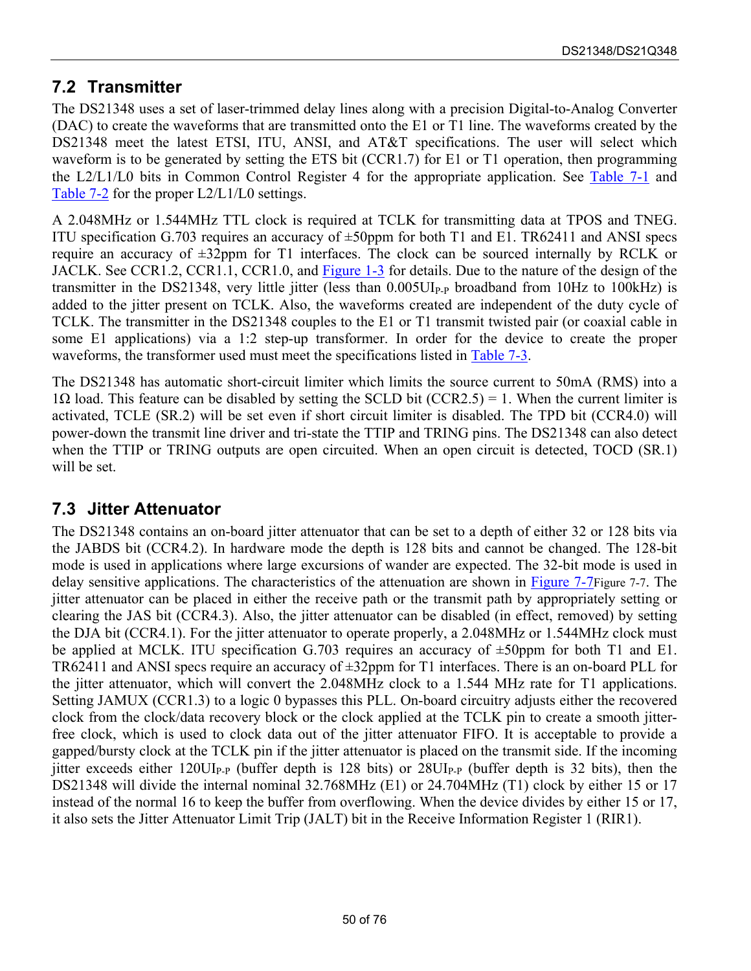### **7.2 Transmitter**

The DS21348 uses a set of laser-trimmed delay lines along with a precision Digital-to-Analog Converter (DAC) to create the waveforms that are transmitted onto the E1 or T1 line. The waveforms created by the DS21348 meet the latest ETSI, ITU, ANSI, and AT&T specifications. The user will select which waveform is to be generated by setting the ETS bit (CCR1.7) for E1 or T1 operation, then programming the L2/L1/L0 bits in Common Control Register 4 for the appropriate application. See [Table 7-1](#page-50-1) and [Table 7-2 f](#page-50-2)or the proper L2/L1/L0 settings.

A 2.048MHz or 1.544MHz TTL clock is required at TCLK for transmitting data at TPOS and TNEG. ITU specification G.703 requires an accuracy of  $\pm 50$  ppm for both T1 and E1. TR62411 and ANSI specs require an accuracy of ±32ppm for T1 interfaces. The clock can be sourced internally by RCLK or JACLK. See CCR1.2, CCR1.1, CCR1.0, and [Figure 1-3 f](#page-8-1)or details. Due to the nature of the design of the transmitter in the DS21348, very little jitter (less than  $0.005$ UI<sub>P-P</sub> broadband from 10Hz to 100kHz) is added to the jitter present on TCLK. Also, the waveforms created are independent of the duty cycle of TCLK. The transmitter in the DS21348 couples to the E1 or T1 transmit twisted pair (or coaxial cable in some E1 applications) via a 1:2 step-up transformer. In order for the device to create the proper waveforms, the transformer used must meet the specifications listed in [Table 7-3.](#page-50-0)

The DS21348 has automatic short-circuit limiter which limits the source current to 50mA (RMS) into a 1Ω load. This feature can be disabled by setting the SCLD bit (CCR2.5) = 1. When the current limiter is activated, TCLE (SR.2) will be set even if short circuit limiter is disabled. The TPD bit (CCR4.0) will power-down the transmit line driver and tri-state the TTIP and TRING pins. The DS21348 can also detect when the TTIP or TRING outputs are open circuited. When an open circuit is detected, TOCD (SR.1) will be set.

#### **7.3 Jitter Attenuator**

The DS21348 contains an on-board jitter attenuator that can be set to a depth of either 32 or 128 bits via the JABDS bit (CCR4.2). In hardware mode the depth is 128 bits and cannot be changed. The 128-bit mode is used in applications where large excursions of wander are expected. The 32-bit mode is used in delay sensitive applications. The characteristics of the attenuation are shown in [Figure 7-7Figure 7-7.](#page-56-1) The jitter attenuator can be placed in either the receive path or the transmit path by appropriately setting or clearing the JAS bit (CCR4.3). Also, the jitter attenuator can be disabled (in effect, removed) by setting the DJA bit (CCR4.1). For the jitter attenuator to operate properly, a 2.048MHz or 1.544MHz clock must be applied at MCLK. ITU specification G.703 requires an accuracy of  $\pm 50$ ppm for both T1 and E1. TR62411 and ANSI specs require an accuracy of ±32ppm for T1 interfaces. There is an on-board PLL for the jitter attenuator, which will convert the 2.048MHz clock to a 1.544 MHz rate for T1 applications. Setting JAMUX (CCR1.3) to a logic 0 bypasses this PLL. On-board circuitry adjusts either the recovered clock from the clock/data recovery block or the clock applied at the TCLK pin to create a smooth jitterfree clock, which is used to clock data out of the jitter attenuator FIFO. It is acceptable to provide a gapped/bursty clock at the TCLK pin if the jitter attenuator is placed on the transmit side. If the incoming jitter exceeds either  $120U$ <sub>P-P</sub> (buffer depth is 128 bits) or  $28U$ <sub>P-P</sub> (buffer depth is 32 bits), then the DS21348 will divide the internal nominal 32.768MHz (E1) or 24.704MHz (T1) clock by either 15 or 17 instead of the normal 16 to keep the buffer from overflowing. When the device divides by either 15 or 17, it also sets the Jitter Attenuator Limit Trip (JALT) bit in the Receive Information Register 1 (RIR1).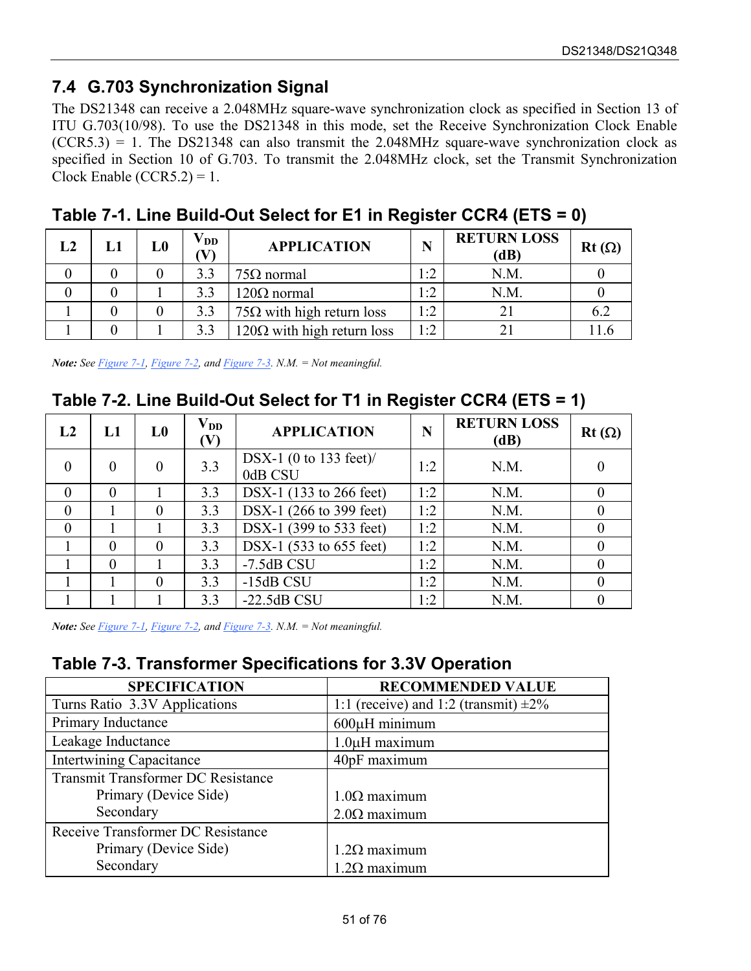## **7.4 G.703 Synchronization Signal**

The DS21348 can receive a 2.048MHz square-wave synchronization clock as specified in Section 13 of ITU G.703(10/98). To use the DS21348 in this mode, set the Receive Synchronization Clock Enable  $(CCR5.3) = 1$ . The DS21348 can also transmit the 2.048MHz square-wave synchronization clock as specified in Section 10 of G.703. To transmit the 2.048MHz clock, set the Transmit Synchronization Clock Enable (CCR5.2) =  $1$ .

| L2 | L1 | L0 | $\mathbf{V_{DD}}$<br>V) | <b>APPLICATION</b>                | N     | <b>RETURN LOSS</b><br>(dB) | $Rt(\Omega)$ |
|----|----|----|-------------------------|-----------------------------------|-------|----------------------------|--------------|
|    |    |    | 3.3                     | $75\Omega$ normal                 | ר - ו | N.M.                       |              |
|    |    |    | 3.3                     | $120\Omega$ normal                | 1:2   | N.M.                       |              |
|    |    |    | 3.3                     | $75\Omega$ with high return loss  | 1:2   |                            | 6.2          |
|    |    |    | 3.3                     | $120\Omega$ with high return loss | 1:2   |                            |              |

<span id="page-50-1"></span>**Table 7-1. Line Build-Out Select for E1 in Register CCR4 (ETS = 0)**

*Note: See [Figure 7-1,](#page-51-0) [Figure 7-2,](#page-52-0) and [Figure 7-3.](#page-53-0) N.M. = Not meaningful.*

#### <span id="page-50-2"></span>**Table 7-2. Line Build-Out Select for T1 in Register CCR4 (ETS = 1)**

| L2             | L1       | L <sub>0</sub> | $\mathbf{V}_{\mathbf{DD}}$<br>$(\mathbf V)$ | <b>APPLICATION</b>                | N   | <b>RETURN LOSS</b><br>(dB) | $Rt(\Omega)$ |
|----------------|----------|----------------|---------------------------------------------|-----------------------------------|-----|----------------------------|--------------|
| $\overline{0}$ | $\theta$ | 0              | 3.3                                         | DSX-1 (0 to 133 feet)/<br>0dB CSU | 1:2 | N.M.                       |              |
| $\theta$       | $\theta$ |                | 3.3                                         | DSX-1 (133 to 266 feet)           | 1:2 | N.M.                       |              |
| $\theta$       |          | $\theta$       | 3.3                                         | DSX-1 (266 to 399 feet)           | 1:2 | N.M.                       |              |
| $\theta$       |          |                | 3.3                                         | DSX-1 (399 to 533 feet)           | 1:2 | N.M.                       |              |
|                | $\theta$ | $\theta$       | 3.3                                         | DSX-1 (533 to 655 feet)           | 1:2 | N.M.                       |              |
|                | $\theta$ |                | 3.3                                         | $-7.5dB$ CSU                      | 1:2 | N.M.                       |              |
|                |          | 0              | 3.3                                         | $-15dB$ CSU                       | 1:2 | N.M.                       |              |
|                |          |                | 3.3                                         | $-22.5dB$ CSU                     | 1:2 | N.M.                       |              |

*Note: See [Figure 7-1,](#page-51-0) [Figure 7-2,](#page-52-0) and [Figure 7-3.](#page-53-0) N.M. = Not meaningful.*

### <span id="page-50-0"></span>**Table 7-3. Transformer Specifications for 3.3V Operation**

| <b>SPECIFICATION</b>               | <b>RECOMMENDED VALUE</b>                   |
|------------------------------------|--------------------------------------------|
| Turns Ratio 3.3V Applications      | 1:1 (receive) and 1:2 (transmit) $\pm 2\%$ |
| Primary Inductance                 | $600\mu$ H minimum                         |
| Leakage Inductance                 | 1.0µH maximum                              |
| <b>Intertwining Capacitance</b>    | 40pF maximum                               |
| Transmit Transformer DC Resistance |                                            |
| Primary (Device Side)              | $1.0\Omega$ maximum                        |
| Secondary                          | $2.0\Omega$ maximum                        |
| Receive Transformer DC Resistance  |                                            |
| Primary (Device Side)              | $1.2Ω$ maximum                             |
| Secondary                          | $1.2Ω$ maximum                             |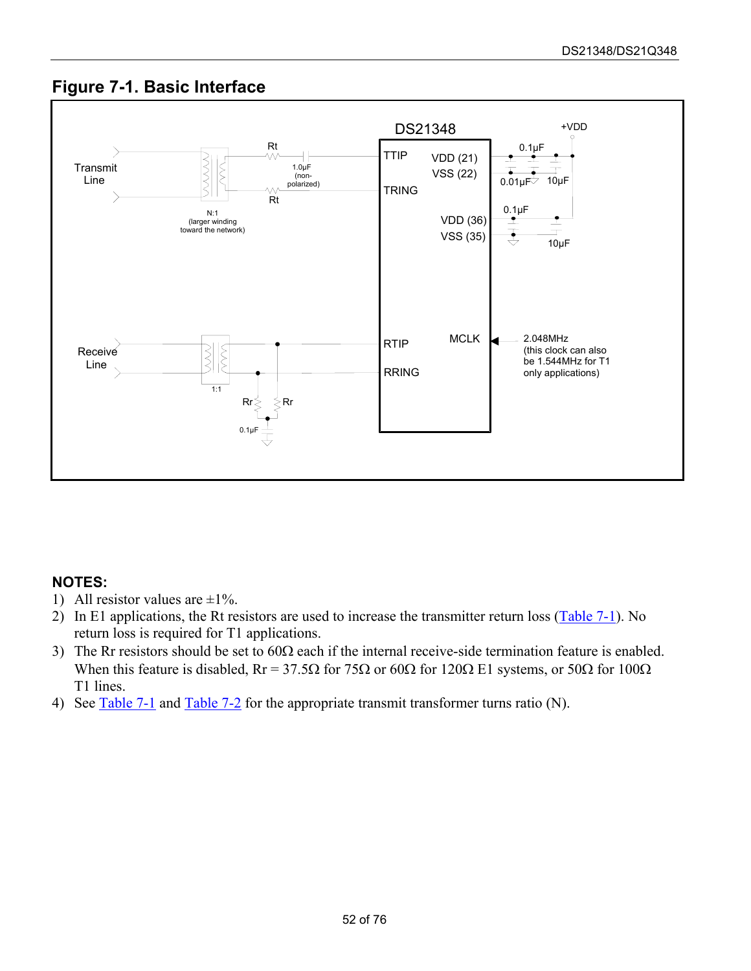#### <span id="page-51-0"></span>**Figure 7-1. Basic Interface**



- 1) All resistor values are  $\pm 1\%$ .
- 2) In E1 applications, the Rt resistors are used to increase the transmitter return loss [\(Table 7-1\)](#page-50-1). No return loss is required for T1 applications.
- 3) The Rr resistors should be set to  $60\Omega$  each if the internal receive-side termination feature is enabled. When this feature is disabled,  $Rr = 37.5\Omega$  for 75 $\Omega$  or 60 $\Omega$  for 120 $\Omega$  E1 systems, or 50 $\Omega$  for 100 $\Omega$ T1 lines.
- 4) See [Table 7-1](#page-50-1) and [Table 7-2 f](#page-50-2)or the appropriate transmit transformer turns ratio (N).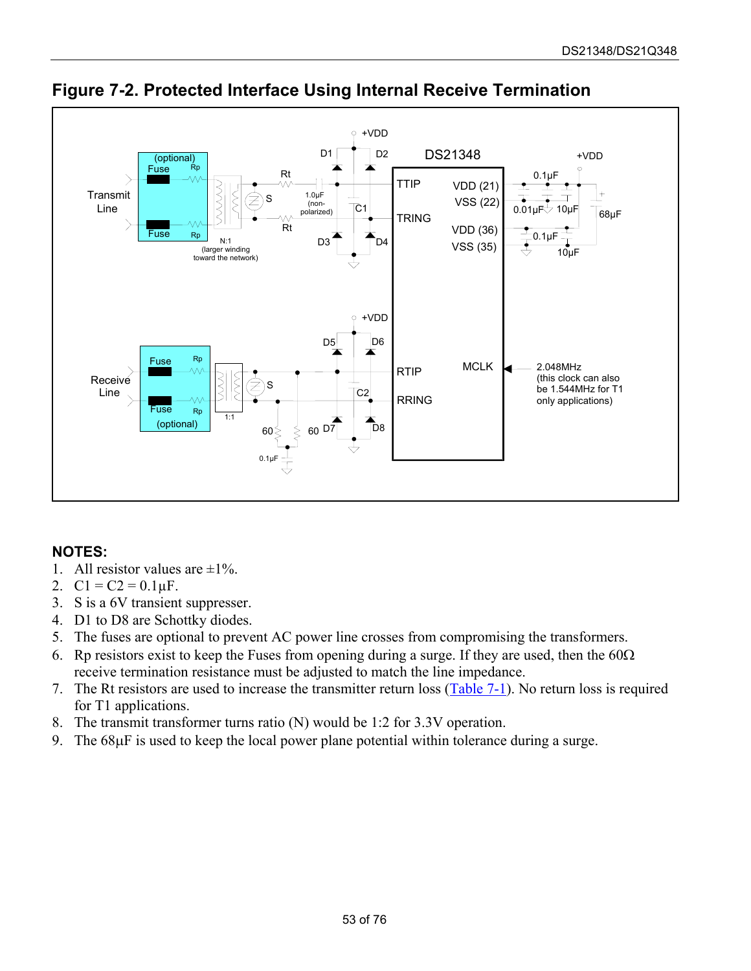

<span id="page-52-0"></span>**Figure 7-2. Protected Interface Using Internal Receive Termination**

- 1. All resistor values are  $\pm 1\%$ .
- 2.  $C1 = C2 = 0.1 \mu F$ .
- 3. S is a 6V transient suppresser.
- 4. D1 to D8 are Schottky diodes.
- 5. The fuses are optional to prevent AC power line crosses from compromising the transformers.
- 6. Rp resistors exist to keep the Fuses from opening during a surge. If they are used, then the  $60\Omega$ receive termination resistance must be adjusted to match the line impedance.
- 7. The Rt resistors are used to increase the transmitter return loss ([Table 7-1\).](#page-50-1) No return loss is required for T1 applications.
- 8. The transmit transformer turns ratio (N) would be 1:2 for 3.3V operation.
- 9. The 68µF is used to keep the local power plane potential within tolerance during a surge.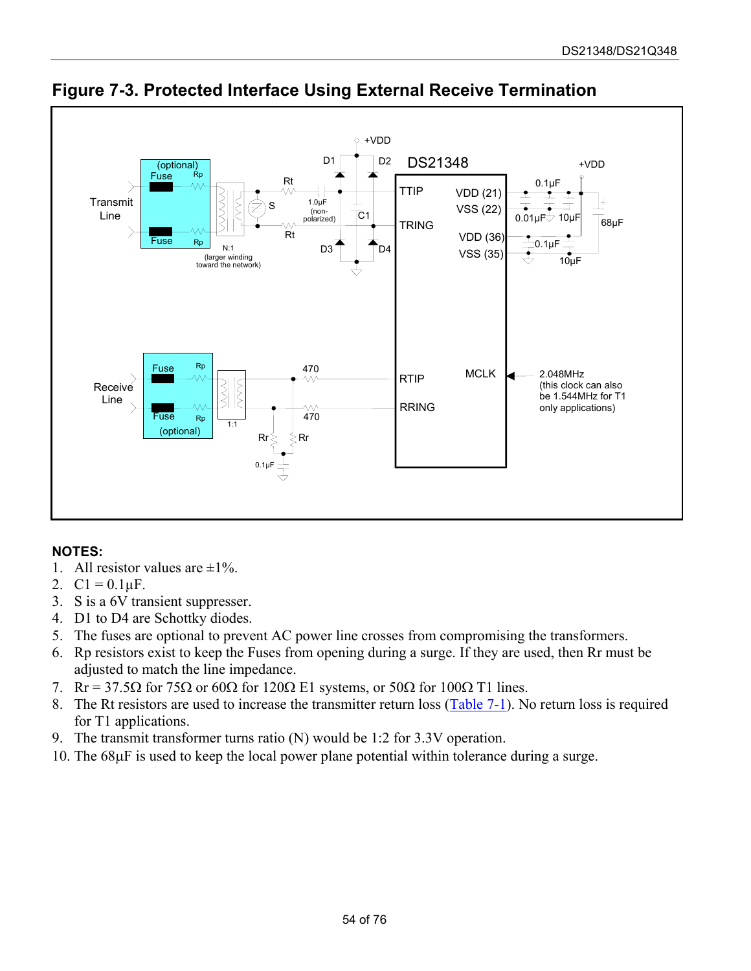

<span id="page-53-0"></span>**Figure 7-3. Protected Interface Using External Receive Termination**

- 1. All resistor values are  $\pm 1\%$ .
- 2.  $Cl = 0.1 \mu F$ .
- 3. S is a 6V transient suppresser.
- 4. D1 to D4 are Schottky diodes.
- 5. The fuses are optional to prevent AC power line crosses from compromising the transformers.
- 6. Rp resistors exist to keep the Fuses from opening during a surge. If they are used, then Rr must be adjusted to match the line impedance.
- 7. Rr = 37.5 $\Omega$  for 75 $\Omega$  or 60 $\Omega$  for 120 $\Omega$  E1 systems, or 50 $\Omega$  for 100 $\Omega$  T1 lines.
- 8. The Rt resistors are used to increase the transmitter return loss ([Table 7-1\).](#page-50-1) No return loss is required for T1 applications.
- 9. The transmit transformer turns ratio (N) would be 1:2 for 3.3V operation.
- 10. The 68µF is used to keep the local power plane potential within tolerance during a surge.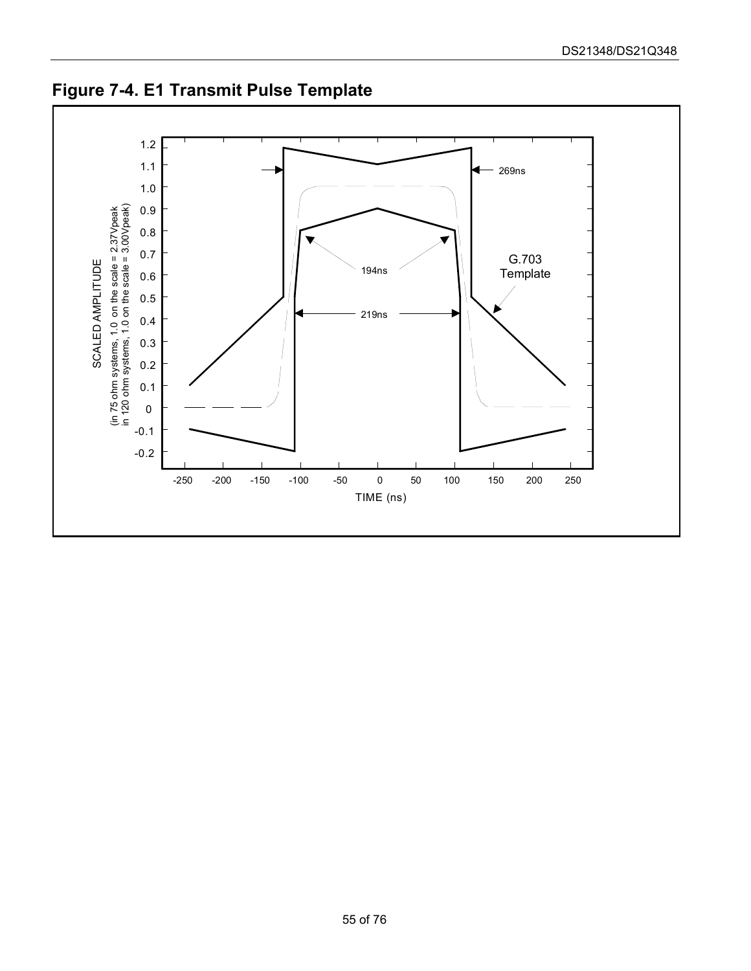

**Figure 7-4. E1 Transmit Pulse Template**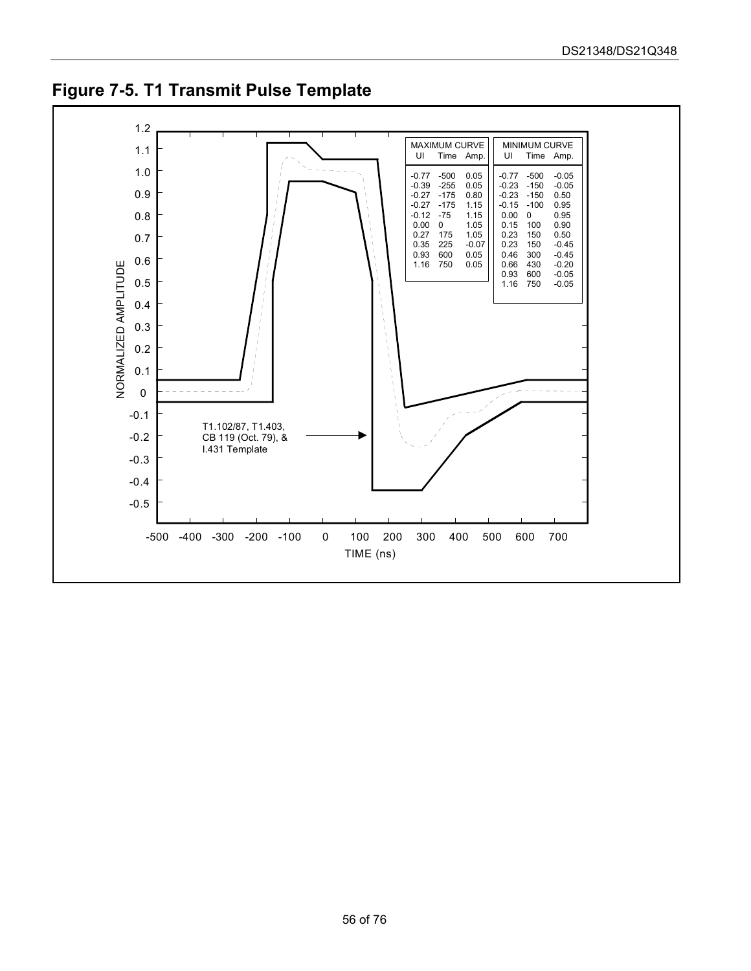

**Figure 7-5. T1 Transmit Pulse Template**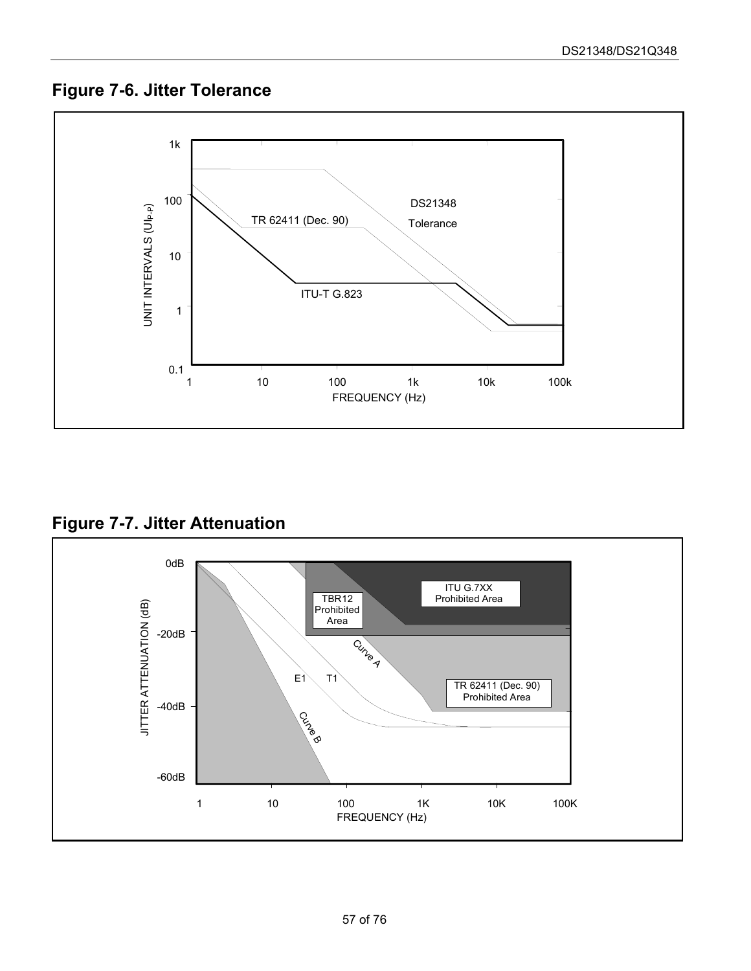## <span id="page-56-0"></span>**Figure 7-6. Jitter Tolerance**



<span id="page-56-1"></span>**Figure 7-7. Jitter Attenuation**

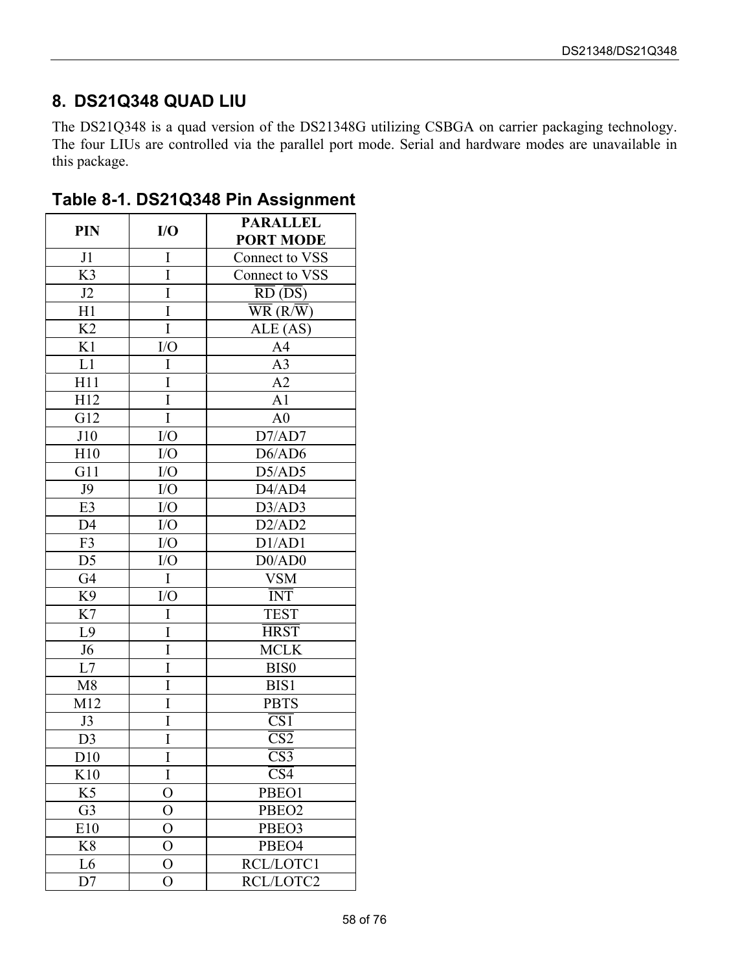### **8. DS21Q348 QUAD LIU**

 $\Gamma$ 

The DS21Q348 is a quad version of the DS21348G utilizing CSBGA on carrier packaging technology. The four LIUs are controlled via the parallel port mode. Serial and hardware modes are unavailable in this package.

| <b>PIN</b>          | I/O            | <b>PARALLEL</b>                     |  |  |
|---------------------|----------------|-------------------------------------|--|--|
|                     |                | <b>PORT MODE</b>                    |  |  |
| J1                  | I              | Connect to VSS                      |  |  |
| K <sub>3</sub>      | I              | Connect to VSS                      |  |  |
| J2                  | I              | $\overline{RD}$ ( $\overline{DS}$ ) |  |  |
| H1                  | I              | $\overline{\text{WR}}$ (R/W)        |  |  |
| K <sub>2</sub>      | I              | ALE (AS)                            |  |  |
| K1                  | I/O            | A <sub>4</sub>                      |  |  |
| $\mathop{\rm L{1}}$ | I              | A <sub>3</sub>                      |  |  |
| H11                 | I              | A2                                  |  |  |
| H12                 | I              | A1                                  |  |  |
| G12                 | $\rm I$        | A <sub>0</sub>                      |  |  |
| J10                 | I/O            | D7/AD7                              |  |  |
| H10                 | I/O            | D6/AD6                              |  |  |
| G11                 | I/O            | D5/AD5                              |  |  |
| J9                  | I/O            | D4/AD4                              |  |  |
| E <sub>3</sub>      | I/O            | D3/AD3                              |  |  |
| D <sub>4</sub>      | I/O            | D2/AD2                              |  |  |
| F3                  | I/O            | D1/AD1                              |  |  |
| D <sub>5</sub>      | I/O            | D0/AD0                              |  |  |
| G4                  | $\mathbf I$    | <b>VSM</b>                          |  |  |
| K <sub>9</sub>      | I/O            | <b>INT</b>                          |  |  |
| K7                  | I              | <b>TEST</b>                         |  |  |
| L9                  | I              | <b>HRST</b>                         |  |  |
| J <sub>6</sub>      | I              | <b>MCLK</b>                         |  |  |
| $\rm L7$            | I              | BIS <sub>0</sub>                    |  |  |
| M8                  | I              | BIS1                                |  |  |
| M12                 | I              | <b>PBTS</b>                         |  |  |
| J3                  | I              | $\overline{\text{CS1}}$             |  |  |
| D <sub>3</sub>      | I              | $\overline{\text{CS2}}$             |  |  |
| D10                 | I              | $\overline{\text{CS3}}$             |  |  |
| K10                 | I              | $\overline{\text{CS4}}$             |  |  |
| K5                  | $\overline{O}$ | PBEO1                               |  |  |
| G <sub>3</sub>      | $\overline{O}$ | PBEO2                               |  |  |
| E10                 | $\overline{O}$ | PBEO3                               |  |  |
| K8                  | $\overline{O}$ | PBEO4                               |  |  |
| L6                  | $\overline{O}$ | RCL/LOTC1                           |  |  |
| D7                  | $\overline{O}$ | RCL/LOTC2                           |  |  |

**Table 8-1. DS21Q348 Pin Assignment**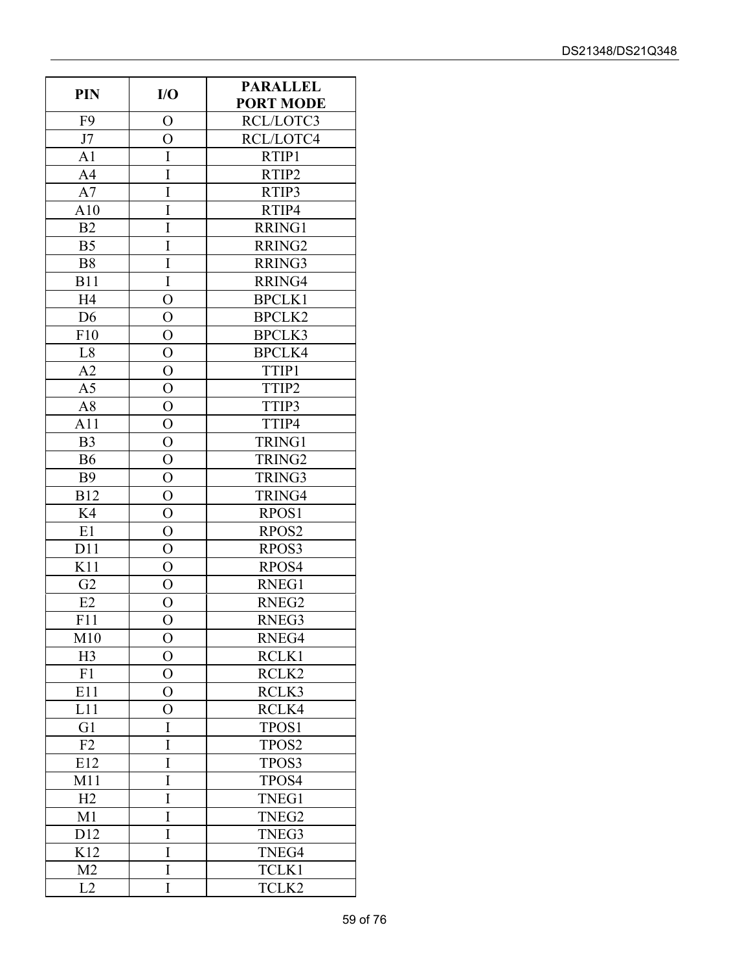| <b>PIN</b>     | I/O            | <b>PARALLEL</b><br><b>PORT MODE</b> |
|----------------|----------------|-------------------------------------|
| F9             | $\overline{O}$ | RCL/LOTC3                           |
| J7             | $\overline{O}$ | RCL/LOTC4                           |
| A1             | I              | RTIP1                               |
| A <sub>4</sub> | I              | RTIP2                               |
| A7             | I              | RTIP3                               |
| A10            | I              | RTIP4                               |
| B <sub>2</sub> | I              | RRING1                              |
| B <sub>5</sub> | I              | RRING <sub>2</sub>                  |
| <b>B8</b>      | I              | RRING3                              |
| <b>B11</b>     | $\overline{I}$ | RRING4                              |
| H <sub>4</sub> | $\overline{O}$ | <b>BPCLK1</b>                       |
| D <sub>6</sub> | O              | <b>BPCLK2</b>                       |
| F10            | $\overline{O}$ | <b>BPCLK3</b>                       |
| L8             | $\overline{O}$ | <b>BPCLK4</b>                       |
| $\mathbf{A2}$  | $\overline{O}$ | TTIP1                               |
| A <sub>5</sub> | $\overline{O}$ | TTIP2                               |
| A8             | $\overline{O}$ | TTIP3                               |
| A11            | $\overline{O}$ | TTIP4                               |
| B <sub>3</sub> | $\mathcal{O}$  | TRING1                              |
| <b>B6</b>      | $\mathcal{O}$  | TRING2                              |
| <b>B9</b>      | $\overline{O}$ | TRING3                              |
| <b>B12</b>     | $\overline{O}$ | TRING4                              |
| K4             | $\overline{O}$ | RPOS1                               |
| E1             | $\overline{O}$ | RPOS <sub>2</sub>                   |
| D11            | $\mathcal{O}$  | RPOS3                               |
| K11            | $\overline{O}$ | RPOS4                               |
| G2             | $\mathcal{O}$  | RNEG1                               |
| E2             | $\overline{O}$ | RNEG2                               |
| F11            | $\overline{O}$ | RNEG3                               |
| M10            | $\overline{O}$ | RNEG4                               |
| H <sub>3</sub> | $\overline{O}$ | RCLK1                               |
| F1             | $\mathcal{O}$  | RCLK2                               |
| E11            | $\overline{O}$ | RCLK3                               |
| L11            | $\overline{O}$ | RCLK4                               |
| G1             | I              | TPOS1                               |
| F2             | I              | TPOS <sub>2</sub>                   |
| E12            | I              | TPOS3                               |
| M11            | I              | TPOS4                               |
| H2             | I              | TNEG1                               |
| M1             | I              | TNEG2                               |
| D12            | I              | TNEG3                               |
| K12            | I              | TNEG4                               |
| M <sub>2</sub> | I              | TCLK1                               |
| L2             | I              | TCLK2                               |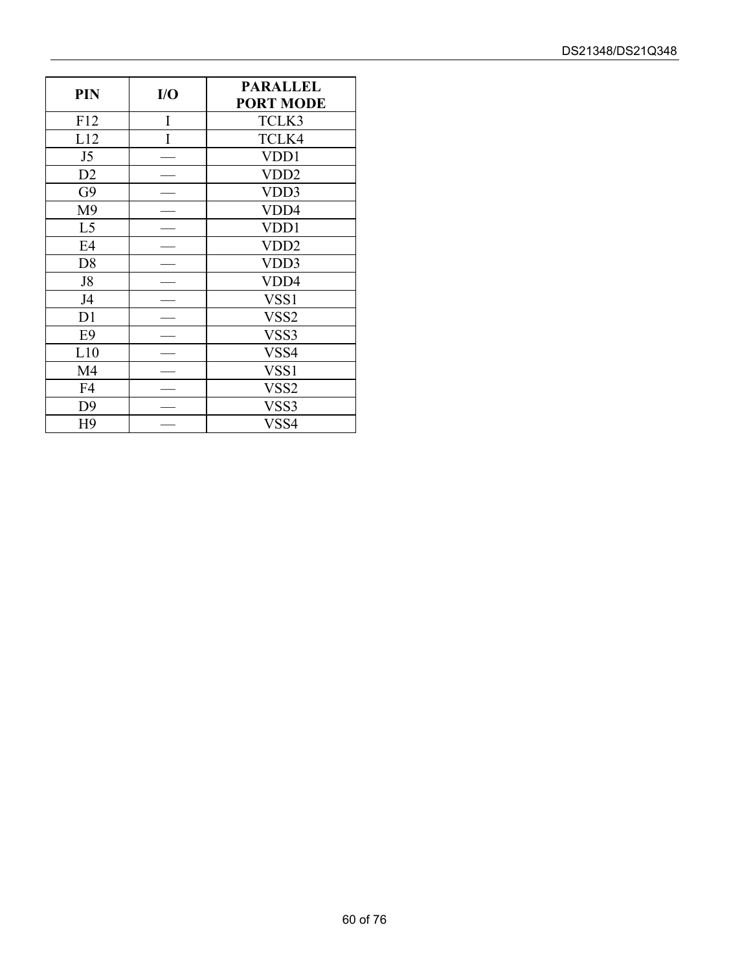| PIN            | I/O | <b>PARALLEL</b><br><b>PORT MODE</b> |
|----------------|-----|-------------------------------------|
| F12            | Ī   | TCLK3                               |
| L12            | Ī   | TCLK4                               |
| J5             |     | VDD1                                |
| D2             |     | VDD <sub>2</sub>                    |
| G9             |     | VDD3                                |
| M <sub>9</sub> |     | VDD4                                |
| L <sub>5</sub> |     | VDD1                                |
| E4             |     | VDD <sub>2</sub>                    |
| D <sub>8</sub> |     | VDD3                                |
| J8             |     | VDD4                                |
| J4             |     | VSS <sub>1</sub>                    |
| D <sub>1</sub> |     | VSS2                                |
| E <sub>9</sub> |     | VSS3                                |
| L10            |     | VSS4                                |
| M4             |     | VSS <sub>1</sub>                    |
| F <sub>4</sub> |     | VSS <sub>2</sub>                    |
| D <sub>9</sub> |     | VSS3                                |
| H <sub>9</sub> |     | VSS4                                |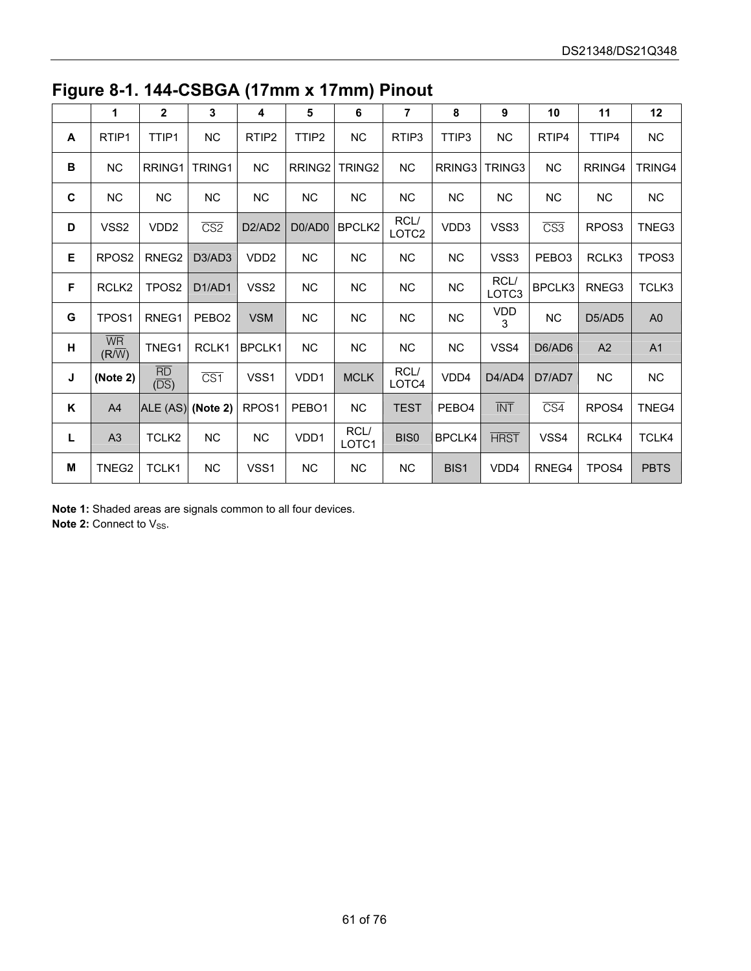|   | 1                                              | $\mathbf{2}$                            | 3                       | 4                               | 5                  | 6                  | $\overline{7}$            | 8                 | 9                         | 10                      | 11                | 12                |
|---|------------------------------------------------|-----------------------------------------|-------------------------|---------------------------------|--------------------|--------------------|---------------------------|-------------------|---------------------------|-------------------------|-------------------|-------------------|
| A | RTIP1                                          | TTIP1                                   | <b>NC</b>               | RTIP <sub>2</sub>               | TTIP2              | <b>NC</b>          | RTIP3                     | TTIP3             | <b>NC</b>                 | RTIP4                   | TTIP4             | NC                |
| В | NC                                             | RRING1                                  | TRING1                  | <b>NC</b>                       | RRING <sub>2</sub> | TRING <sub>2</sub> | <b>NC</b>                 | RRING3            | TRING3                    | NC                      | RRING4            | TRING4            |
| C | <b>NC</b>                                      | <b>NC</b>                               | NC                      | <b>NC</b>                       | <b>NC</b>          | <b>NC</b>          | NC                        | NC                | NC                        | NC                      | <b>NC</b>         | $NC$              |
| D | VSS2                                           | VDD <sub>2</sub>                        | $\overline{\text{CS2}}$ | D <sub>2</sub> /AD <sub>2</sub> | D0/AD0             | BPCLK2             | RCL/<br>LOTC <sub>2</sub> | VDD3              | VSS3                      | $\overline{\text{CS3}}$ | RPOS <sub>3</sub> | TNEG3             |
| Е | RPOS <sub>2</sub>                              | RNEG2                                   | D3/AD3                  | VDD <sub>2</sub>                | <b>NC</b>          | NC                 | NC                        | <b>NC</b>         | VSS3                      | PEBO <sub>3</sub>       | RCLK3             | TPOS <sub>3</sub> |
| F | RCLK <sub>2</sub>                              | TPOS2                                   | D1/AD1                  | VSS <sub>2</sub>                | <b>NC</b>          | <b>NC</b>          | <b>NC</b>                 | NC                | RCL/<br>LOTC <sub>3</sub> | BPCLK3                  | RNEG3             | TCLK3             |
| G | TPOS1                                          | RNEG1                                   | PEBO <sub>2</sub>       | <b>VSM</b>                      | <b>NC</b>          | <b>NC</b>          | <b>NC</b>                 | NC                | VDD<br>3                  | NC                      | D5/AD5            | A <sub>0</sub>    |
| н | $\overline{\mathsf{WR}}$<br>$(R/\overline{W})$ | TNEG1                                   | RCLK1                   | BPCLK1                          | <b>NC</b>          | NC                 | <b>NC</b>                 | <b>NC</b>         | VSS4                      | D6/AD6                  | A2                | A1                |
| J | (Note 2)                                       | $\frac{\overline{RD}}{(\overline{DS})}$ | $\overline{CS1}$        | VSS1                            | VDD1               | <b>MCLK</b>        | RCL/<br>LOTC4             | VDD4              | D4/AD4                    | D7/AD7                  | NC                | NC                |
| Κ | A4                                             | ALE (AS) (Note 2)                       |                         | RPOS <sub>1</sub>               | PEBO <sub>1</sub>  | <b>NC</b>          | <b>TEST</b>               | PEBO <sub>4</sub> | $\overline{\text{INT}}$   | $\overline{\text{CS4}}$ | RPOS <sub>4</sub> | TNEG4             |
| Г | A <sub>3</sub>                                 | TCLK2                                   | NC.                     | NC                              | VDD1               | RCL/<br>LOTC1      | <b>BIS0</b>               | <b>BPCLK4</b>     | <b>HRST</b>               | VSS4                    | RCLK4             | TCLK4             |
| М | TNEG2                                          | TCLK1                                   | NC                      | VSS1                            | <b>NC</b>          | $NC$               | <b>NC</b>                 | BIS1              | VDD4                      | RNEG4                   | TPOS4             | <b>PBTS</b>       |

**Figure 8-1. 144-CSBGA (17mm x 17mm) Pinout** 

**Note 1:** Shaded areas are signals common to all four devices.

**Note 2: Connect to Vss.**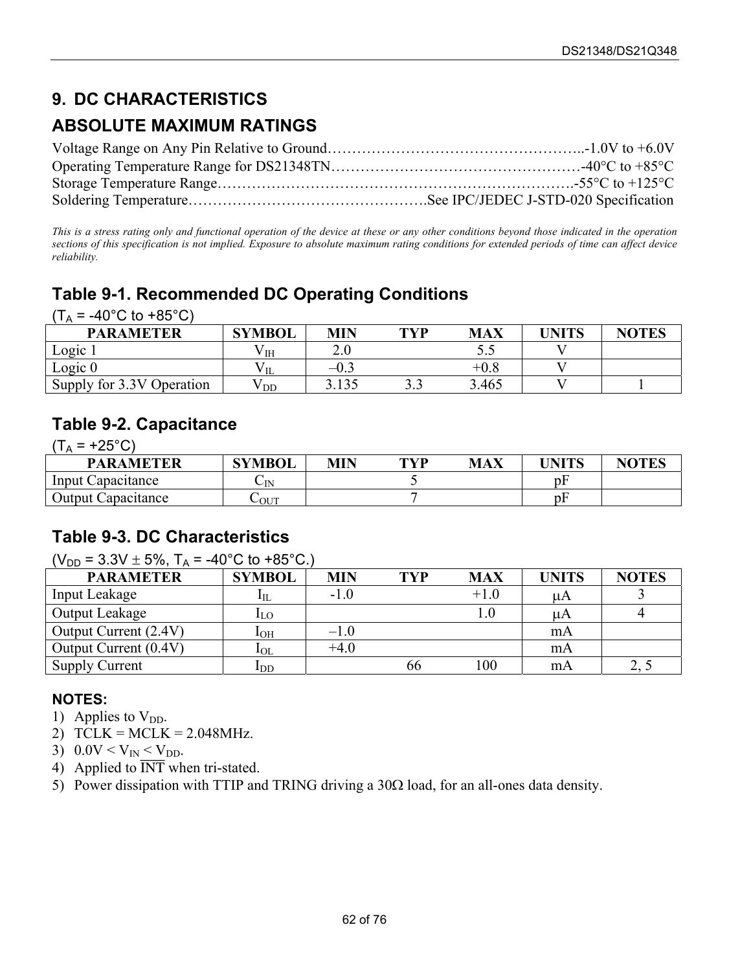## **9. DC CHARACTERISTICS**

### **ABSOLUTE MAXIMUM RATINGS**

*This is a stress rating only and functional operation of the device at these or any other conditions beyond those indicated in the operation sections of this specification is not implied. Exposure to absolute maximum rating conditions for extended periods of time can affect device reliability.* 

## **Table 9-1. Recommended DC Operating Conditions**

 $(T_A = -40^{\circ}C \text{ to } +85^{\circ}C)$ 

| <b>PARAMETER</b>          | <b>SYMBOL</b>            | MIN   | TVP | <b>MAX</b> | UNITS | <b>NOTES</b> |
|---------------------------|--------------------------|-------|-----|------------|-------|--------------|
| Logic 1                   | $\mathbf{v}_{\text{IH}}$ | ↑ ∩   |     | ັ.         |       |              |
| Logic $0$                 |                          | $-0.$ |     | $\pm 0.8$  |       |              |
| Supply for 3.3V Operation | ${\rm v}_{\rm\,DD}$      | 3.135 |     | 3.465      |       |              |

### **Table 9-2. Capacitance**

 $(T_A = +25^{\circ}C)$ PARAMETER SYMBOL MIN TYP MAX UNITS NOTES Input Capacitance  $C_{\text{IN}}$   $C_{\text{IN}}$  5 pF Output Capacitance  $C_{\text{OUT}}$  7 pF

#### **Table 9-3. DC Characteristics**

 $(V_{DD} = 3.3V \pm 5\%$ ,  $T_A = -40^{\circ}C$  to  $+85^{\circ}C$ .)

| <b>PARAMETER</b>      | <b>SYMBOL</b>              | <b>MIN</b> | TYP | <b>MAX</b> | UNITS | <b>NOTES</b> |
|-----------------------|----------------------------|------------|-----|------------|-------|--------------|
| Input Leakage         | $\mathbf{l}_{\mathrm{IL}}$ | $-1.0$     |     | $+1.0$     | μA    |              |
| Output Leakage        | $I_{LO}$                   |            |     | $\rm 0.1$  | μA    |              |
| Output Current (2.4V) | 1 <sub>OH</sub>            | $-1.0$     |     |            | mA    |              |
| Output Current (0.4V) | $1_{\rm OL}$               | $+4.0$     |     |            | mA    |              |
| <b>Supply Current</b> | $\mathbf{I}_{\mathrm{DD}}$ |            | 66  | 100        | mA    | ں م          |

- 1) Applies to  $V_{DD}$ .
- 2)  $TCLK = MCLK = 2.048 MHz$ .
- 3)  $0.0V < V_{IN} < V_{DD}$ .
- 4) Applied to  $\overline{INT}$  when tri-stated.
- 5) Power dissipation with TTIP and TRING driving a  $30\Omega$  load, for an all-ones data density.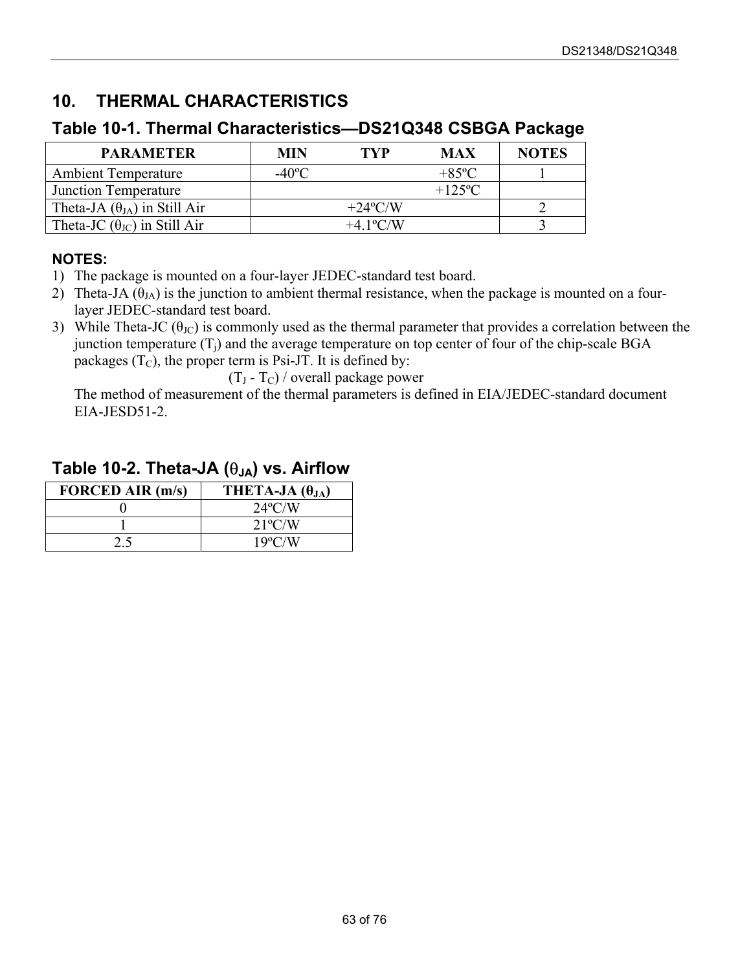## **10. THERMAL CHARACTERISTICS**

#### **Table 10-1. Thermal Characteristics—DS21Q348 CSBGA Package**

| <b>PARAMETER</b>                             | MIN             | <b>TVP</b>                | <b>MAX</b>     | <b>NOTES</b> |
|----------------------------------------------|-----------------|---------------------------|----------------|--------------|
| <b>Ambient Temperature</b>                   | $-40^{\circ}$ C |                           | $+85\degree$ C |              |
| Junction Temperature                         |                 |                           | $+125$ °C      |              |
| Theta-JA $(\theta_{JA})$ in Still Air        |                 | $+24$ °C/W                |                |              |
| Theta-JC $(\theta_{\text{JC}})$ in Still Air |                 | $+4.1$ <sup>o</sup> $C/W$ |                |              |

#### **NOTES:**

- 1) The package is mounted on a four-layer JEDEC-standard test board.
- 2) Theta-JA  $(\theta_{JA})$  is the junction to ambient thermal resistance, when the package is mounted on a fourlayer JEDEC-standard test board.
- 3) While Theta-JC ( $\theta_{\text{JC}}$ ) is commonly used as the thermal parameter that provides a correlation between the junction temperature  $(T_i)$  and the average temperature on top center of four of the chip-scale BGA packages  $(T_C)$ , the proper term is Psi-JT. It is defined by:

 $(T_J - T_C)$  / overall package power

The method of measurement of the thermal parameters is defined in EIA/JEDEC-standard document EIA-JESD51-2.

#### **FORCED AIR (m/s)** THETA-JA  $(\theta_{JA})$  $0$  24°C/W 1 21ºC/W 2.5 19°C/W

#### **Table 10-2. Theta-JA (**θ**JA) vs. Airflow**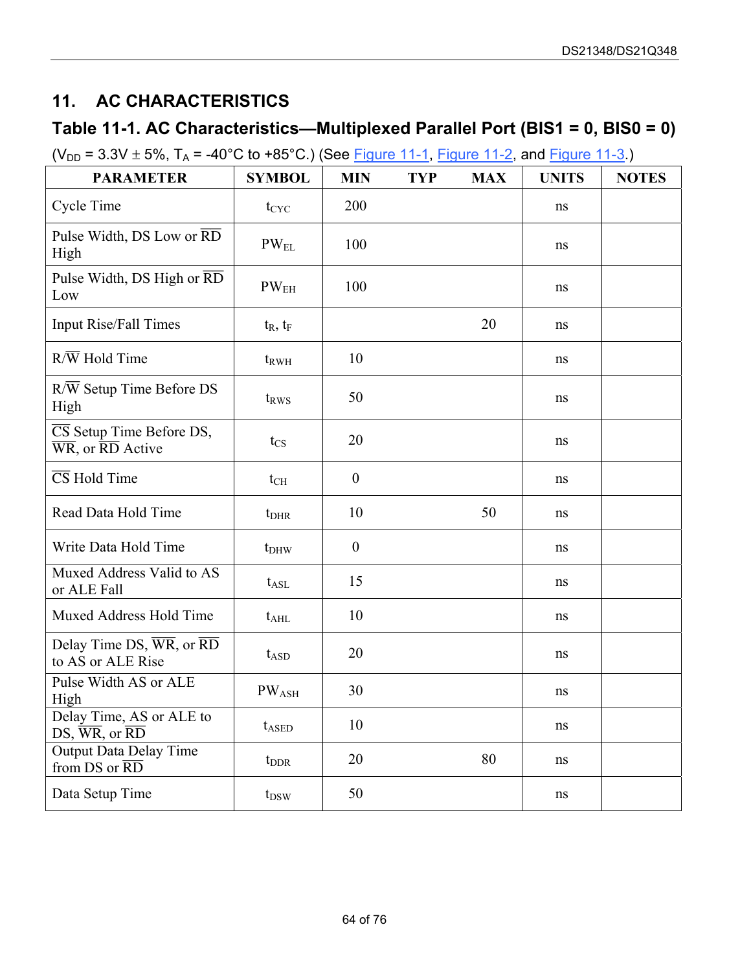## <span id="page-63-0"></span>**11. AC CHARACTERISTICS**

### **Table 11-1. AC Characteristics—Multiplexed Parallel Port (BIS1 = 0, BIS0 = 0)**

 $(V_{DD} = 3.3V \pm 5\%, T_A = -40^{\circ}C$  to +85°C.) (See [Figure 11-1,](#page-64-0) [Figure 11-2,](#page-64-1) and [Figure 11-3.\)](#page-65-0)

| <b>PARAMETER</b>                                                                                          | <b>SYMBOL</b>                | <b>MIN</b>       | <b>TYP</b> | <b>MAX</b> | <b>UNITS</b> | <b>NOTES</b> |
|-----------------------------------------------------------------------------------------------------------|------------------------------|------------------|------------|------------|--------------|--------------|
| <b>Cycle Time</b>                                                                                         | $t_{CYC}$                    | 200              |            |            | ns           |              |
| Pulse Width, DS Low or RD<br>High                                                                         | $PW_{EL}$                    | 100              |            |            | ns           |              |
| Pulse Width, DS High or RD<br>Low                                                                         | PW <sub>EH</sub>             | 100              |            |            | ns           |              |
| <b>Input Rise/Fall Times</b>                                                                              | $t_R$ , $t_F$                |                  |            | 20         | ns           |              |
| $R/\overline{W}$ Hold Time                                                                                | $t_{RWH}$                    | 10               |            |            | ns           |              |
| $R/\overline{W}$ Setup Time Before DS<br>High                                                             | t <sub>RWS</sub>             | 50               |            |            | ns           |              |
| $\overline{\text{CS}}$ Setup Time Before DS,<br>$\overline{\text{WR}}$ , or $\overline{\text{RD}}$ Active | $t_{\rm CS}$                 | 20               |            |            | ns           |              |
| $\overline{\text{CS}}$ Hold Time                                                                          | $t_{\rm CH}$                 | $\boldsymbol{0}$ |            |            | ns           |              |
| Read Data Hold Time                                                                                       | $t_{\rm DHR}$                | 10               |            | 50         | ns           |              |
| Write Data Hold Time                                                                                      | $t_{DHW}$                    | $\boldsymbol{0}$ |            |            | ns           |              |
| Muxed Address Valid to AS<br>or ALE Fall                                                                  | $t_{\rm ASL}$                | 15               |            |            | ns           |              |
| Muxed Address Hold Time                                                                                   | $t_{\rm AHL}$                | 10               |            |            | ns           |              |
| Delay Time DS, $\overline{WR}$ , or $\overline{RD}$<br>to AS or ALE Rise                                  | $t_{ASD}$                    | 20               |            |            | ns           |              |
| Pulse Width AS or ALE<br>High                                                                             | $\mathrm{PW}_{\mathrm{ASH}}$ | 30               |            |            | ns           |              |
| Delay Time, AS or ALE to<br>$DS, \overline{WR}, \overline{or} \overline{RD}$                              | $t_{ASED}$                   | 10               |            |            | ns           |              |
| Output Data Delay Time<br>from DS or RD                                                                   | $t_{\rm DDR}$                | 20               |            | 80         | ns           |              |
| Data Setup Time                                                                                           | $t_{DSW}$                    | 50               |            |            | ns           |              |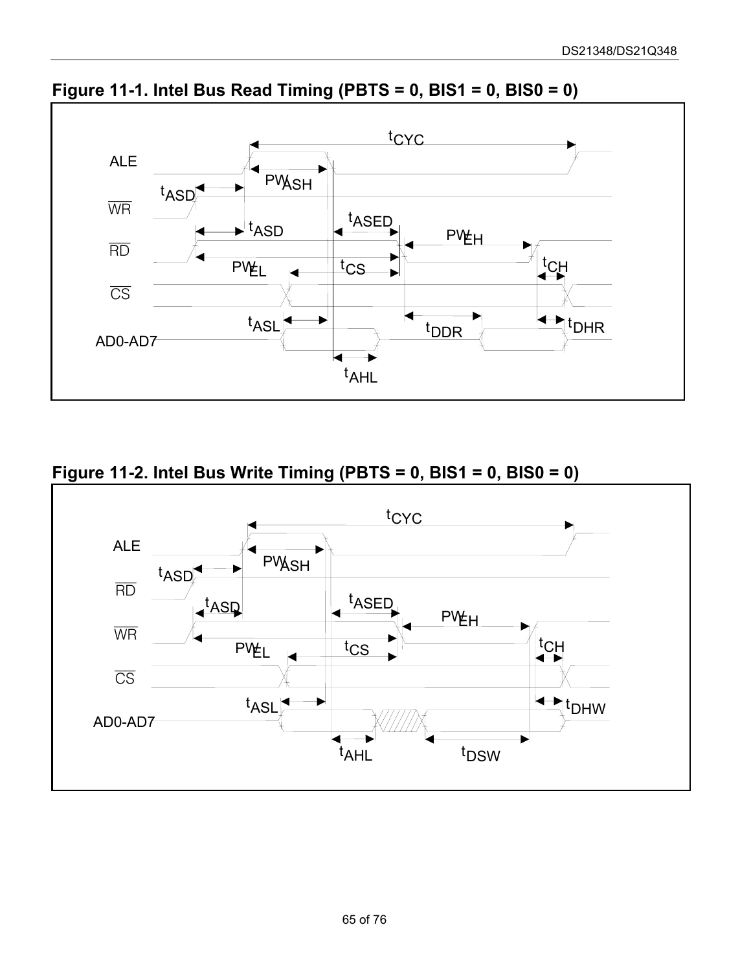

<span id="page-64-0"></span>**Figure 11-1. Intel Bus Read Timing (PBTS = 0, BIS1 = 0, BIS0 = 0)**

<span id="page-64-1"></span>**Figure 11-2. Intel Bus Write Timing (PBTS = 0, BIS1 = 0, BIS0 = 0)**

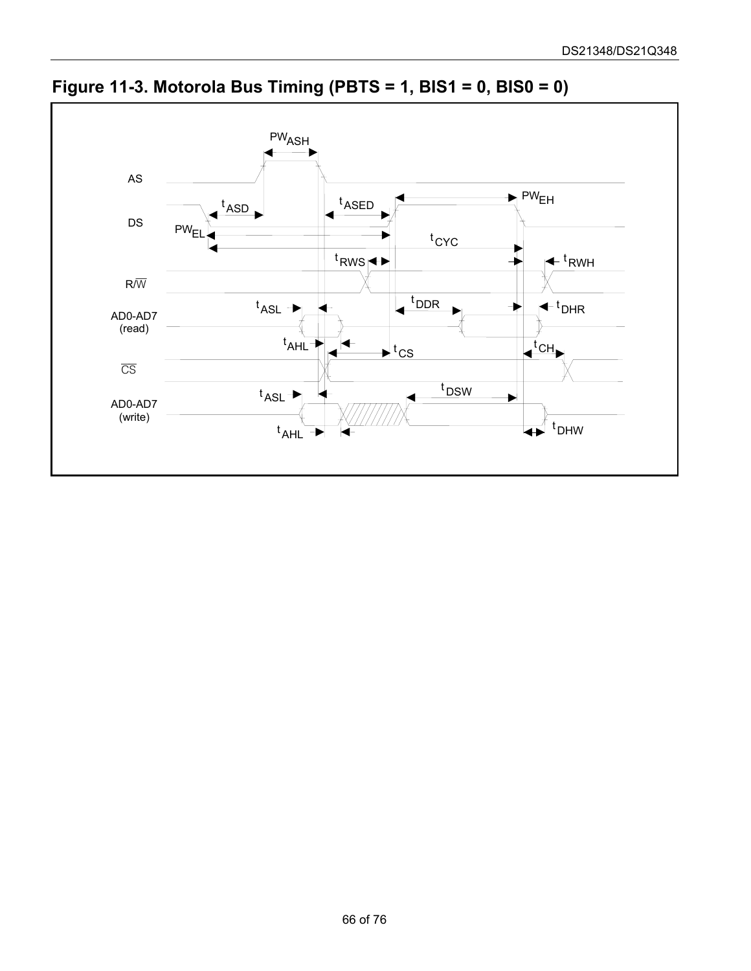

<span id="page-65-0"></span>**Figure 11-3. Motorola Bus Timing (PBTS = 1, BIS1 = 0, BIS0 = 0)**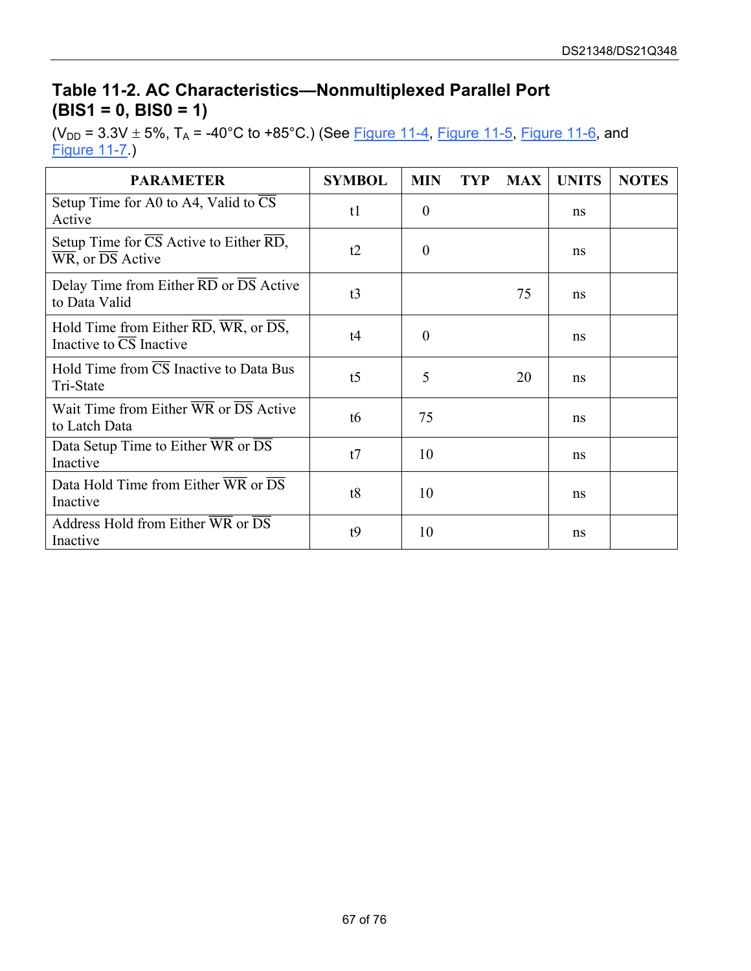### **Table 11-2. AC Characteristics—Nonmultiplexed Parallel Port (BIS1 = 0, BIS0 = 1)**

( $V_{DD}$  = 3.3V  $\pm$  5%, T<sub>A</sub> = -40°C to +85°C.) (See [Figure 11-4,](#page-67-0) [Figure 11-5,](#page-67-1) [Figure 11-6,](#page-68-0) and [Figure 11-7.](#page-68-1))

| <b>PARAMETER</b>                                                                           | <b>SYMBOL</b>  | <b>MIN</b> | TYP | <b>MAX</b> | <b>UNITS</b> | <b>NOTES</b> |
|--------------------------------------------------------------------------------------------|----------------|------------|-----|------------|--------------|--------------|
| Setup Time for A0 to A4, Valid to CS<br>Active                                             | t1             | $\theta$   |     |            | ns           |              |
| Setup Time for CS Active to Either RD,<br>WR, or DS Active                                 | t2             | $\theta$   |     |            | ns           |              |
| Delay Time from Either RD or DS Active<br>to Data Valid                                    | t3             |            |     | 75         | ns           |              |
| Hold Time from Either RD, WR, or $\overline{DS}$ ,<br>Inactive to $\overline{CS}$ Inactive | t4             | $\theta$   |     |            | ns           |              |
| Hold Time from $\overline{CS}$ Inactive to Data Bus<br>Tri-State                           | t <sub>5</sub> | 5          |     | 20         | ns.          |              |
| Wait Time from Either $\overline{WR}$ or $\overline{DS}$ Active<br>to Latch Data           | t6             | 75         |     |            | ns           |              |
| Data Setup Time to Either WR or DS<br>Inactive                                             | t7             | 10         |     |            | ns           |              |
| Data Hold Time from Either $\overline{WR}$ or $\overline{DS}$<br>Inactive                  | t8             | 10         |     |            | ns           |              |
| Address Hold from Either WR or $\overline{DS}$<br>Inactive                                 | t9             | 10         |     |            | ns           |              |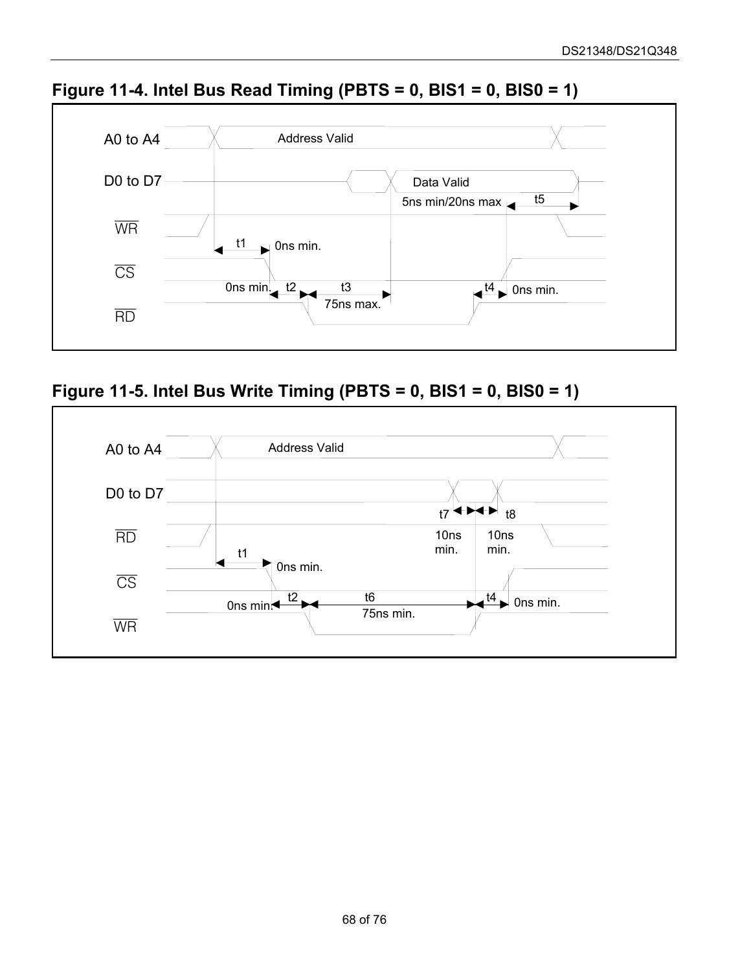

<span id="page-67-0"></span>**Figure 11-4. Intel Bus Read Timing (PBTS = 0, BIS1 = 0, BIS0 = 1)**

<span id="page-67-1"></span>**Figure 11-5. Intel Bus Write Timing (PBTS = 0, BIS1 = 0, BIS0 = 1)**

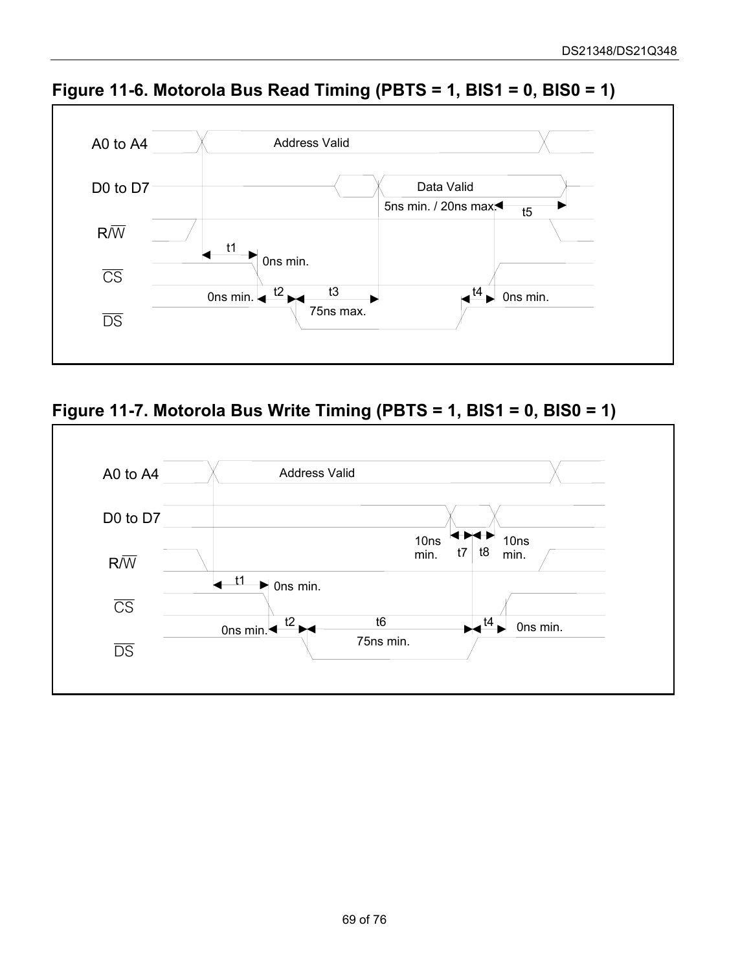

<span id="page-68-0"></span>**Figure 11-6. Motorola Bus Read Timing (PBTS = 1, BIS1 = 0, BIS0 = 1)** 

<span id="page-68-1"></span>

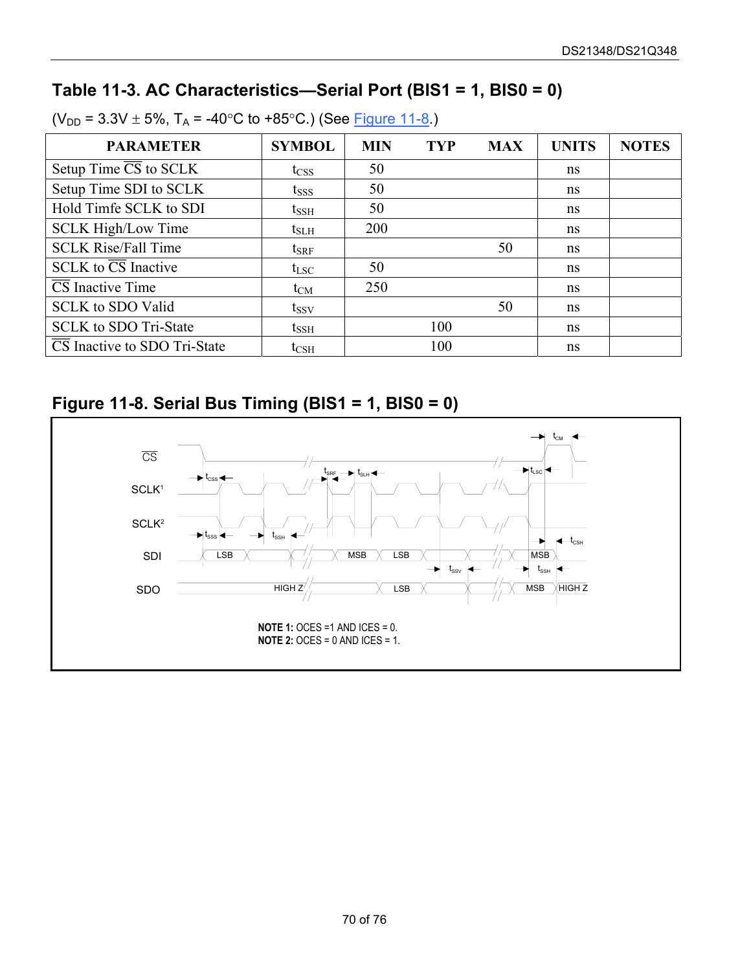## **Table 11-3. AC Characteristics—Serial Port (BIS1 = 1, BIS0 = 0)**

| <b>PARAMETER</b>                     | <b>SYMBOL</b> | <b>MIN</b> | <b>TYP</b> | <b>MAX</b> | <b>UNITS</b> | <b>NOTES</b> |
|--------------------------------------|---------------|------------|------------|------------|--------------|--------------|
| Setup Time $\overline{CS}$ to SCLK   | $t_{\rm CSS}$ | 50         |            |            | ns           |              |
| Setup Time SDI to SCLK               | $t_{SSS}$     | 50         |            |            | ns           |              |
| Hold Timfe SCLK to SDI               | $t_{\rm SSH}$ | 50         |            |            | ns           |              |
| <b>SCLK High/Low Time</b>            | $t_{\rm SLH}$ | 200        |            |            | ns           |              |
| <b>SCLK Rise/Fall Time</b>           | $t_{\rm SRF}$ |            |            | 50         | ns           |              |
| $SCLK$ to $\overline{CS}$ Inactive   | $t_{LSC}$     | 50         |            |            | ns           |              |
| $\overline{\text{CS}}$ Inactive Time | $t_{CM}$      | 250        |            |            | ns           |              |
| <b>SCLK</b> to SDO Valid             | $t_{SSV}$     |            |            | 50         | ns           |              |
| <b>SCLK</b> to SDO Tri-State         | $t_{\rm SSH}$ |            | 100        |            | ns           |              |
| CS Inactive to SDO Tri-State         | $t_{\rm CSH}$ |            | 100        |            | ns           |              |

 $(V_{DD} = 3.3V \pm 5\%, T_A = -40\degree C$  to +85°C.) (See [Figure 11-8.](#page-69-0))

## <span id="page-69-0"></span>**Figure 11-8. Serial Bus Timing (BIS1 = 1, BIS0 = 0)**

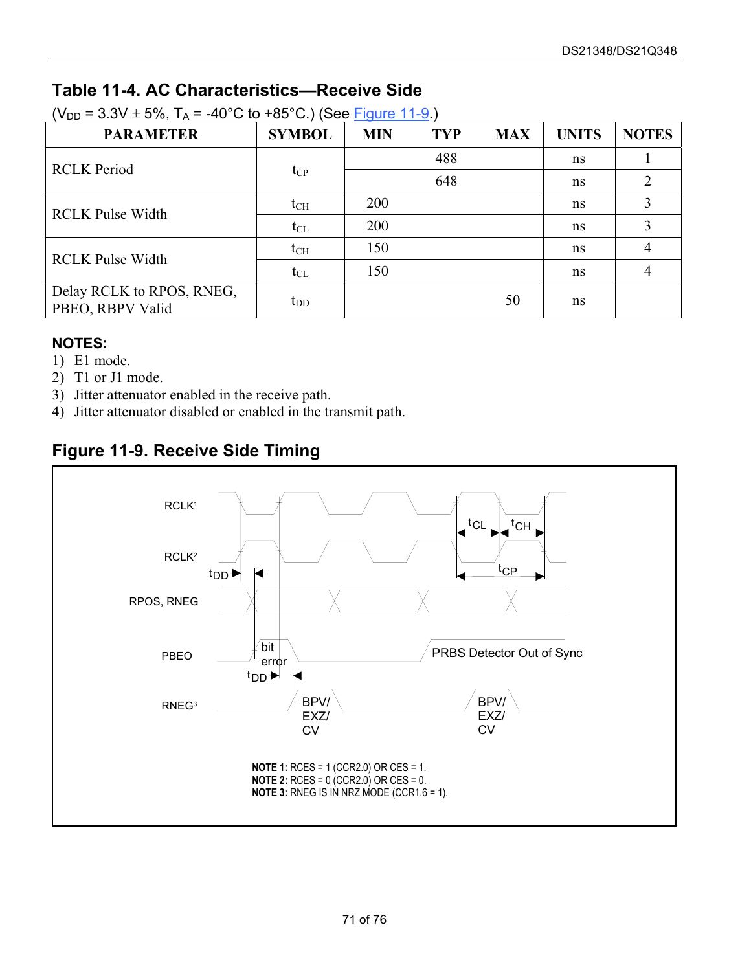## **Table 11-4. AC Characteristics—Receive Side**

| <b>PARAMETER</b>                              | <b>SYMBOL</b> | <b>MIN</b>                                                                | <b>TYP</b>     | <b>MAX</b> | <b>UNITS</b> | <b>NOTES</b> |
|-----------------------------------------------|---------------|---------------------------------------------------------------------------|----------------|------------|--------------|--------------|
| <b>RCLK</b> Period                            |               |                                                                           | 488            |            | ns           |              |
|                                               | $t_{\rm CP}$  | 648<br>ns<br>200<br>ns<br>200<br>ns<br>150<br>ns<br>150<br>ns<br>50<br>ns | $\overline{2}$ |            |              |              |
| <b>RCLK Pulse Width</b>                       | $t_{\rm CH}$  |                                                                           |                |            |              |              |
|                                               | $t_{CL}$      |                                                                           |                |            |              | 3            |
| <b>RCLK Pulse Width</b>                       | $t_{\rm CH}$  |                                                                           |                |            |              | 4            |
|                                               | $t_{CL}$      |                                                                           |                |            |              | 4            |
| Delay RCLK to RPOS, RNEG,<br>PBEO, RBPV Valid | $t_{DD}$      |                                                                           |                |            |              |              |

 $(V_{DD} = 3.3V \pm 5\%$ ,  $T_A = -40^{\circ}C$  to +85°C.) (See [Figure 11-9.](#page-70-0))

#### **NOTES:**

- 1) E1 mode.
- 2) T1 or J1 mode.
- 3) Jitter attenuator enabled in the receive path.
- 4) Jitter attenuator disabled or enabled in the transmit path.

### <span id="page-70-0"></span>**Figure 11-9. Receive Side Timing**

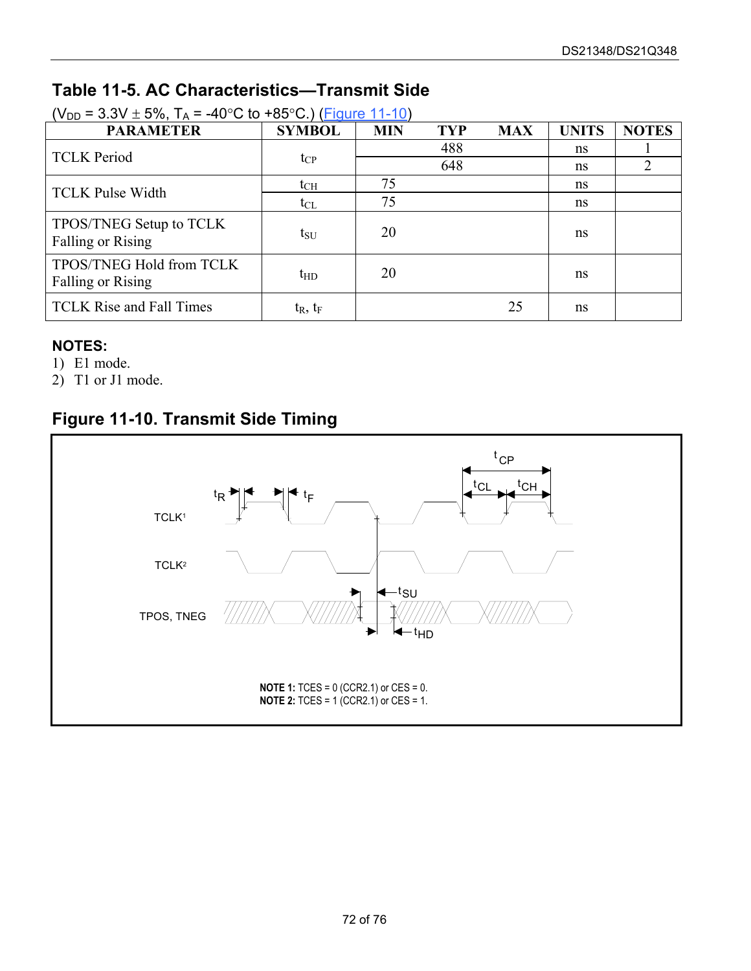## **Table 11-5. AC Characteristics—Transmit Side**

| $V_{\text{DD}}$ – 3.3V $\pm$ 3%, 1A – -4U U to +63 U ) (Figule 11-10) |               |            |                |            |              |              |
|-----------------------------------------------------------------------|---------------|------------|----------------|------------|--------------|--------------|
| <b>PARAMETER</b>                                                      | <b>SYMBOL</b> | <b>MIN</b> | <b>TYP</b>     | <b>MAX</b> | <b>UNITS</b> | <b>NOTES</b> |
| <b>TCLK Period</b>                                                    |               |            | 488            |            | ns           |              |
|                                                                       | $t_{CP}$      |            | 648            |            | ns           |              |
| <b>TCLK Pulse Width</b>                                               | $t_{\rm CH}$  | 75         | ns<br>75<br>ns |            |              |              |
|                                                                       | $t_{CL}$      |            |                |            |              |              |
| TPOS/TNEG Setup to TCLK<br>Falling or Rising                          | $t_{\rm SU}$  | 20         |                |            | ns           |              |
| TPOS/TNEG Hold from TCLK<br>Falling or Rising                         | $t_{HD}$      | 20         |                |            | ns           |              |
| <b>TCLK Rise and Fall Times</b>                                       | $t_R$ , $t_F$ |            |                | 25         | ns           |              |

 $(V_{\text{tot}} = 3.3V + 5\%$  T. =  $40\degree$ C to  $\pm$ 85°C.) [\(Figure 11-10\)](#page-71-0)

#### **NOTES:**

- 1) E1 mode.
- 2) T1 or J1 mode.

## <span id="page-71-0"></span>**Figure 11-10. Transmit Side Timing**

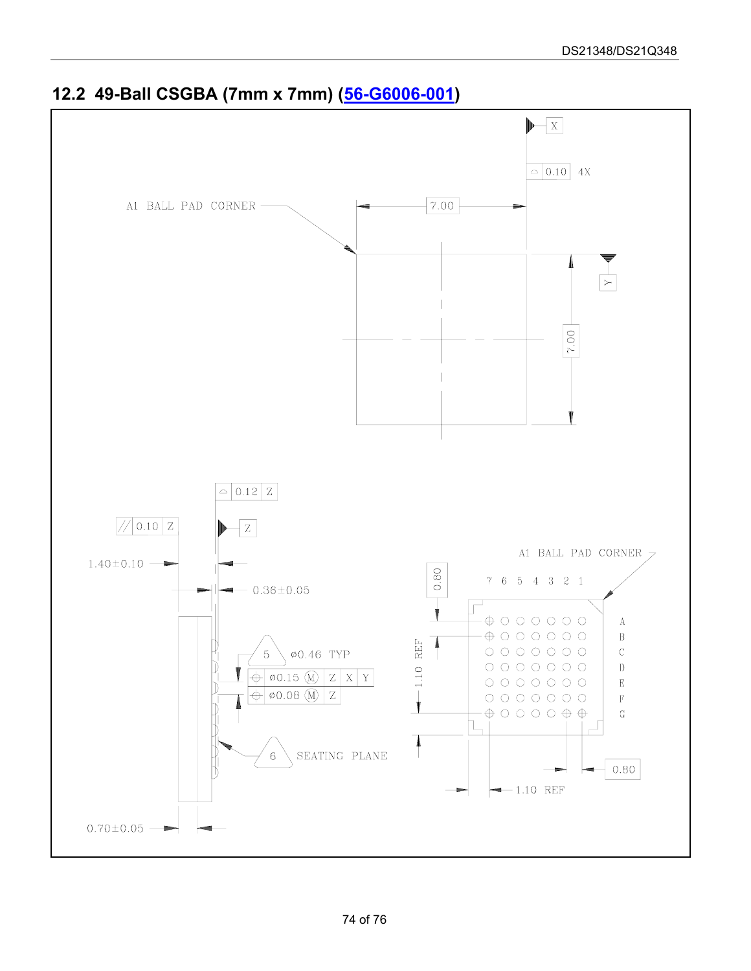

## **12.2 49-Ball CSGBA (7mm x 7mm) ([56-G6006-001\)](http://www.maxim-ic.com/package_drawings/56-G6006-001.pdf)**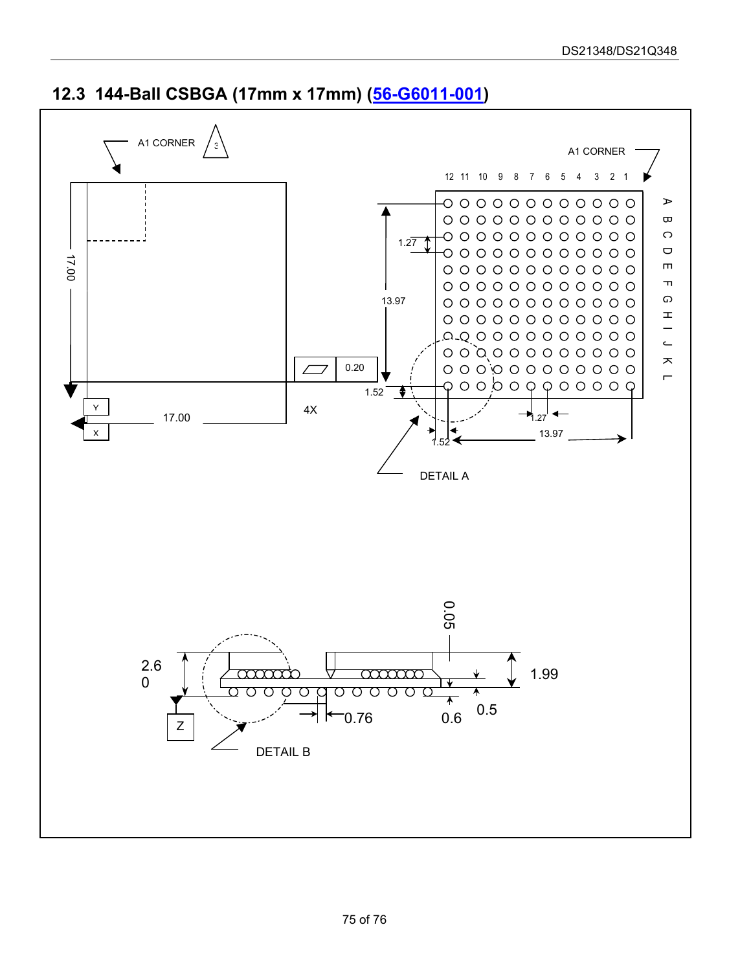